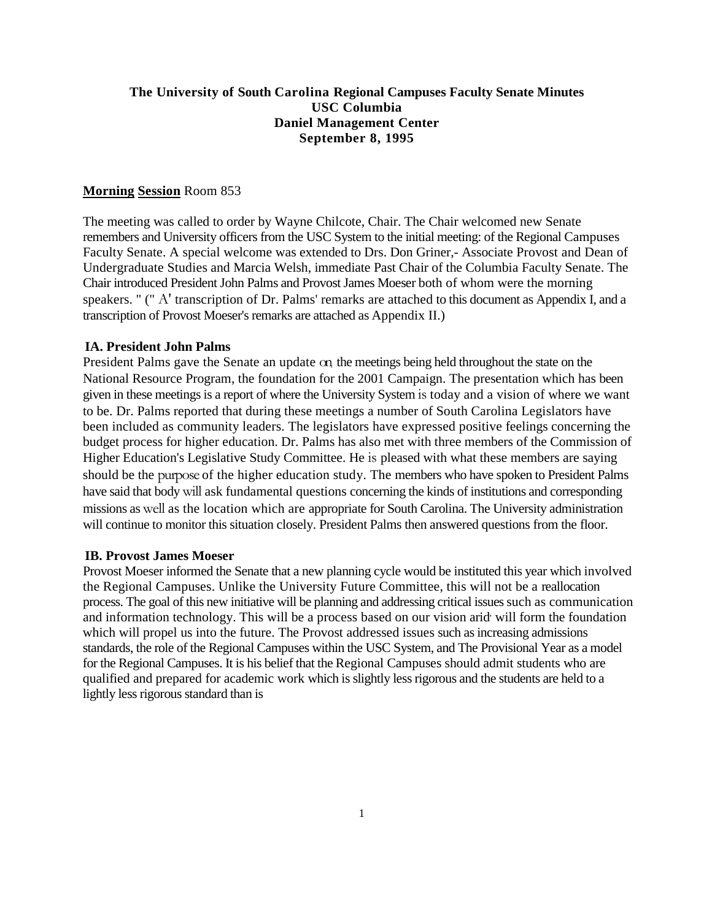#### **The University of South Carolina Regional Campuses Faculty Senate Minutes USC Columbia Daniel Management Center September 8, 1995**

#### **Morning Session** Room 853

The meeting was called to order by Wayne Chilcote, Chair. The Chair welcomed new Senate remembers and University officers from the USC System to the initial meeting: of the Regional Campuses Faculty Senate. A special welcome was extended to Drs. Don Griner,- Associate Provost and Dean of Undergraduate Studies and Marcia Welsh, immediate Past Chair of the Columbia Faculty Senate. The Chair introduced President John Palms and Provost James Moeser both of whom were the morning speakers. " (" A' transcription of Dr. Palms' remarks are attached to this document as Appendix I, and a transcription of Provost Moeser's remarks are attached as Appendix II.)

#### **IA. President John Palms**

President Palms gave the Senate an update on. the meetings being held throughout the state on the National Resource Program, the foundation for the 2001 Campaign. The presentation which has been given in these meetings is a report of where the University System is today and a vision of where we want to be. Dr. Palms reported that during these meetings a number of South Carolina Legislators have been included as community leaders. The legislators have expressed positive feelings concerning the budget process for higher education. Dr. Palms has also met with three members of the Commission of Higher Education's Legislative Study Committee. He is pleased with what these members are saying should be the purpose of the higher education study. The members who have spoken to President Palms have said that body will ask fundamental questions concerning the kinds of institutions and corresponding missions as well as the location which are appropriate for South Carolina. The University administration will continue to monitor this situation closely. President Palms then answered questions from the floor.

#### **IB. Provost James Moeser**

Provost Moeser informed the Senate that a new planning cycle would be instituted this year which involved the Regional Campuses. Unlike the University Future Committee, this will not be a reallocation process. The goal of this new initiative will be planning and addressing critical issues such as communication and information technology. This will be a process based on our vision arid will form the foundation which will propel us into the future. The Provost addressed issues such as increasing admissions standards, the role of the Regional Campuses within the USC System, and The Provisional Year as a model for the Regional Campuses. It is his belief that the Regional Campuses should admit students who are qualified and prepared for academic work which is slightly less rigorous and the students are held to a lightly less rigorous standard than is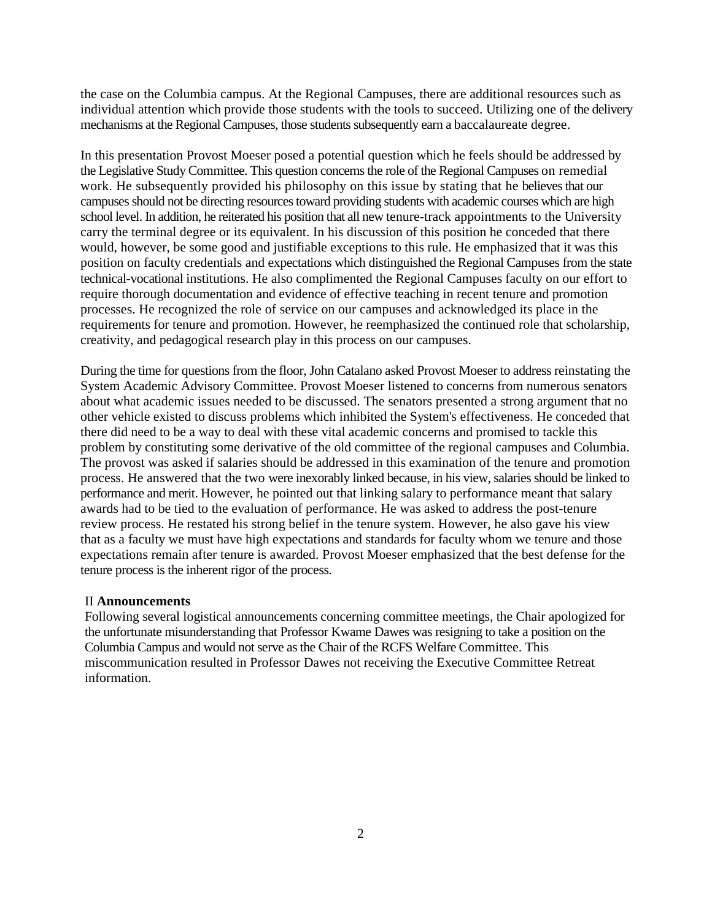the case on the Columbia campus. At the Regional Campuses, there are additional resources such as individual attention which provide those students with the tools to succeed. Utilizing one of the delivery mechanisms at the Regional Campuses, those students subsequently earn a baccalaureate degree.

In this presentation Provost Moeser posed a potential question which he feels should be addressed by the Legislative Study Committee. This question concerns the role of the Regional Campuses on remedial work. He subsequently provided his philosophy on this issue by stating that he believes that our campuses should not be directing resources toward providing students with academic courses which are high school level. In addition, he reiterated his position that all new tenure-track appointments to the University carry the terminal degree or its equivalent. In his discussion of this position he conceded that there would, however, be some good and justifiable exceptions to this rule. He emphasized that it was this position on faculty credentials and expectations which distinguished the Regional Campuses from the state technical-vocational institutions. He also complimented the Regional Campuses faculty on our effort to require thorough documentation and evidence of effective teaching in recent tenure and promotion processes. He recognized the role of service on our campuses and acknowledged its place in the requirements for tenure and promotion. However, he reemphasized the continued role that scholarship, creativity, and pedagogical research play in this process on our campuses.

During the time for questions from the floor, John Catalano asked Provost Moeser to address reinstating the System Academic Advisory Committee. Provost Moeser listened to concerns from numerous senators about what academic issues needed to be discussed. The senators presented a strong argument that no other vehicle existed to discuss problems which inhibited the System's effectiveness. He conceded that there did need to be a way to deal with these vital academic concerns and promised to tackle this problem by constituting some derivative of the old committee of the regional campuses and Columbia. The provost was asked if salaries should be addressed in this examination of the tenure and promotion process. He answered that the two were inexorably linked because, in his view, salaries should be linked to performance and merit. However, he pointed out that linking salary to performance meant that salary awards had to be tied to the evaluation of performance. He was asked to address the post-tenure review process. He restated his strong belief in the tenure system. However, he also gave his view that as a faculty we must have high expectations and standards for faculty whom we tenure and those expectations remain after tenure is awarded. Provost Moeser emphasized that the best defense for the tenure process is the inherent rigor of the process.

#### II **Announcements**

Following several logistical announcements concerning committee meetings, the Chair apologized for the unfortunate misunderstanding that Professor Kwame Dawes was resigning to take a position on the Columbia Campus and would not serve as the Chair of the RCFS Welfare Committee. This miscommunication resulted in Professor Dawes not receiving the Executive Committee Retreat information.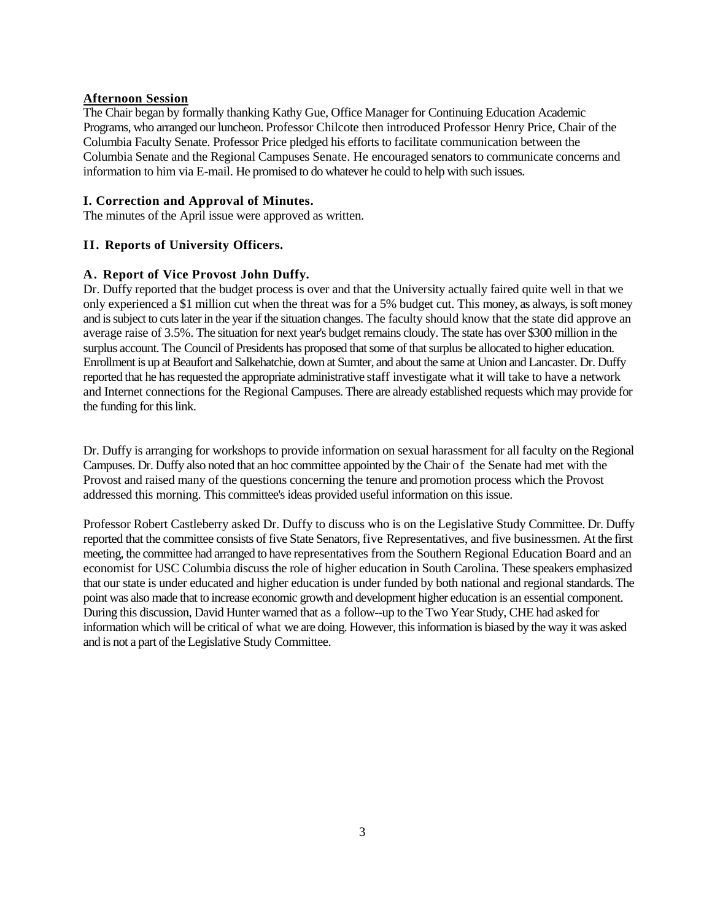#### **Afternoon Session**

The Chair began by formally thanking Kathy Gue, Office Manager for Continuing Education Academic Programs, who arranged our luncheon. Professor Chilcote then introduced Professor Henry Price, Chair of the Columbia Faculty Senate. Professor Price pledged his efforts to facilitate communication between the Columbia Senate and the Regional Campuses Senate. He encouraged senators to communicate concerns and information to him via E-mail. He promised to do whatever he could to help with such issues.

#### **I. Correction and Approval of Minutes.**

The minutes of the April issue were approved as written.

#### **II. Reports of University Officers.**

#### **A. Report of Vice Provost John Duffy.**

Dr. Duffy reported that the budget process is over and that the University actually faired quite well in that we only experienced a \$1 million cut when the threat was for a 5% budget cut. This money, as always, is soft money and is subject to cuts later in the year if the situation changes. The faculty should know that the state did approve an average raise of 3.5%. The situation for next year's budget remains cloudy. The state has over \$300 million in the surplus account. The Council of Presidents has proposed that some of that surplus be allocated to higher education. Enrollment is up at Beaufort and Salkehatchie, down at Sumter, and about the same at Union and Lancaster. Dr. Duffy reported that he has requested the appropriate administrative staff investigate what it will take to have a network and Internet connections for the Regional Campuses. There are already established requests which may provide for the funding for this link.

Dr. Duffy is arranging for workshops to provide information on sexual harassment for all faculty on the Regional Campuses. Dr. Duffy also noted that an hoc committee appointed by the Chair of the Senate had met with the Provost and raised many of the questions concerning the tenure and promotion process which the Provost addressed this morning. This committee's ideas provided useful information on this issue.

Professor Robert Castleberry asked Dr. Duffy to discuss who is on the Legislative Study Committee. Dr. Duffy reported that the committee consists of five State Senators, five Representatives, and five businessmen. At the first meeting, the committee had arranged to have representatives from the Southern Regional Education Board and an economist for USC Columbia discuss the role of higher education in South Carolina. These speakers emphasized that our state is under educated and higher education is under funded by both national and regional standards. The point was also made that to increase economic growth and development higher education is an essential component. During this discussion, David Hunter warned that as a follow--up to the Two Year Study, CHE had asked for information which will be critical of what we are doing. However, this information is biased by the way it was asked and is not a part of the Legislative Study Committee.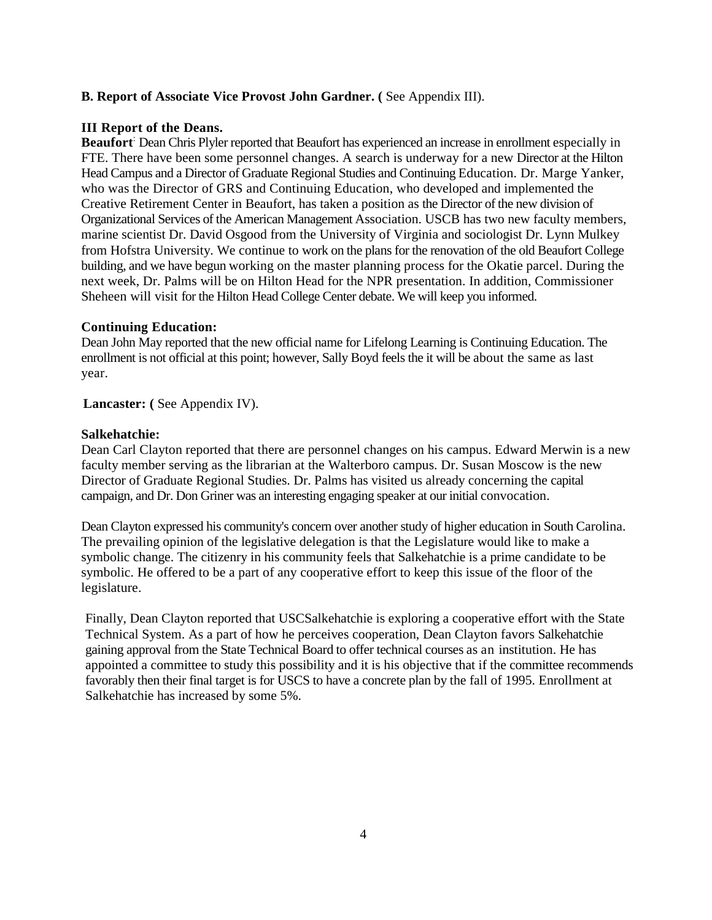#### **B. Report of Associate Vice Provost John Gardner. (** See Appendix III).

#### **III Report of the Deans.**

**Beaufort**: Dean Chris Plyler reported that Beaufort has experienced an increase in enrollment especially in FTE. There have been some personnel changes. A search is underway for a new Director at the Hilton Head Campus and a Director of Graduate Regional Studies and Continuing Education. Dr. Marge Yanker, who was the Director of GRS and Continuing Education, who developed and implemented the Creative Retirement Center in Beaufort, has taken a position as the Director of the new division of Organizational Services of the American Management Association. USCB has two new faculty members, marine scientist Dr. David Osgood from the University of Virginia and sociologist Dr. Lynn Mulkey from Hofstra University. We continue to work on the plans for the renovation of the old Beaufort College building, and we have begun working on the master planning process for the Okatie parcel. During the next week, Dr. Palms will be on Hilton Head for the NPR presentation. In addition, Commissioner Sheheen will visit for the Hilton Head College Center debate. We will keep you informed.

#### **Continuing Education:**

Dean John May reported that the new official name for Lifelong Learning is Continuing Education. The enrollment is not official at this point; however, Sally Boyd feels the it will be about the same as last year.

Lancaster: (See Appendix IV).

#### **Salkehatchie:**

Dean Carl Clayton reported that there are personnel changes on his campus. Edward Merwin is a new faculty member serving as the librarian at the Walterboro campus. Dr. Susan Moscow is the new Director of Graduate Regional Studies. Dr. Palms has visited us already concerning the capital campaign, and Dr. Don Griner was an interesting engaging speaker at our initial convocation.

Dean Clayton expressed his community's concern over another study of higher education in South Carolina. The prevailing opinion of the legislative delegation is that the Legislature would like to make a symbolic change. The citizenry in his community feels that Salkehatchie is a prime candidate to be symbolic. He offered to be a part of any cooperative effort to keep this issue of the floor of the legislature.

Finally, Dean Clayton reported that USCSalkehatchie is exploring a cooperative effort with the State Technical System. As a part of how he perceives cooperation, Dean Clayton favors Salkehatchie gaining approval from the State Technical Board to offer technical courses as an institution. He has appointed a committee to study this possibility and it is his objective that if the committee recommends favorably then their final target is for USCS to have a concrete plan by the fall of 1995. Enrollment at Salkehatchie has increased by some 5%.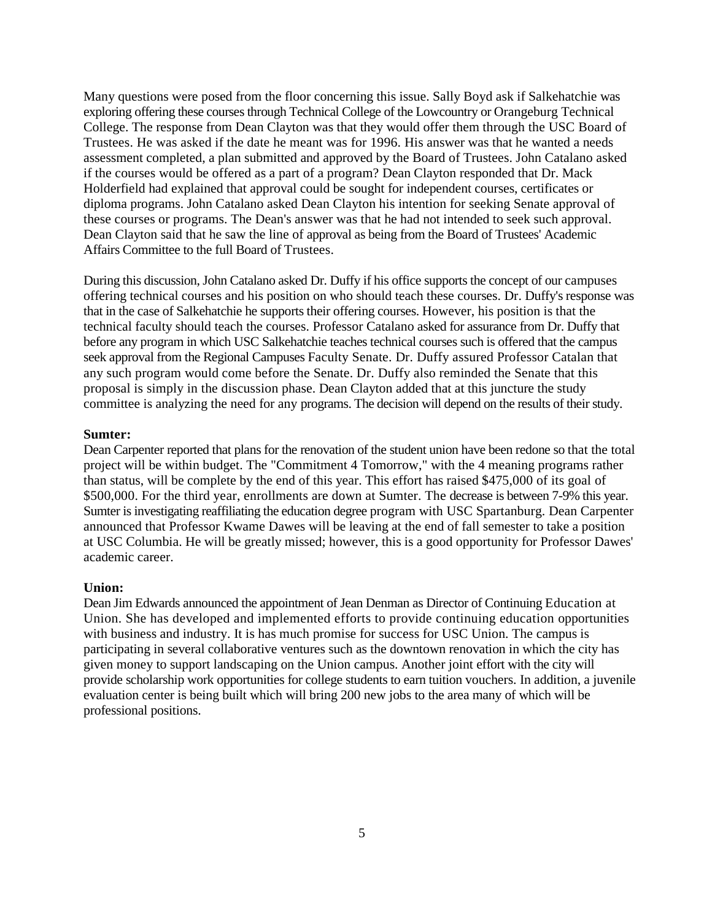Many questions were posed from the floor concerning this issue. Sally Boyd ask if Salkehatchie was exploring offering these courses through Technical College of the Lowcountry or Orangeburg Technical College. The response from Dean Clayton was that they would offer them through the USC Board of Trustees. He was asked if the date he meant was for 1996. His answer was that he wanted a needs assessment completed, a plan submitted and approved by the Board of Trustees. John Catalano asked if the courses would be offered as a part of a program? Dean Clayton responded that Dr. Mack Holderfield had explained that approval could be sought for independent courses, certificates or diploma programs. John Catalano asked Dean Clayton his intention for seeking Senate approval of these courses or programs. The Dean's answer was that he had not intended to seek such approval. Dean Clayton said that he saw the line of approval as being from the Board of Trustees' Academic Affairs Committee to the full Board of Trustees.

During this discussion, John Catalano asked Dr. Duffy if his office supports the concept of our campuses offering technical courses and his position on who should teach these courses. Dr. Duffy's response was that in the case of Salkehatchie he supports their offering courses. However, his position is that the technical faculty should teach the courses. Professor Catalano asked for assurance from Dr. Duffy that before any program in which USC Salkehatchie teaches technical courses such is offered that the campus seek approval from the Regional Campuses Faculty Senate. Dr. Duffy assured Professor Catalan that any such program would come before the Senate. Dr. Duffy also reminded the Senate that this proposal is simply in the discussion phase. Dean Clayton added that at this juncture the study committee is analyzing the need for any programs. The decision will depend on the results of their study.

#### **Sumter:**

Dean Carpenter reported that plans for the renovation of the student union have been redone so that the total project will be within budget. The "Commitment 4 Tomorrow," with the 4 meaning programs rather than status, will be complete by the end of this year. This effort has raised \$475,000 of its goal of \$500,000. For the third year, enrollments are down at Sumter. The decrease is between 7-9% this year. Sumter is investigating reaffiliating the education degree program with USC Spartanburg. Dean Carpenter announced that Professor Kwame Dawes will be leaving at the end of fall semester to take a position at USC Columbia. He will be greatly missed; however, this is a good opportunity for Professor Dawes' academic career.

#### **Union:**

Dean Jim Edwards announced the appointment of Jean Denman as Director of Continuing Education at Union. She has developed and implemented efforts to provide continuing education opportunities with business and industry. It is has much promise for success for USC Union. The campus is participating in several collaborative ventures such as the downtown renovation in which the city has given money to support landscaping on the Union campus. Another joint effort with the city will provide scholarship work opportunities for college students to earn tuition vouchers. In addition, a juvenile evaluation center is being built which will bring 200 new jobs to the area many of which will be professional positions.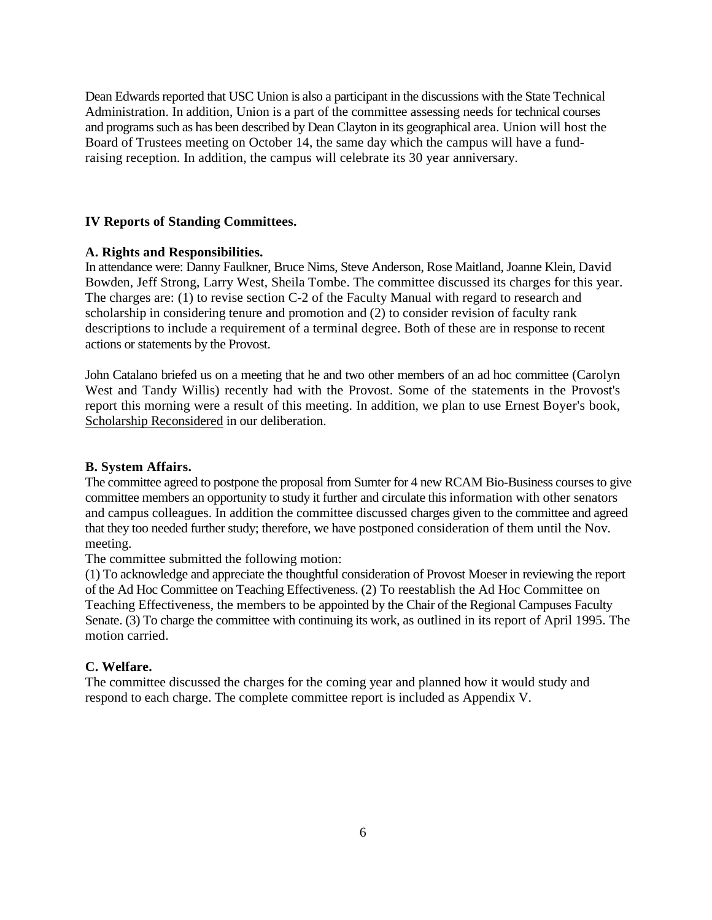Dean Edwards reported that USC Union is also a participant in the discussions with the State Technical Administration. In addition, Union is a part of the committee assessing needs for technical courses and programs such as has been described by Dean Clayton in its geographical area. Union will host the Board of Trustees meeting on October 14, the same day which the campus will have a fundraising reception. In addition, the campus will celebrate its 30 year anniversary.

#### **IV Reports of Standing Committees.**

#### **A. Rights and Responsibilities.**

In attendance were: Danny Faulkner, Bruce Nims, Steve Anderson, Rose Maitland, Joanne Klein, David Bowden, Jeff Strong, Larry West, Sheila Tombe. The committee discussed its charges for this year. The charges are: (1) to revise section C-2 of the Faculty Manual with regard to research and scholarship in considering tenure and promotion and (2) to consider revision of faculty rank descriptions to include a requirement of a terminal degree. Both of these are in response to recent actions or statements by the Provost.

John Catalano briefed us on a meeting that he and two other members of an ad hoc committee (Carolyn West and Tandy Willis) recently had with the Provost. Some of the statements in the Provost's report this morning were a result of this meeting. In addition, we plan to use Ernest Boyer's book, Scholarship Reconsidered in our deliberation.

#### **B. System Affairs.**

The committee agreed to postpone the proposal from Sumter for 4 new RCAM Bio-Business courses to give committee members an opportunity to study it further and circulate this information with other senators and campus colleagues. In addition the committee discussed charges given to the committee and agreed that they too needed further study; therefore, we have postponed consideration of them until the Nov. meeting.

The committee submitted the following motion:

(1) To acknowledge and appreciate the thoughtful consideration of Provost Moeser in reviewing the report of the Ad Hoc Committee on Teaching Effectiveness. (2) To reestablish the Ad Hoc Committee on Teaching Effectiveness, the members to be appointed by the Chair of the Regional Campuses Faculty Senate. (3) To charge the committee with continuing its work, as outlined in its report of April 1995. The motion carried.

#### **C. Welfare.**

The committee discussed the charges for the coming year and planned how it would study and respond to each charge. The complete committee report is included as Appendix V.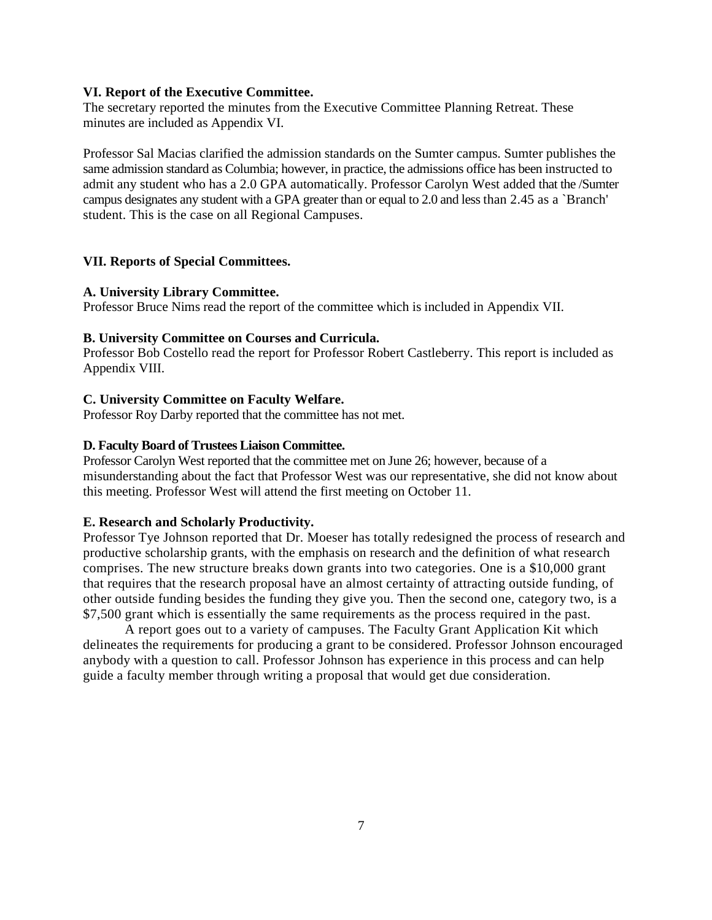#### **VI. Report of the Executive Committee.**

The secretary reported the minutes from the Executive Committee Planning Retreat. These minutes are included as Appendix VI.

Professor Sal Macias clarified the admission standards on the Sumter campus. Sumter publishes the same admission standard as Columbia; however, in practice, the admissions office has been instructed to admit any student who has a 2.0 GPA automatically. Professor Carolyn West added that the /Sumter campus designates any student with a GPA greater than or equal to 2.0 and less than 2.45 as a `Branch' student. This is the case on all Regional Campuses.

#### **VII. Reports of Special Committees.**

#### **A. University Library Committee.**

Professor Bruce Nims read the report of the committee which is included in Appendix VII.

#### **B. University Committee on Courses and Curricula.**

Professor Bob Costello read the report for Professor Robert Castleberry. This report is included as Appendix VIII.

#### **C. University Committee on Faculty Welfare.**

Professor Roy Darby reported that the committee has not met.

#### **D. Faculty Board of Trustees Liaison Committee.**

Professor Carolyn West reported that the committee met on June 26; however, because of a misunderstanding about the fact that Professor West was our representative, she did not know about this meeting. Professor West will attend the first meeting on October 11.

#### **E. Research and Scholarly Productivity.**

Professor Tye Johnson reported that Dr. Moeser has totally redesigned the process of research and productive scholarship grants, with the emphasis on research and the definition of what research comprises. The new structure breaks down grants into two categories. One is a \$10,000 grant that requires that the research proposal have an almost certainty of attracting outside funding, of other outside funding besides the funding they give you. Then the second one, category two, is a \$7,500 grant which is essentially the same requirements as the process required in the past.

A report goes out to a variety of campuses. The Faculty Grant Application Kit which delineates the requirements for producing a grant to be considered. Professor Johnson encouraged anybody with a question to call. Professor Johnson has experience in this process and can help guide a faculty member through writing a proposal that would get due consideration.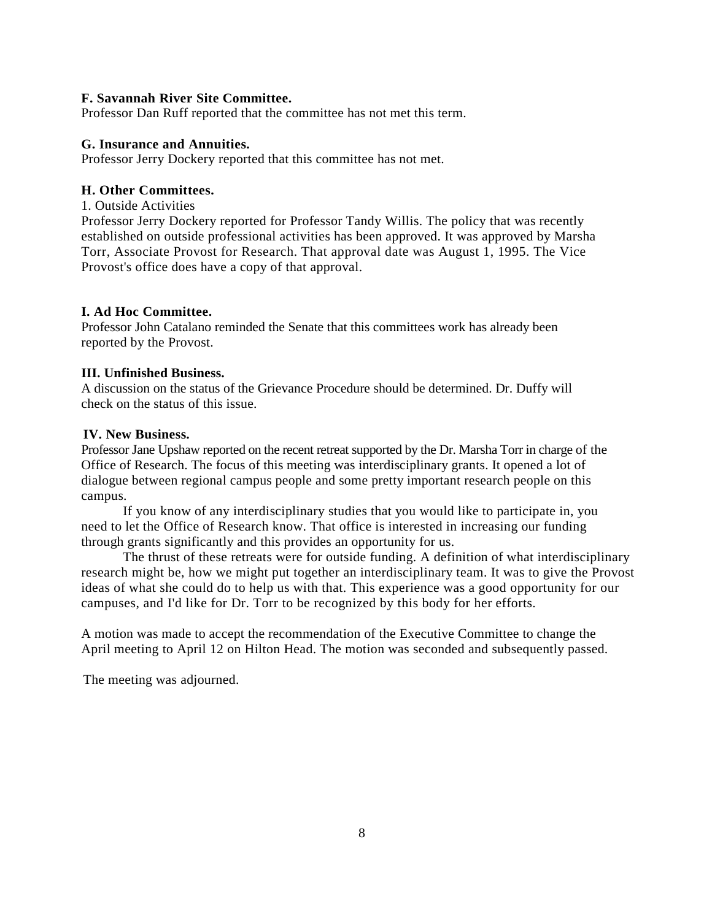#### **F. Savannah River Site Committee.**

Professor Dan Ruff reported that the committee has not met this term.

#### **G. Insurance and Annuities.**

Professor Jerry Dockery reported that this committee has not met.

#### **H. Other Committees.**

1. Outside Activities

Professor Jerry Dockery reported for Professor Tandy Willis. The policy that was recently established on outside professional activities has been approved. It was approved by Marsha Torr, Associate Provost for Research. That approval date was August 1, 1995. The Vice Provost's office does have a copy of that approval.

### **I. Ad Hoc Committee.**

Professor John Catalano reminded the Senate that this committees work has already been reported by the Provost.

#### **III. Unfinished Business.**

A discussion on the status of the Grievance Procedure should be determined. Dr. Duffy will check on the status of this issue.

#### **IV. New Business.**

Professor Jane Upshaw reported on the recent retreat supported by the Dr. Marsha Torr in charge of the Office of Research. The focus of this meeting was interdisciplinary grants. It opened a lot of dialogue between regional campus people and some pretty important research people on this campus.

If you know of any interdisciplinary studies that you would like to participate in, you need to let the Office of Research know. That office is interested in increasing our funding through grants significantly and this provides an opportunity for us.

The thrust of these retreats were for outside funding. A definition of what interdisciplinary research might be, how we might put together an interdisciplinary team. It was to give the Provost ideas of what she could do to help us with that. This experience was a good opportunity for our campuses, and I'd like for Dr. Torr to be recognized by this body for her efforts.

A motion was made to accept the recommendation of the Executive Committee to change the April meeting to April 12 on Hilton Head. The motion was seconded and subsequently passed.

The meeting was adjourned.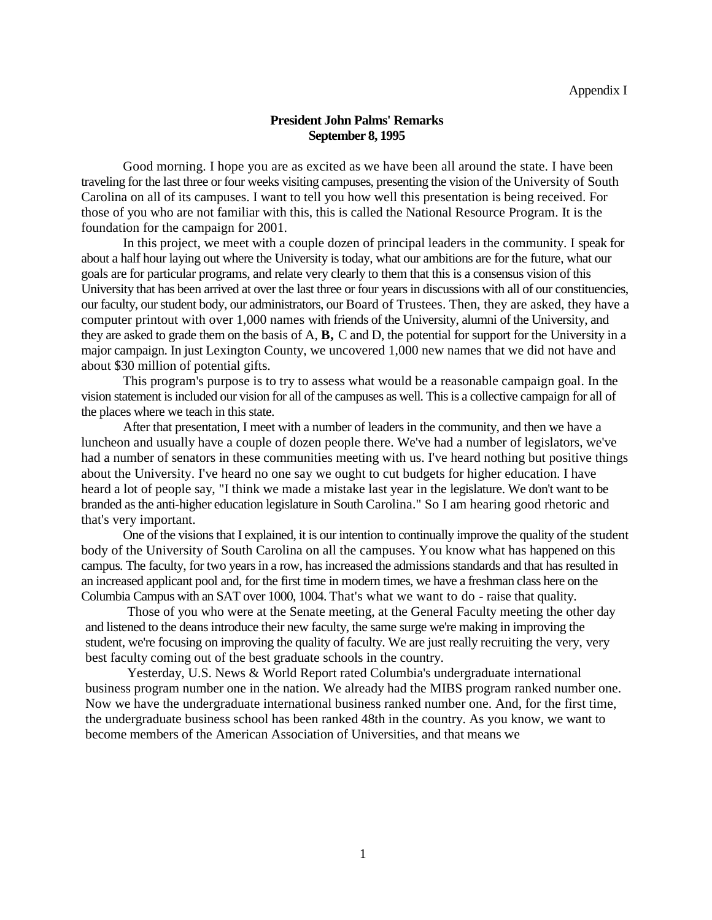#### **President John Palms' Remarks September 8, 1995**

Good morning. I hope you are as excited as we have been all around the state. I have been traveling for the last three or four weeks visiting campuses, presenting the vision of the University of South Carolina on all of its campuses. I want to tell you how well this presentation is being received. For those of you who are not familiar with this, this is called the National Resource Program. It is the foundation for the campaign for 2001.

In this project, we meet with a couple dozen of principal leaders in the community. I speak for about a half hour laying out where the University is today, what our ambitions are for the future, what our goals are for particular programs, and relate very clearly to them that this is a consensus vision of this University that has been arrived at over the last three or four years in discussions with all of our constituencies, our faculty, our student body, our administrators, our Board of Trustees. Then, they are asked, they have a computer printout with over 1,000 names with friends of the University, alumni of the University, and they are asked to grade them on the basis of A, **B,** C and D, the potential for support for the University in a major campaign. In just Lexington County, we uncovered 1,000 new names that we did not have and about \$30 million of potential gifts.

This program's purpose is to try to assess what would be a reasonable campaign goal. In the vision statement is included our vision for all of the campuses as well. This is a collective campaign for all of the places where we teach in this state.

After that presentation, I meet with a number of leaders in the community, and then we have a luncheon and usually have a couple of dozen people there. We've had a number of legislators, we've had a number of senators in these communities meeting with us. I've heard nothing but positive things about the University. I've heard no one say we ought to cut budgets for higher education. I have heard a lot of people say, "I think we made a mistake last year in the legislature. We don't want to be branded as the anti-higher education legislature in South Carolina." So I am hearing good rhetoric and that's very important.

One of the visions that I explained, it is our intention to continually improve the quality of the student body of the University of South Carolina on all the campuses. You know what has happened on this campus. The faculty, for two years in a row, has increased the admissions standards and that has resulted in an increased applicant pool and, for the first time in modern times, we have a freshman class here on the Columbia Campus with an SAT over 1000, 1004. That's what we want to do - raise that quality.

Those of you who were at the Senate meeting, at the General Faculty meeting the other day and listened to the deans introduce their new faculty, the same surge we're making in improving the student, we're focusing on improving the quality of faculty. We are just really recruiting the very, very best faculty coming out of the best graduate schools in the country.

Yesterday, U.S. News & World Report rated Columbia's undergraduate international business program number one in the nation. We already had the MIBS program ranked number one. Now we have the undergraduate international business ranked number one. And, for the first time, the undergraduate business school has been ranked 48th in the country. As you know, we want to become members of the American Association of Universities, and that means we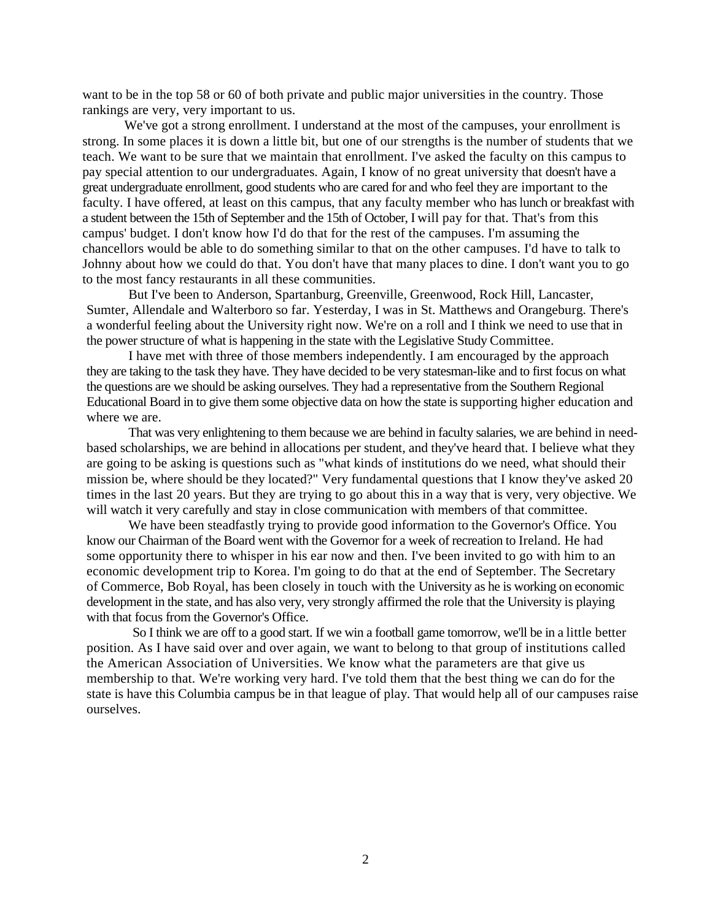want to be in the top 58 or 60 of both private and public major universities in the country. Those rankings are very, very important to us.

We've got a strong enrollment. I understand at the most of the campuses, your enrollment is strong. In some places it is down a little bit, but one of our strengths is the number of students that we teach. We want to be sure that we maintain that enrollment. I've asked the faculty on this campus to pay special attention to our undergraduates. Again, I know of no great university that doesn't have a great undergraduate enrollment, good students who are cared for and who feel they are important to the faculty. I have offered, at least on this campus, that any faculty member who has lunch or breakfast with a student between the 15th of September and the 15th of October, I will pay for that. That's from this campus' budget. I don't know how I'd do that for the rest of the campuses. I'm assuming the chancellors would be able to do something similar to that on the other campuses. I'd have to talk to Johnny about how we could do that. You don't have that many places to dine. I don't want you to go to the most fancy restaurants in all these communities.

But I've been to Anderson, Spartanburg, Greenville, Greenwood, Rock Hill, Lancaster, Sumter, Allendale and Walterboro so far. Yesterday, I was in St. Matthews and Orangeburg. There's a wonderful feeling about the University right now. We're on a roll and I think we need to use that in the power structure of what is happening in the state with the Legislative Study Committee.

I have met with three of those members independently. I am encouraged by the approach they are taking to the task they have. They have decided to be very statesman-like and to first focus on what the questions are we should be asking ourselves. They had a representative from the Southern Regional Educational Board in to give them some objective data on how the state is supporting higher education and where we are.

That was very enlightening to them because we are behind in faculty salaries, we are behind in needbased scholarships, we are behind in allocations per student, and they've heard that. I believe what they are going to be asking is questions such as "what kinds of institutions do we need, what should their mission be, where should be they located?" Very fundamental questions that I know they've asked 20 times in the last 20 years. But they are trying to go about this in a way that is very, very objective. We will watch it very carefully and stay in close communication with members of that committee.

We have been steadfastly trying to provide good information to the Governor's Office. You know our Chairman of the Board went with the Governor for a week of recreation to Ireland. He had some opportunity there to whisper in his ear now and then. I've been invited to go with him to an economic development trip to Korea. I'm going to do that at the end of September. The Secretary of Commerce, Bob Royal, has been closely in touch with the University as he is working on economic development in the state, and has also very, very strongly affirmed the role that the University is playing with that focus from the Governor's Office.

So I think we are off to a good start. If we win a football game tomorrow, we'll be in a little better position. As I have said over and over again, we want to belong to that group of institutions called the American Association of Universities. We know what the parameters are that give us membership to that. We're working very hard. I've told them that the best thing we can do for the state is have this Columbia campus be in that league of play. That would help all of our campuses raise ourselves.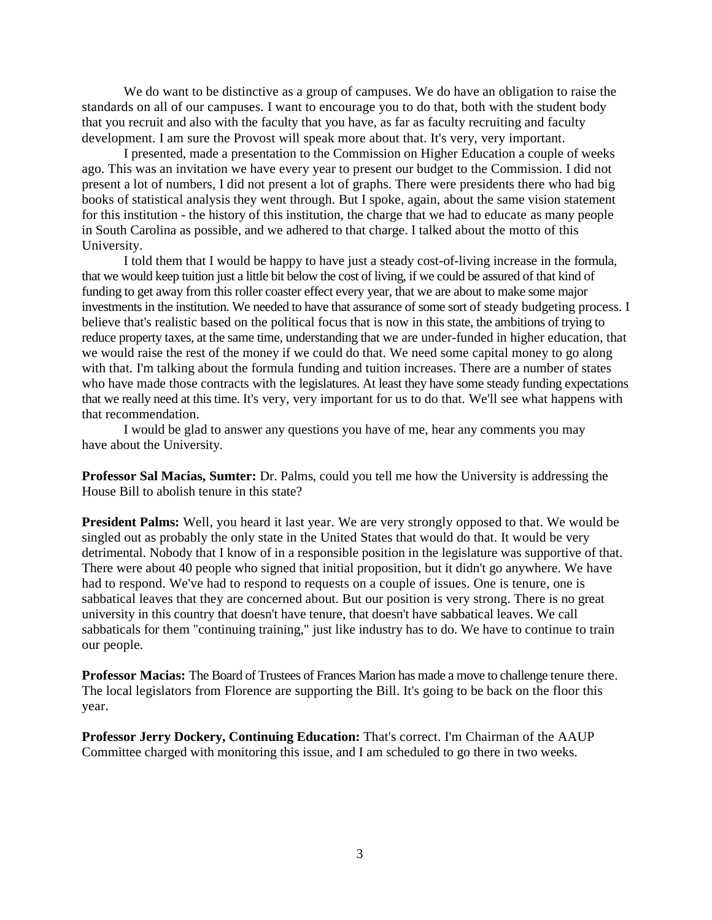We do want to be distinctive as a group of campuses. We do have an obligation to raise the standards on all of our campuses. I want to encourage you to do that, both with the student body that you recruit and also with the faculty that you have, as far as faculty recruiting and faculty development. I am sure the Provost will speak more about that. It's very, very important.

I presented, made a presentation to the Commission on Higher Education a couple of weeks ago. This was an invitation we have every year to present our budget to the Commission. I did not present a lot of numbers, I did not present a lot of graphs. There were presidents there who had big books of statistical analysis they went through. But I spoke, again, about the same vision statement for this institution - the history of this institution, the charge that we had to educate as many people in South Carolina as possible, and we adhered to that charge. I talked about the motto of this University.

I told them that I would be happy to have just a steady cost-of-living increase in the formula, that we would keep tuition just a little bit below the cost of living, if we could be assured of that kind of funding to get away from this roller coaster effect every year, that we are about to make some major investments in the institution. We needed to have that assurance of some sort of steady budgeting process. I believe that's realistic based on the political focus that is now in this state, the ambitions of trying to reduce property taxes, at the same time, understanding that we are under-funded in higher education, that we would raise the rest of the money if we could do that. We need some capital money to go along with that. I'm talking about the formula funding and tuition increases. There are a number of states who have made those contracts with the legislatures. At least they have some steady funding expectations that we really need at this time. It's very, very important for us to do that. We'll see what happens with that recommendation.

I would be glad to answer any questions you have of me, hear any comments you may have about the University.

**Professor Sal Macias, Sumter:** Dr. Palms, could you tell me how the University is addressing the House Bill to abolish tenure in this state?

**President Palms:** Well, you heard it last year. We are very strongly opposed to that. We would be singled out as probably the only state in the United States that would do that. It would be very detrimental. Nobody that I know of in a responsible position in the legislature was supportive of that. There were about 40 people who signed that initial proposition, but it didn't go anywhere. We have had to respond. We've had to respond to requests on a couple of issues. One is tenure, one is sabbatical leaves that they are concerned about. But our position is very strong. There is no great university in this country that doesn't have tenure, that doesn't have sabbatical leaves. We call sabbaticals for them "continuing training," just like industry has to do. We have to continue to train our people.

**Professor Macias:** The Board of Trustees of Frances Marion has made a move to challenge tenure there. The local legislators from Florence are supporting the Bill. It's going to be back on the floor this year.

**Professor Jerry Dockery, Continuing Education:** That's correct. I'm Chairman of the AAUP Committee charged with monitoring this issue, and I am scheduled to go there in two weeks.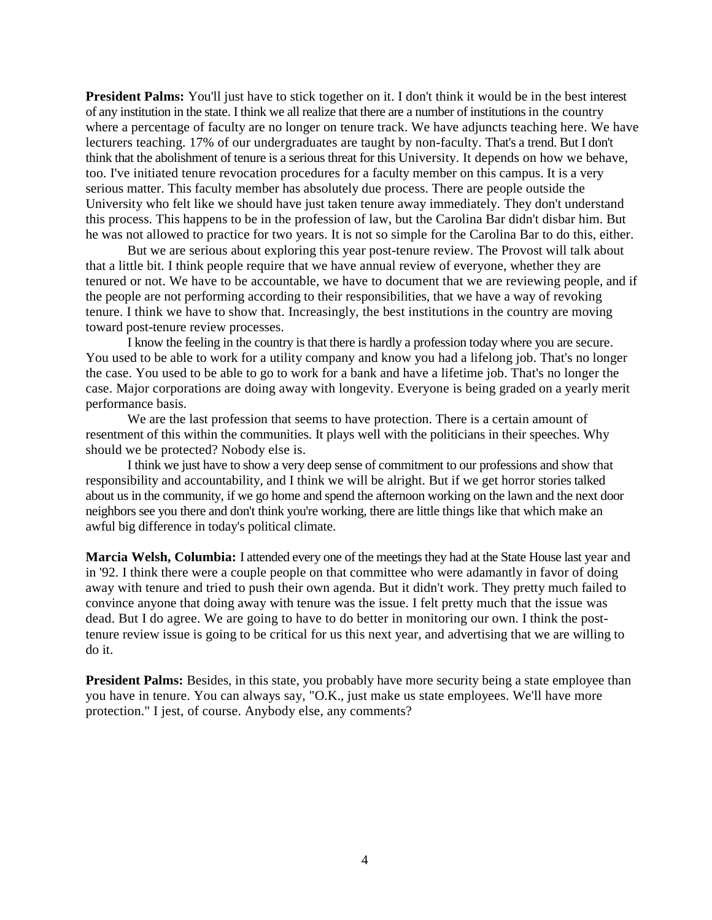**President Palms:** You'll just have to stick together on it. I don't think it would be in the best interest of any institution in the state. I think we all realize that there are a number of institutions in the country where a percentage of faculty are no longer on tenure track. We have adjuncts teaching here. We have lecturers teaching. 17% of our undergraduates are taught by non-faculty. That's a trend. But I don't think that the abolishment of tenure is a serious threat for this University. It depends on how we behave, too. I've initiated tenure revocation procedures for a faculty member on this campus. It is a very serious matter. This faculty member has absolutely due process. There are people outside the University who felt like we should have just taken tenure away immediately. They don't understand this process. This happens to be in the profession of law, but the Carolina Bar didn't disbar him. But he was not allowed to practice for two years. It is not so simple for the Carolina Bar to do this, either.

But we are serious about exploring this year post-tenure review. The Provost will talk about that a little bit. I think people require that we have annual review of everyone, whether they are tenured or not. We have to be accountable, we have to document that we are reviewing people, and if the people are not performing according to their responsibilities, that we have a way of revoking tenure. I think we have to show that. Increasingly, the best institutions in the country are moving toward post-tenure review processes.

I know the feeling in the country is that there is hardly a profession today where you are secure. You used to be able to work for a utility company and know you had a lifelong job. That's no longer the case. You used to be able to go to work for a bank and have a lifetime job. That's no longer the case. Major corporations are doing away with longevity. Everyone is being graded on a yearly merit performance basis.

We are the last profession that seems to have protection. There is a certain amount of resentment of this within the communities. It plays well with the politicians in their speeches. Why should we be protected? Nobody else is.

I think we just have to show a very deep sense of commitment to our professions and show that responsibility and accountability, and I think we will be alright. But if we get horror stories talked about us in the community, if we go home and spend the afternoon working on the lawn and the next door neighbors see you there and don't think you're working, there are little things like that which make an awful big difference in today's political climate.

**Marcia Welsh, Columbia:** I attended every one of the meetings they had at the State House last year and in '92. I think there were a couple people on that committee who were adamantly in favor of doing away with tenure and tried to push their own agenda. But it didn't work. They pretty much failed to convince anyone that doing away with tenure was the issue. I felt pretty much that the issue was dead. But I do agree. We are going to have to do better in monitoring our own. I think the posttenure review issue is going to be critical for us this next year, and advertising that we are willing to do it.

**President Palms:** Besides, in this state, you probably have more security being a state employee than you have in tenure. You can always say, "O.K., just make us state employees. We'll have more protection." I jest, of course. Anybody else, any comments?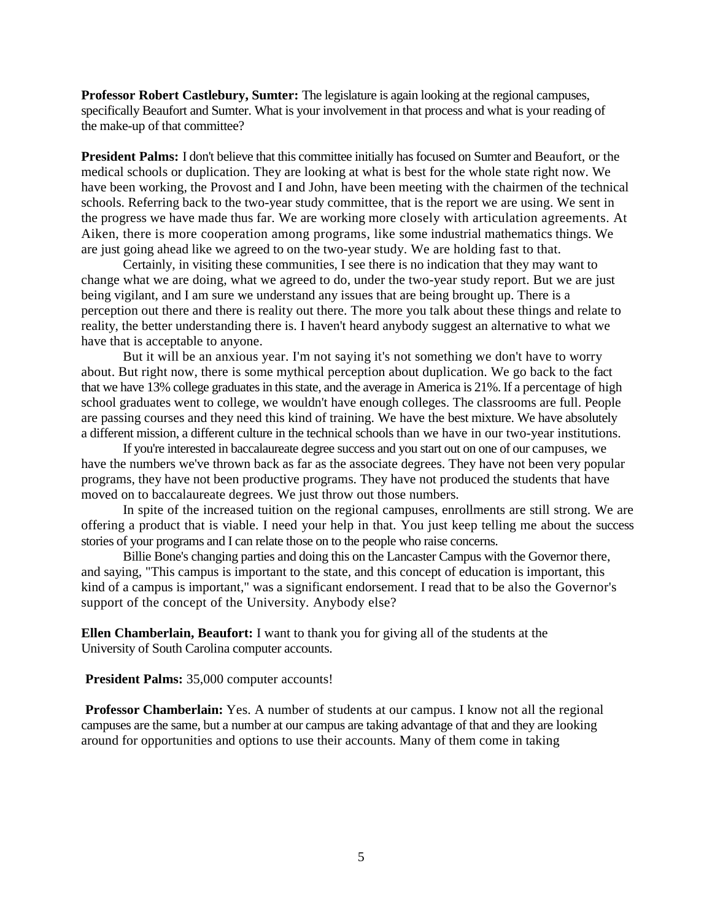**Professor Robert Castlebury, Sumter:** The legislature is again looking at the regional campuses, specifically Beaufort and Sumter. What is your involvement in that process and what is your reading of the make-up of that committee?

**President Palms:** I don't believe that this committee initially has focused on Sumter and Beaufort, or the medical schools or duplication. They are looking at what is best for the whole state right now. We have been working, the Provost and I and John, have been meeting with the chairmen of the technical schools. Referring back to the two-year study committee, that is the report we are using. We sent in the progress we have made thus far. We are working more closely with articulation agreements. At Aiken, there is more cooperation among programs, like some industrial mathematics things. We are just going ahead like we agreed to on the two-year study. We are holding fast to that.

Certainly, in visiting these communities, I see there is no indication that they may want to change what we are doing, what we agreed to do, under the two-year study report. But we are just being vigilant, and I am sure we understand any issues that are being brought up. There is a perception out there and there is reality out there. The more you talk about these things and relate to reality, the better understanding there is. I haven't heard anybody suggest an alternative to what we have that is acceptable to anyone.

But it will be an anxious year. I'm not saying it's not something we don't have to worry about. But right now, there is some mythical perception about duplication. We go back to the fact that we have 13% college graduates in this state, and the average in America is 21%. If a percentage of high school graduates went to college, we wouldn't have enough colleges. The classrooms are full. People are passing courses and they need this kind of training. We have the best mixture. We have absolutely a different mission, a different culture in the technical schools than we have in our two-year institutions.

If you're interested in baccalaureate degree success and you start out on one of our campuses, we have the numbers we've thrown back as far as the associate degrees. They have not been very popular programs, they have not been productive programs. They have not produced the students that have moved on to baccalaureate degrees. We just throw out those numbers.

In spite of the increased tuition on the regional campuses, enrollments are still strong. We are offering a product that is viable. I need your help in that. You just keep telling me about the success stories of your programs and I can relate those on to the people who raise concerns.

Billie Bone's changing parties and doing this on the Lancaster Campus with the Governor there, and saying, "This campus is important to the state, and this concept of education is important, this kind of a campus is important," was a significant endorsement. I read that to be also the Governor's support of the concept of the University. Anybody else?

**Ellen Chamberlain, Beaufort:** I want to thank you for giving all of the students at the University of South Carolina computer accounts.

**President Palms:** 35,000 computer accounts!

**Professor Chamberlain:** Yes. A number of students at our campus. I know not all the regional campuses are the same, but a number at our campus are taking advantage of that and they are looking around for opportunities and options to use their accounts. Many of them come in taking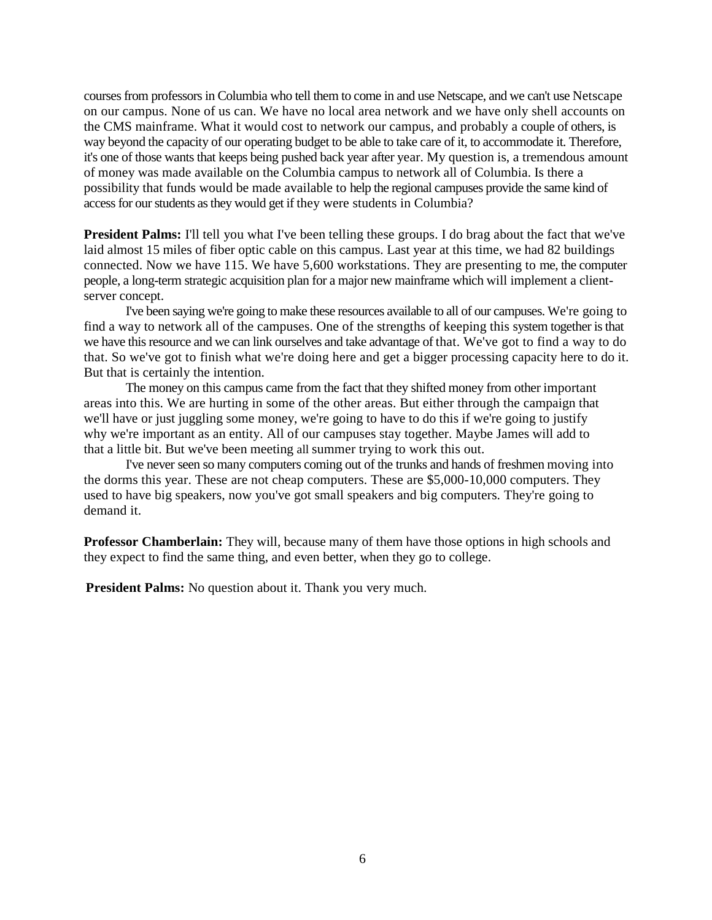courses from professors in Columbia who tell them to come in and use Netscape, and we can't use Netscape on our campus. None of us can. We have no local area network and we have only shell accounts on the CMS mainframe. What it would cost to network our campus, and probably a couple of others, is way beyond the capacity of our operating budget to be able to take care of it, to accommodate it. Therefore, it's one of those wants that keeps being pushed back year after year. My question is, a tremendous amount of money was made available on the Columbia campus to network all of Columbia. Is there a possibility that funds would be made available to help the regional campuses provide the same kind of access for our students as they would get if they were students in Columbia?

**President Palms:** I'll tell you what I've been telling these groups. I do brag about the fact that we've laid almost 15 miles of fiber optic cable on this campus. Last year at this time, we had 82 buildings connected. Now we have 115. We have 5,600 workstations. They are presenting to me, the computer people, a long-term strategic acquisition plan for a major new mainframe which will implement a clientserver concept.

I've been saying we're going to make these resources available to all of our campuses. We're going to find a way to network all of the campuses. One of the strengths of keeping this system together is that we have this resource and we can link ourselves and take advantage of that. We've got to find a way to do that. So we've got to finish what we're doing here and get a bigger processing capacity here to do it. But that is certainly the intention.

The money on this campus came from the fact that they shifted money from other important areas into this. We are hurting in some of the other areas. But either through the campaign that we'll have or just juggling some money, we're going to have to do this if we're going to justify why we're important as an entity. All of our campuses stay together. Maybe James will add to that a little bit. But we've been meeting all summer trying to work this out.

I've never seen so many computers coming out of the trunks and hands of freshmen moving into the dorms this year. These are not cheap computers. These are \$5,000-10,000 computers. They used to have big speakers, now you've got small speakers and big computers. They're going to demand it.

**Professor Chamberlain:** They will, because many of them have those options in high schools and they expect to find the same thing, and even better, when they go to college.

**President Palms:** No question about it. Thank you very much.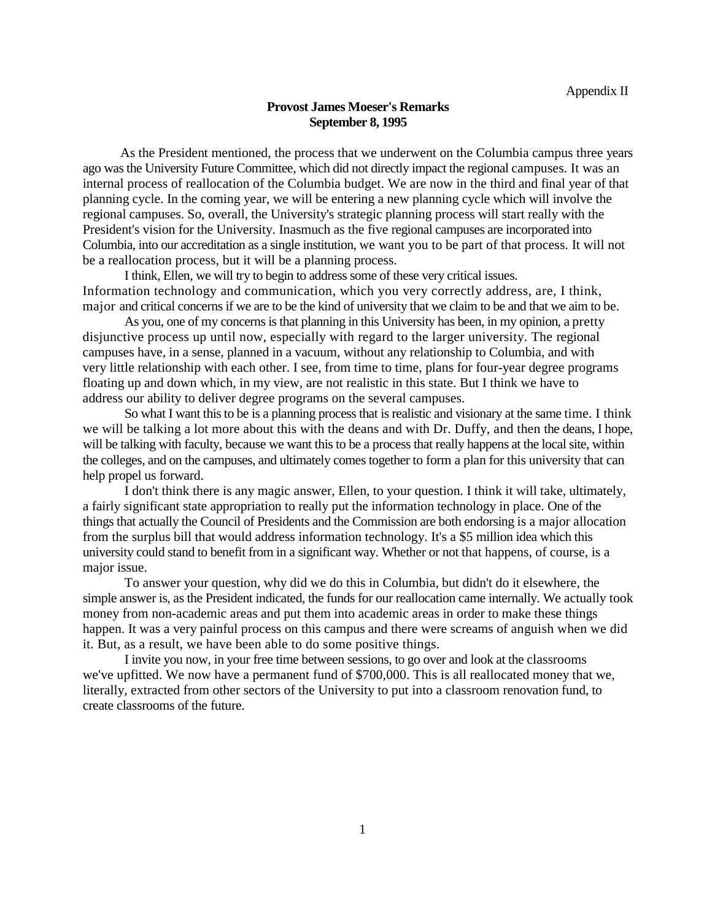#### **Provost James Moeser's Remarks September 8, 1995**

As the President mentioned, the process that we underwent on the Columbia campus three years ago was the University Future Committee, which did not directly impact the regional campuses. It was an internal process of reallocation of the Columbia budget. We are now in the third and final year of that planning cycle. In the coming year, we will be entering a new planning cycle which will involve the regional campuses. So, overall, the University's strategic planning process will start really with the President's vision for the University. Inasmuch as the five regional campuses are incorporated into Columbia, into our accreditation as a single institution, we want you to be part of that process. It will not be a reallocation process, but it will be a planning process.

I think, Ellen, we will try to begin to address some of these very critical issues. Information technology and communication, which you very correctly address, are, I think, major and critical concerns if we are to be the kind of university that we claim to be and that we aim to be.

As you, one of my concerns is that planning in this University has been, in my opinion, a pretty disjunctive process up until now, especially with regard to the larger university. The regional campuses have, in a sense, planned in a vacuum, without any relationship to Columbia, and with very little relationship with each other. I see, from time to time, plans for four-year degree programs floating up and down which, in my view, are not realistic in this state. But I think we have to address our ability to deliver degree programs on the several campuses.

So what I want this to be is a planning process that is realistic and visionary at the same time. I think we will be talking a lot more about this with the deans and with Dr. Duffy, and then the deans, I hope, will be talking with faculty, because we want this to be a process that really happens at the local site, within the colleges, and on the campuses, and ultimately comes together to form a plan for this university that can help propel us forward.

I don't think there is any magic answer, Ellen, to your question. I think it will take, ultimately, a fairly significant state appropriation to really put the information technology in place. One of the things that actually the Council of Presidents and the Commission are both endorsing is a major allocation from the surplus bill that would address information technology. It's a \$5 million idea which this university could stand to benefit from in a significant way. Whether or not that happens, of course, is a major issue.

To answer your question, why did we do this in Columbia, but didn't do it elsewhere, the simple answer is, as the President indicated, the funds for our reallocation came internally. We actually took money from non-academic areas and put them into academic areas in order to make these things happen. It was a very painful process on this campus and there were screams of anguish when we did it. But, as a result, we have been able to do some positive things.

I invite you now, in your free time between sessions, to go over and look at the classrooms we've upfitted. We now have a permanent fund of \$700,000. This is all reallocated money that we, literally, extracted from other sectors of the University to put into a classroom renovation fund, to create classrooms of the future.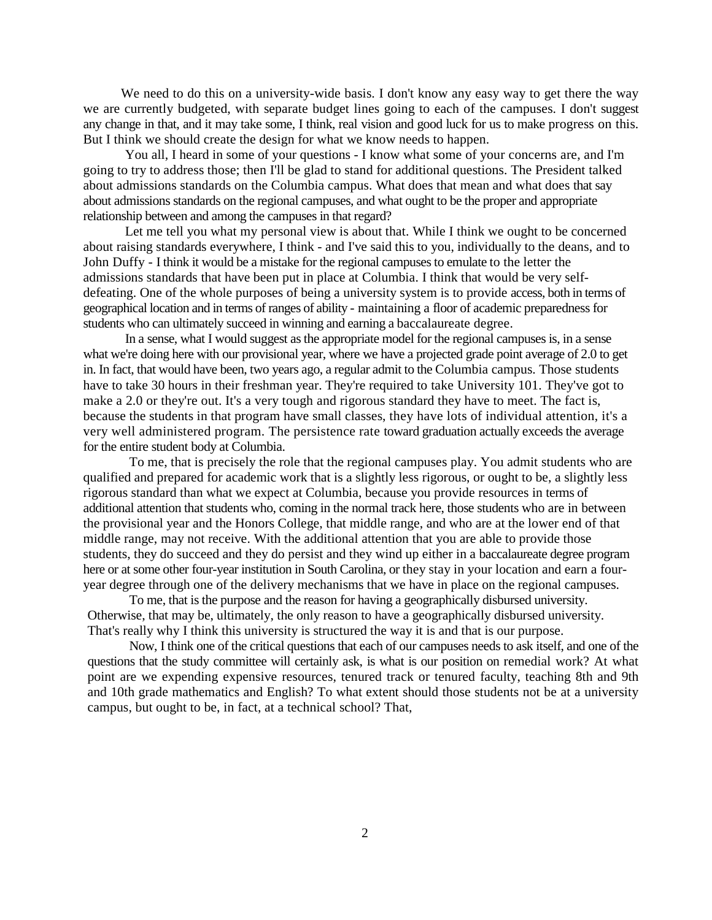We need to do this on a university-wide basis. I don't know any easy way to get there the way we are currently budgeted, with separate budget lines going to each of the campuses. I don't suggest any change in that, and it may take some, I think, real vision and good luck for us to make progress on this. But I think we should create the design for what we know needs to happen.

You all, I heard in some of your questions - I know what some of your concerns are, and I'm going to try to address those; then I'll be glad to stand for additional questions. The President talked about admissions standards on the Columbia campus. What does that mean and what does that say about admissions standards on the regional campuses, and what ought to be the proper and appropriate relationship between and among the campuses in that regard?

Let me tell you what my personal view is about that. While I think we ought to be concerned about raising standards everywhere, I think - and I've said this to you, individually to the deans, and to John Duffy - I think it would be a mistake for the regional campuses to emulate to the letter the admissions standards that have been put in place at Columbia. I think that would be very selfdefeating. One of the whole purposes of being a university system is to provide access, both in terms of geographical location and in terms of ranges of ability - maintaining a floor of academic preparedness for students who can ultimately succeed in winning and earning a baccalaureate degree.

In a sense, what I would suggest as the appropriate model for the regional campuses is, in a sense what we're doing here with our provisional year, where we have a projected grade point average of 2.0 to get in. In fact, that would have been, two years ago, a regular admit to the Columbia campus. Those students have to take 30 hours in their freshman year. They're required to take University 101. They've got to make a 2.0 or they're out. It's a very tough and rigorous standard they have to meet. The fact is, because the students in that program have small classes, they have lots of individual attention, it's a very well administered program. The persistence rate toward graduation actually exceeds the average for the entire student body at Columbia.

To me, that is precisely the role that the regional campuses play. You admit students who are qualified and prepared for academic work that is a slightly less rigorous, or ought to be, a slightly less rigorous standard than what we expect at Columbia, because you provide resources in terms of additional attention that students who, coming in the normal track here, those students who are in between the provisional year and the Honors College, that middle range, and who are at the lower end of that middle range, may not receive. With the additional attention that you are able to provide those students, they do succeed and they do persist and they wind up either in a baccalaureate degree program here or at some other four-year institution in South Carolina, or they stay in your location and earn a fouryear degree through one of the delivery mechanisms that we have in place on the regional campuses.

To me, that is the purpose and the reason for having a geographically disbursed university. Otherwise, that may be, ultimately, the only reason to have a geographically disbursed university. That's really why I think this university is structured the way it is and that is our purpose.

Now, I think one of the critical questions that each of our campuses needs to ask itself, and one of the questions that the study committee will certainly ask, is what is our position on remedial work? At what point are we expending expensive resources, tenured track or tenured faculty, teaching 8th and 9th and 10th grade mathematics and English? To what extent should those students not be at a university campus, but ought to be, in fact, at a technical school? That,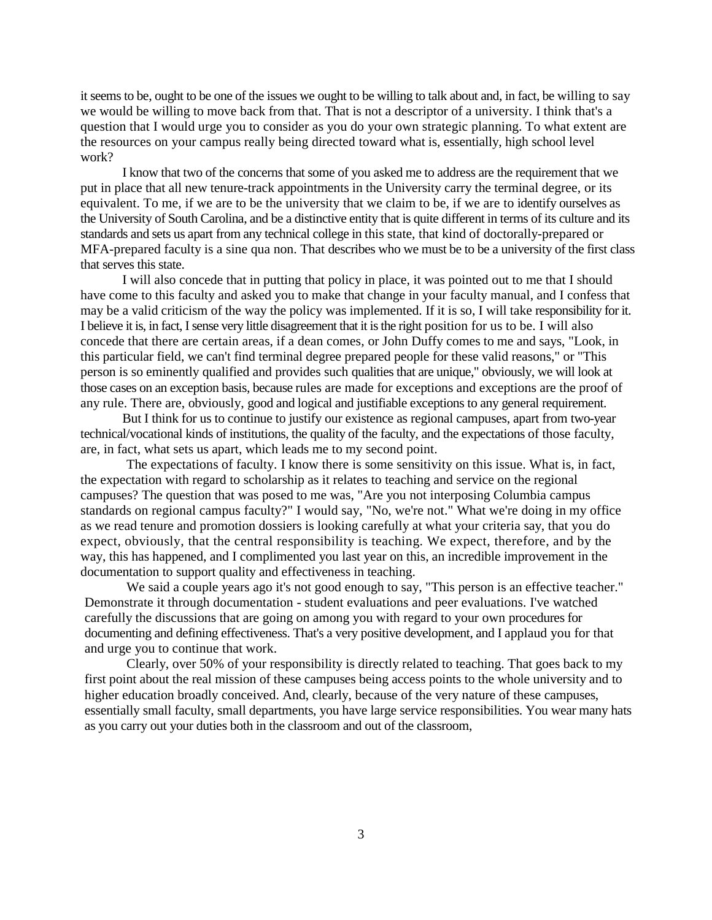it seems to be, ought to be one of the issues we ought to be willing to talk about and, in fact, be willing to say we would be willing to move back from that. That is not a descriptor of a university. I think that's a question that I would urge you to consider as you do your own strategic planning. To what extent are the resources on your campus really being directed toward what is, essentially, high school level work?

I know that two of the concerns that some of you asked me to address are the requirement that we put in place that all new tenure-track appointments in the University carry the terminal degree, or its equivalent. To me, if we are to be the university that we claim to be, if we are to identify ourselves as the University of South Carolina, and be a distinctive entity that is quite different in terms of its culture and its standards and sets us apart from any technical college in this state, that kind of doctorally-prepared or MFA-prepared faculty is a sine qua non. That describes who we must be to be a university of the first class that serves this state.

I will also concede that in putting that policy in place, it was pointed out to me that I should have come to this faculty and asked you to make that change in your faculty manual, and I confess that may be a valid criticism of the way the policy was implemented. If it is so, I will take responsibility for it. I believe it is, in fact, I sense very little disagreement that it is the right position for us to be. I will also concede that there are certain areas, if a dean comes, or John Duffy comes to me and says, "Look, in this particular field, we can't find terminal degree prepared people for these valid reasons," or "This person is so eminently qualified and provides such qualities that are unique," obviously, we will look at those cases on an exception basis, because rules are made for exceptions and exceptions are the proof of any rule. There are, obviously, good and logical and justifiable exceptions to any general requirement.

But I think for us to continue to justify our existence as regional campuses, apart from two-year technical/vocational kinds of institutions, the quality of the faculty, and the expectations of those faculty, are, in fact, what sets us apart, which leads me to my second point.

The expectations of faculty. I know there is some sensitivity on this issue. What is, in fact, the expectation with regard to scholarship as it relates to teaching and service on the regional campuses? The question that was posed to me was, "Are you not interposing Columbia campus standards on regional campus faculty?" I would say, "No, we're not." What we're doing in my office as we read tenure and promotion dossiers is looking carefully at what your criteria say, that you do expect, obviously, that the central responsibility is teaching. We expect, therefore, and by the way, this has happened, and I complimented you last year on this, an incredible improvement in the documentation to support quality and effectiveness in teaching.

We said a couple years ago it's not good enough to say, "This person is an effective teacher." Demonstrate it through documentation - student evaluations and peer evaluations. I've watched carefully the discussions that are going on among you with regard to your own procedures for documenting and defining effectiveness. That's a very positive development, and I applaud you for that and urge you to continue that work.

Clearly, over 50% of your responsibility is directly related to teaching. That goes back to my first point about the real mission of these campuses being access points to the whole university and to higher education broadly conceived. And, clearly, because of the very nature of these campuses, essentially small faculty, small departments, you have large service responsibilities. You wear many hats as you carry out your duties both in the classroom and out of the classroom,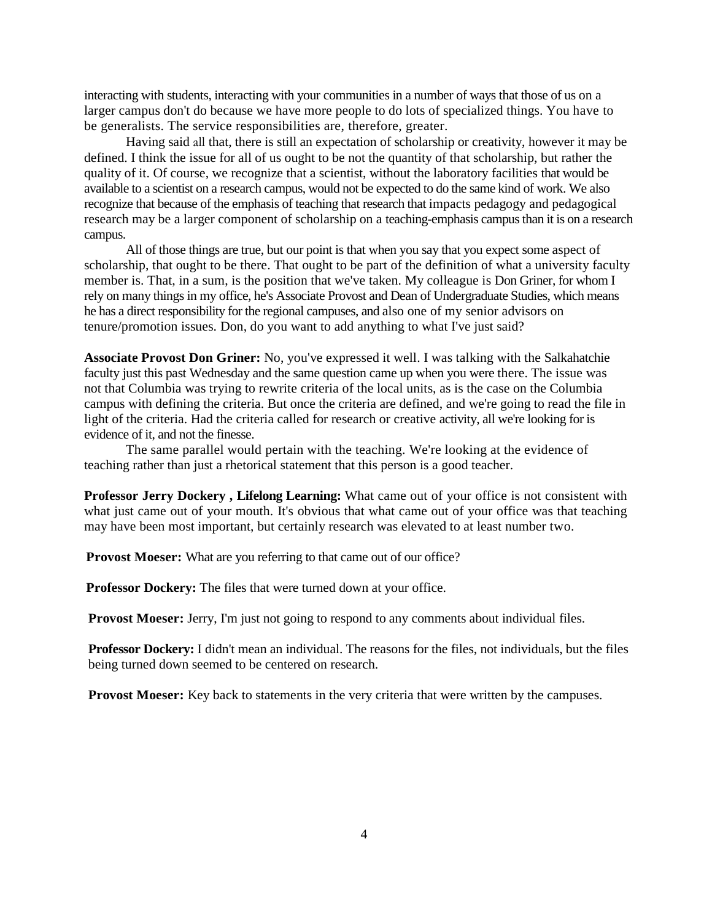interacting with students, interacting with your communities in a number of ways that those of us on a larger campus don't do because we have more people to do lots of specialized things. You have to be generalists. The service responsibilities are, therefore, greater.

Having said all that, there is still an expectation of scholarship or creativity, however it may be defined. I think the issue for all of us ought to be not the quantity of that scholarship, but rather the quality of it. Of course, we recognize that a scientist, without the laboratory facilities that would be available to a scientist on a research campus, would not be expected to do the same kind of work. We also recognize that because of the emphasis of teaching that research that impacts pedagogy and pedagogical research may be a larger component of scholarship on a teaching-emphasis campus than it is on a research campus.

All of those things are true, but our point is that when you say that you expect some aspect of scholarship, that ought to be there. That ought to be part of the definition of what a university faculty member is. That, in a sum, is the position that we've taken. My colleague is Don Griner, for whom I rely on many things in my office, he's Associate Provost and Dean of Undergraduate Studies, which means he has a direct responsibility for the regional campuses, and also one of my senior advisors on tenure/promotion issues. Don, do you want to add anything to what I've just said?

**Associate Provost Don Griner:** No, you've expressed it well. I was talking with the Salkahatchie faculty just this past Wednesday and the same question came up when you were there. The issue was not that Columbia was trying to rewrite criteria of the local units, as is the case on the Columbia campus with defining the criteria. But once the criteria are defined, and we're going to read the file in light of the criteria. Had the criteria called for research or creative activity, all we're looking for is evidence of it, and not the finesse.

The same parallel would pertain with the teaching. We're looking at the evidence of teaching rather than just a rhetorical statement that this person is a good teacher.

**Professor Jerry Dockery , Lifelong Learning:** What came out of your office is not consistent with what just came out of your mouth. It's obvious that what came out of your office was that teaching may have been most important, but certainly research was elevated to at least number two.

**Provost Moeser:** What are you referring to that came out of our office?

**Professor Dockery:** The files that were turned down at your office.

**Provost Moeser:** Jerry, I'm just not going to respond to any comments about individual files.

**Professor Dockery:** I didn't mean an individual. The reasons for the files, not individuals, but the files being turned down seemed to be centered on research.

**Provost Moeser:** Key back to statements in the very criteria that were written by the campuses.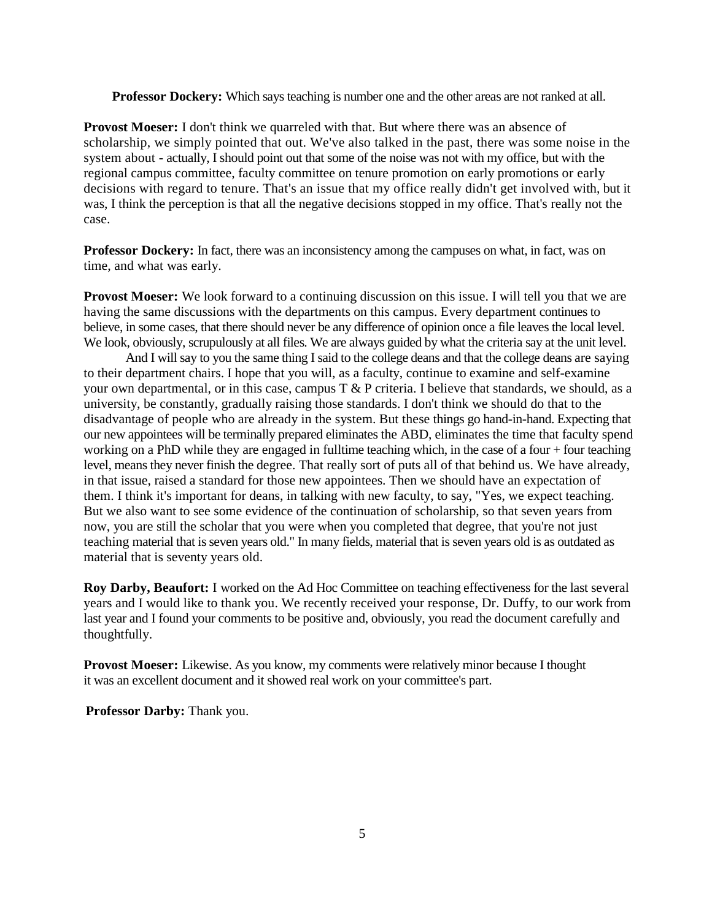**Professor Dockery:** Which says teaching is number one and the other areas are not ranked at all.

**Provost Moeser:** I don't think we quarreled with that. But where there was an absence of scholarship, we simply pointed that out. We've also talked in the past, there was some noise in the system about - actually, I should point out that some of the noise was not with my office, but with the regional campus committee, faculty committee on tenure promotion on early promotions or early decisions with regard to tenure. That's an issue that my office really didn't get involved with, but it was, I think the perception is that all the negative decisions stopped in my office. That's really not the case.

**Professor Dockery:** In fact, there was an inconsistency among the campuses on what, in fact, was on time, and what was early.

**Provost Moeser:** We look forward to a continuing discussion on this issue. I will tell you that we are having the same discussions with the departments on this campus. Every department continues to believe, in some cases, that there should never be any difference of opinion once a file leaves the local level. We look, obviously, scrupulously at all files. We are always guided by what the criteria say at the unit level.

And I will say to you the same thing I said to the college deans and that the college deans are saying to their department chairs. I hope that you will, as a faculty, continue to examine and self-examine your own departmental, or in this case, campus  $T \& P$  criteria. I believe that standards, we should, as a university, be constantly, gradually raising those standards. I don't think we should do that to the disadvantage of people who are already in the system. But these things go hand-in-hand. Expecting that our new appointees will be terminally prepared eliminates the ABD, eliminates the time that faculty spend working on a PhD while they are engaged in fulltime teaching which, in the case of a four + four teaching level, means they never finish the degree. That really sort of puts all of that behind us. We have already, in that issue, raised a standard for those new appointees. Then we should have an expectation of them. I think it's important for deans, in talking with new faculty, to say, "Yes, we expect teaching. But we also want to see some evidence of the continuation of scholarship, so that seven years from now, you are still the scholar that you were when you completed that degree, that you're not just teaching material that is seven years old." In many fields, material that is seven years old is as outdated as material that is seventy years old.

**Roy Darby, Beaufort:** I worked on the Ad Hoc Committee on teaching effectiveness for the last several years and I would like to thank you. We recently received your response, Dr. Duffy, to our work from last year and I found your comments to be positive and, obviously, you read the document carefully and thoughtfully.

**Provost Moeser:** Likewise. As you know, my comments were relatively minor because I thought it was an excellent document and it showed real work on your committee's part.

**Professor Darby:** Thank you.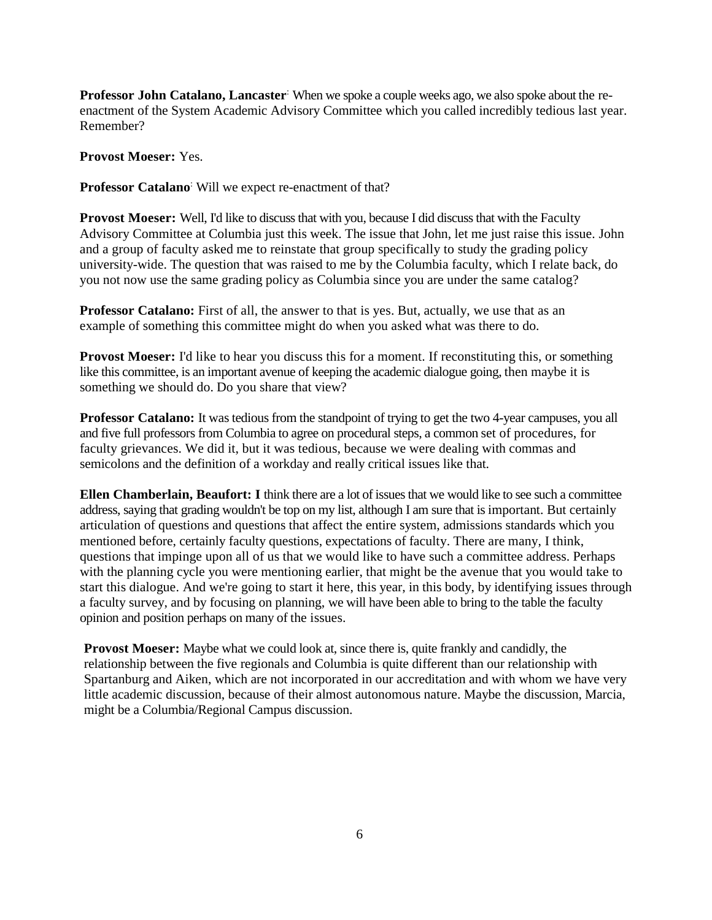**Professor John Catalano, Lancaster**: When we spoke a couple weeks ago, we also spoke about the reenactment of the System Academic Advisory Committee which you called incredibly tedious last year. Remember?

**Provost Moeser:** Yes.

**Professor Catalano**: Will we expect re-enactment of that?

**Provost Moeser:** Well, I'd like to discuss that with you, because I did discuss that with the Faculty Advisory Committee at Columbia just this week. The issue that John, let me just raise this issue. John and a group of faculty asked me to reinstate that group specifically to study the grading policy university-wide. The question that was raised to me by the Columbia faculty, which I relate back, do you not now use the same grading policy as Columbia since you are under the same catalog?

**Professor Catalano:** First of all, the answer to that is yes. But, actually, we use that as an example of something this committee might do when you asked what was there to do.

**Provost Moeser:** I'd like to hear you discuss this for a moment. If reconstituting this, or something like this committee, is an important avenue of keeping the academic dialogue going, then maybe it is something we should do. Do you share that view?

**Professor Catalano:** It was tedious from the standpoint of trying to get the two 4-year campuses, you all and five full professors from Columbia to agree on procedural steps, a common set of procedures, for faculty grievances. We did it, but it was tedious, because we were dealing with commas and semicolons and the definition of a workday and really critical issues like that.

**Ellen Chamberlain, Beaufort: I** think there are a lot of issues that we would like to see such a committee address, saying that grading wouldn't be top on my list, although I am sure that is important. But certainly articulation of questions and questions that affect the entire system, admissions standards which you mentioned before, certainly faculty questions, expectations of faculty. There are many, I think, questions that impinge upon all of us that we would like to have such a committee address. Perhaps with the planning cycle you were mentioning earlier, that might be the avenue that you would take to start this dialogue. And we're going to start it here, this year, in this body, by identifying issues through a faculty survey, and by focusing on planning, we will have been able to bring to the table the faculty opinion and position perhaps on many of the issues.

**Provost Moeser:** Maybe what we could look at, since there is, quite frankly and candidly, the relationship between the five regionals and Columbia is quite different than our relationship with Spartanburg and Aiken, which are not incorporated in our accreditation and with whom we have very little academic discussion, because of their almost autonomous nature. Maybe the discussion, Marcia, might be a Columbia/Regional Campus discussion.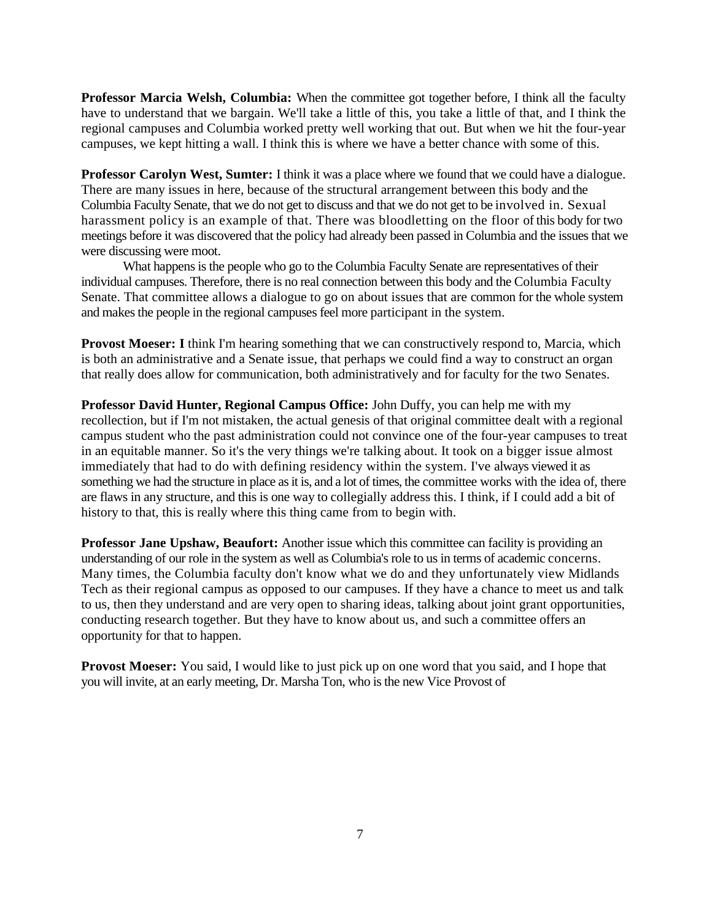**Professor Marcia Welsh, Columbia:** When the committee got together before, I think all the faculty have to understand that we bargain. We'll take a little of this, you take a little of that, and I think the regional campuses and Columbia worked pretty well working that out. But when we hit the four-year campuses, we kept hitting a wall. I think this is where we have a better chance with some of this.

**Professor Carolyn West, Sumter:** I think it was a place where we found that we could have a dialogue. There are many issues in here, because of the structural arrangement between this body and the Columbia Faculty Senate, that we do not get to discuss and that we do not get to be involved in. Sexual harassment policy is an example of that. There was bloodletting on the floor of this body for two meetings before it was discovered that the policy had already been passed in Columbia and the issues that we were discussing were moot.

What happens is the people who go to the Columbia Faculty Senate are representatives of their individual campuses. Therefore, there is no real connection between this body and the Columbia Faculty Senate. That committee allows a dialogue to go on about issues that are common for the whole system and makes the people in the regional campuses feel more participant in the system.

**Provost Moeser: I** think I'm hearing something that we can constructively respond to, Marcia, which is both an administrative and a Senate issue, that perhaps we could find a way to construct an organ that really does allow for communication, both administratively and for faculty for the two Senates.

**Professor David Hunter, Regional Campus Office:** John Duffy, you can help me with my recollection, but if I'm not mistaken, the actual genesis of that original committee dealt with a regional campus student who the past administration could not convince one of the four-year campuses to treat in an equitable manner. So it's the very things we're talking about. It took on a bigger issue almost immediately that had to do with defining residency within the system. I've always viewed it as something we had the structure in place as it is, and a lot of times, the committee works with the idea of, there are flaws in any structure, and this is one way to collegially address this. I think, if I could add a bit of history to that, this is really where this thing came from to begin with.

**Professor Jane Upshaw, Beaufort:** Another issue which this committee can facility is providing an understanding of our role in the system as well as Columbia's role to us in terms of academic concerns. Many times, the Columbia faculty don't know what we do and they unfortunately view Midlands Tech as their regional campus as opposed to our campuses. If they have a chance to meet us and talk to us, then they understand and are very open to sharing ideas, talking about joint grant opportunities, conducting research together. But they have to know about us, and such a committee offers an opportunity for that to happen.

**Provost Moeser:** You said, I would like to just pick up on one word that you said, and I hope that you will invite, at an early meeting, Dr. Marsha Ton, who is the new Vice Provost of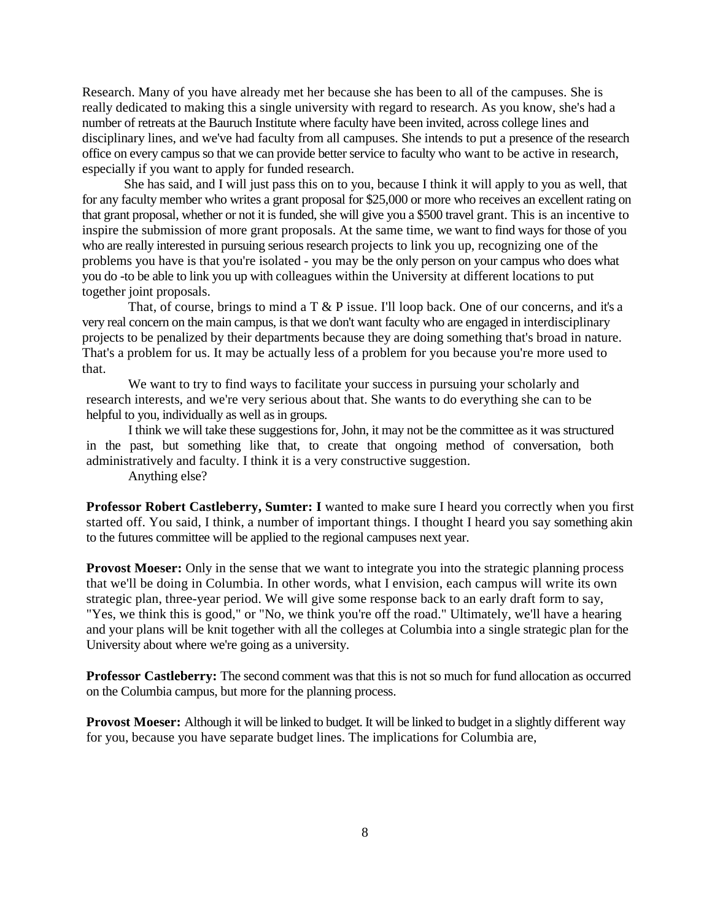Research. Many of you have already met her because she has been to all of the campuses. She is really dedicated to making this a single university with regard to research. As you know, she's had a number of retreats at the Bauruch Institute where faculty have been invited, across college lines and disciplinary lines, and we've had faculty from all campuses. She intends to put a presence of the research office on every campus so that we can provide better service to faculty who want to be active in research, especially if you want to apply for funded research.

She has said, and I will just pass this on to you, because I think it will apply to you as well, that for any faculty member who writes a grant proposal for \$25,000 or more who receives an excellent rating on that grant proposal, whether or not it is funded, she will give you a \$500 travel grant. This is an incentive to inspire the submission of more grant proposals. At the same time, we want to find ways for those of you who are really interested in pursuing serious research projects to link you up, recognizing one of the problems you have is that you're isolated - you may be the only person on your campus who does what you do -to be able to link you up with colleagues within the University at different locations to put together joint proposals.

That, of course, brings to mind a T & P issue. I'll loop back. One of our concerns, and it's a very real concern on the main campus, is that we don't want faculty who are engaged in interdisciplinary projects to be penalized by their departments because they are doing something that's broad in nature. That's a problem for us. It may be actually less of a problem for you because you're more used to that.

We want to try to find ways to facilitate your success in pursuing your scholarly and research interests, and we're very serious about that. She wants to do everything she can to be helpful to you, individually as well as in groups.

I think we will take these suggestions for, John, it may not be the committee as it was structured in the past, but something like that, to create that ongoing method of conversation, both administratively and faculty. I think it is a very constructive suggestion.

Anything else?

**Professor Robert Castleberry, Sumter: I** wanted to make sure I heard you correctly when you first started off. You said, I think, a number of important things. I thought I heard you say something akin to the futures committee will be applied to the regional campuses next year.

**Provost Moeser:** Only in the sense that we want to integrate you into the strategic planning process that we'll be doing in Columbia. In other words, what I envision, each campus will write its own strategic plan, three-year period. We will give some response back to an early draft form to say, "Yes, we think this is good," or "No, we think you're off the road." Ultimately, we'll have a hearing and your plans will be knit together with all the colleges at Columbia into a single strategic plan for the University about where we're going as a university.

**Professor Castleberry:** The second comment was that this is not so much for fund allocation as occurred on the Columbia campus, but more for the planning process.

**Provost Moeser:** Although it will be linked to budget. It will be linked to budget in a slightly different way for you, because you have separate budget lines. The implications for Columbia are,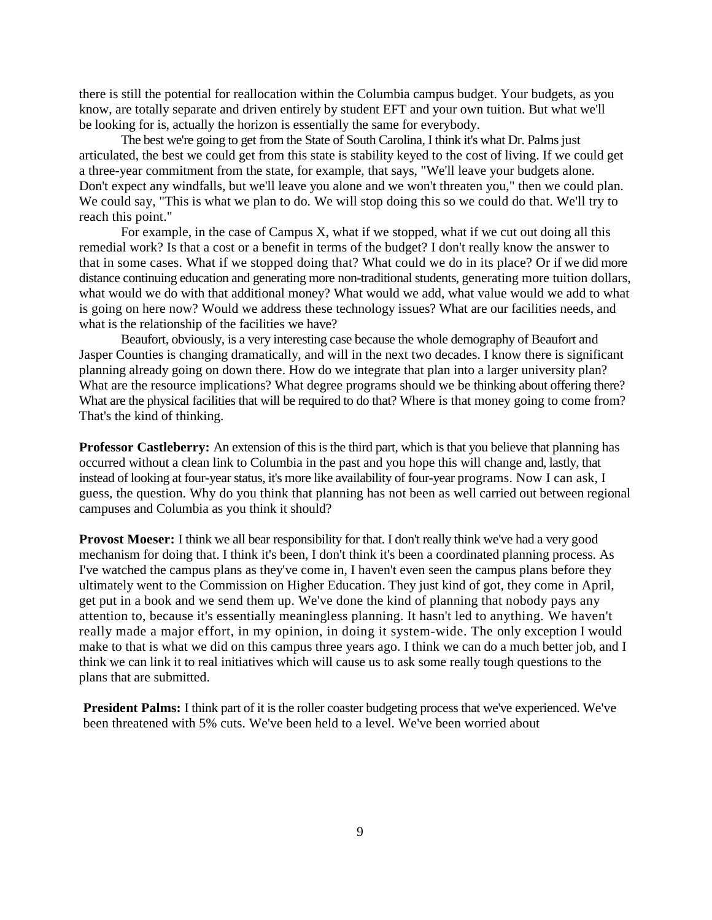there is still the potential for reallocation within the Columbia campus budget. Your budgets, as you know, are totally separate and driven entirely by student EFT and your own tuition. But what we'll be looking for is, actually the horizon is essentially the same for everybody.

The best we're going to get from the State of South Carolina, I think it's what Dr. Palms just articulated, the best we could get from this state is stability keyed to the cost of living. If we could get a three-year commitment from the state, for example, that says, "We'll leave your budgets alone. Don't expect any windfalls, but we'll leave you alone and we won't threaten you," then we could plan. We could say, "This is what we plan to do. We will stop doing this so we could do that. We'll try to reach this point."

For example, in the case of Campus X, what if we stopped, what if we cut out doing all this remedial work? Is that a cost or a benefit in terms of the budget? I don't really know the answer to that in some cases. What if we stopped doing that? What could we do in its place? Or if we did more distance continuing education and generating more non-traditional students, generating more tuition dollars, what would we do with that additional money? What would we add, what value would we add to what is going on here now? Would we address these technology issues? What are our facilities needs, and what is the relationship of the facilities we have?

Beaufort, obviously, is a very interesting case because the whole demography of Beaufort and Jasper Counties is changing dramatically, and will in the next two decades. I know there is significant planning already going on down there. How do we integrate that plan into a larger university plan? What are the resource implications? What degree programs should we be thinking about offering there? What are the physical facilities that will be required to do that? Where is that money going to come from? That's the kind of thinking.

**Professor Castleberry:** An extension of this is the third part, which is that you believe that planning has occurred without a clean link to Columbia in the past and you hope this will change and, lastly, that instead of looking at four-year status, it's more like availability of four-year programs. Now I can ask, I guess, the question. Why do you think that planning has not been as well carried out between regional campuses and Columbia as you think it should?

**Provost Moeser:** I think we all bear responsibility for that. I don't really think we've had a very good mechanism for doing that. I think it's been, I don't think it's been a coordinated planning process. As I've watched the campus plans as they've come in, I haven't even seen the campus plans before they ultimately went to the Commission on Higher Education. They just kind of got, they come in April, get put in a book and we send them up. We've done the kind of planning that nobody pays any attention to, because it's essentially meaningless planning. It hasn't led to anything. We haven't really made a major effort, in my opinion, in doing it system-wide. The only exception I would make to that is what we did on this campus three years ago. I think we can do a much better job, and I think we can link it to real initiatives which will cause us to ask some really tough questions to the plans that are submitted.

**President Palms:** I think part of it is the roller coaster budgeting process that we've experienced. We've been threatened with 5% cuts. We've been held to a level. We've been worried about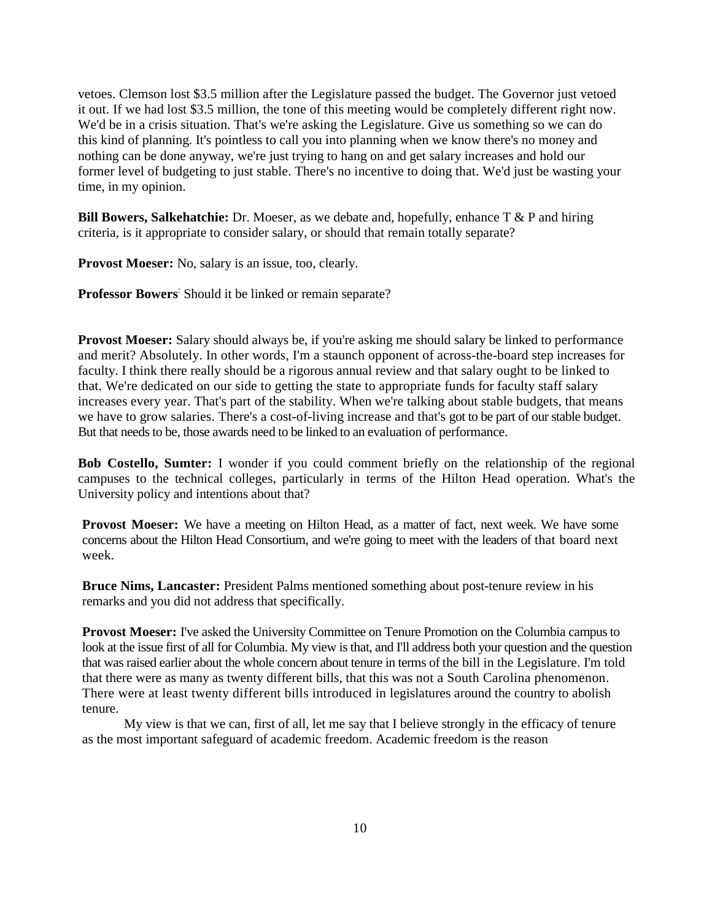vetoes. Clemson lost \$3.5 million after the Legislature passed the budget. The Governor just vetoed it out. If we had lost \$3.5 million, the tone of this meeting would be completely different right now. We'd be in a crisis situation. That's we're asking the Legislature. Give us something so we can do this kind of planning. It's pointless to call you into planning when we know there's no money and nothing can be done anyway, we're just trying to hang on and get salary increases and hold our former level of budgeting to just stable. There's no incentive to doing that. We'd just be wasting your time, in my opinion.

**Bill Bowers, Salkehatchie:** Dr. Moeser, as we debate and, hopefully, enhance T & P and hiring criteria, is it appropriate to consider salary, or should that remain totally separate?

**Provost Moeser:** No, salary is an issue, too, clearly.

**Professor Bowers**: Should it be linked or remain separate?

**Provost Moeser:** Salary should always be, if you're asking me should salary be linked to performance and merit? Absolutely. In other words, I'm a staunch opponent of across-the-board step increases for faculty. I think there really should be a rigorous annual review and that salary ought to be linked to that. We're dedicated on our side to getting the state to appropriate funds for faculty staff salary increases every year. That's part of the stability. When we're talking about stable budgets, that means we have to grow salaries. There's a cost-of-living increase and that's got to be part of our stable budget. But that needs to be, those awards need to be linked to an evaluation of performance.

**Bob Costello, Sumter:** I wonder if you could comment briefly on the relationship of the regional campuses to the technical colleges, particularly in terms of the Hilton Head operation. What's the University policy and intentions about that?

**Provost Moeser:** We have a meeting on Hilton Head, as a matter of fact, next week. We have some concerns about the Hilton Head Consortium, and we're going to meet with the leaders of that board next week.

**Bruce Nims, Lancaster:** President Palms mentioned something about post-tenure review in his remarks and you did not address that specifically.

**Provost Moeser:** I've asked the University Committee on Tenure Promotion on the Columbia campus to look at the issue first of all for Columbia. My view is that, and I'll address both your question and the question that was raised earlier about the whole concern about tenure in terms of the bill in the Legislature. I'm told that there were as many as twenty different bills, that this was not a South Carolina phenomenon. There were at least twenty different bills introduced in legislatures around the country to abolish tenure.

My view is that we can, first of all, let me say that I believe strongly in the efficacy of tenure as the most important safeguard of academic freedom. Academic freedom is the reason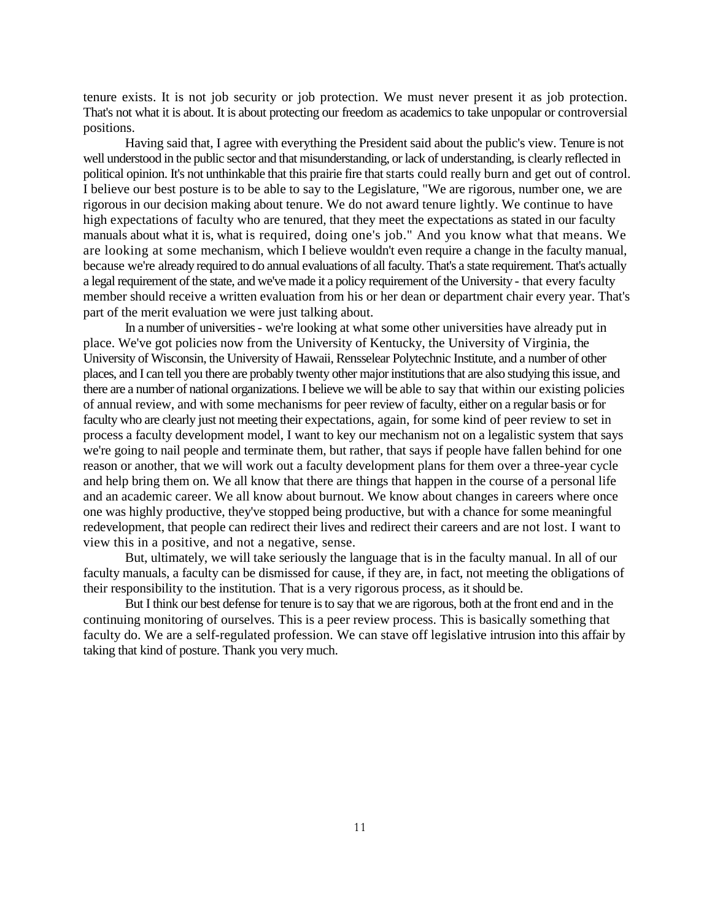tenure exists. It is not job security or job protection. We must never present it as job protection. That's not what it is about. It is about protecting our freedom as academics to take unpopular or controversial positions.

Having said that, I agree with everything the President said about the public's view. Tenure is not well understood in the public sector and that misunderstanding, or lack of understanding, is clearly reflected in political opinion. It's not unthinkable that this prairie fire that starts could really burn and get out of control. I believe our best posture is to be able to say to the Legislature, "We are rigorous, number one, we are rigorous in our decision making about tenure. We do not award tenure lightly. We continue to have high expectations of faculty who are tenured, that they meet the expectations as stated in our faculty manuals about what it is, what is required, doing one's job." And you know what that means. We are looking at some mechanism, which I believe wouldn't even require a change in the faculty manual, because we're already required to do annual evaluations of all faculty. That's a state requirement. That's actually a legal requirement of the state, and we've made it a policy requirement of the University - that every faculty member should receive a written evaluation from his or her dean or department chair every year. That's part of the merit evaluation we were just talking about.

In a number of universities - we're looking at what some other universities have already put in place. We've got policies now from the University of Kentucky, the University of Virginia, the University of Wisconsin, the University of Hawaii, Rensselear Polytechnic Institute, and a number of other places, and I can tell you there are probably twenty other major institutions that are also studying this issue, and there are a number of national organizations. I believe we will be able to say that within our existing policies of annual review, and with some mechanisms for peer review of faculty, either on a regular basis or for faculty who are clearly just not meeting their expectations, again, for some kind of peer review to set in process a faculty development model, I want to key our mechanism not on a legalistic system that says we're going to nail people and terminate them, but rather, that says if people have fallen behind for one reason or another, that we will work out a faculty development plans for them over a three-year cycle and help bring them on. We all know that there are things that happen in the course of a personal life and an academic career. We all know about burnout. We know about changes in careers where once one was highly productive, they've stopped being productive, but with a chance for some meaningful redevelopment, that people can redirect their lives and redirect their careers and are not lost. I want to view this in a positive, and not a negative, sense.

But, ultimately, we will take seriously the language that is in the faculty manual. In all of our faculty manuals, a faculty can be dismissed for cause, if they are, in fact, not meeting the obligations of their responsibility to the institution. That is a very rigorous process, as it should be.

But I think our best defense for tenure is to say that we are rigorous, both at the front end and in the continuing monitoring of ourselves. This is a peer review process. This is basically something that faculty do. We are a self-regulated profession. We can stave off legislative intrusion into this affair by taking that kind of posture. Thank you very much.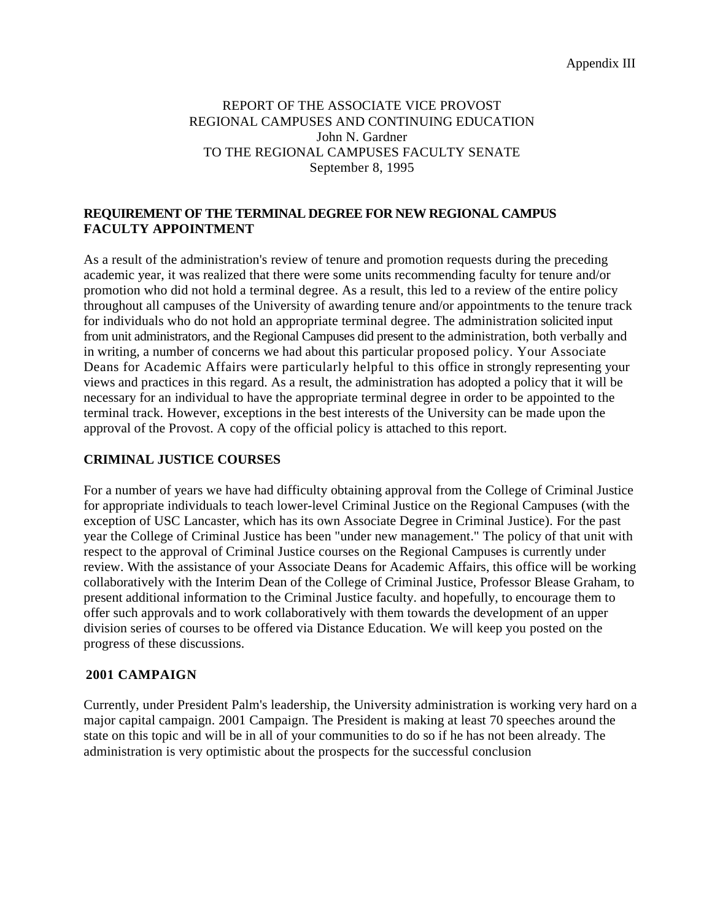Appendix III

## REPORT OF THE ASSOCIATE VICE PROVOST REGIONAL CAMPUSES AND CONTINUING EDUCATION John N. Gardner TO THE REGIONAL CAMPUSES FACULTY SENATE September 8, 1995

# **REQUIREMENT OF THE TERMINAL DEGREE FOR NEW REGIONAL CAMPUS FACULTY APPOINTMENT**

As a result of the administration's review of tenure and promotion requests during the preceding academic year, it was realized that there were some units recommending faculty for tenure and/or promotion who did not hold a terminal degree. As a result, this led to a review of the entire policy throughout all campuses of the University of awarding tenure and/or appointments to the tenure track for individuals who do not hold an appropriate terminal degree. The administration solicited input from unit administrators, and the Regional Campuses did present to the administration, both verbally and in writing, a number of concerns we had about this particular proposed policy. Your Associate Deans for Academic Affairs were particularly helpful to this office in strongly representing your views and practices in this regard. As a result, the administration has adopted a policy that it will be necessary for an individual to have the appropriate terminal degree in order to be appointed to the terminal track. However, exceptions in the best interests of the University can be made upon the approval of the Provost. A copy of the official policy is attached to this report.

# **CRIMINAL JUSTICE COURSES**

For a number of years we have had difficulty obtaining approval from the College of Criminal Justice for appropriate individuals to teach lower-level Criminal Justice on the Regional Campuses (with the exception of USC Lancaster, which has its own Associate Degree in Criminal Justice). For the past year the College of Criminal Justice has been "under new management." The policy of that unit with respect to the approval of Criminal Justice courses on the Regional Campuses is currently under review. With the assistance of your Associate Deans for Academic Affairs, this office will be working collaboratively with the Interim Dean of the College of Criminal Justice, Professor Blease Graham, to present additional information to the Criminal Justice faculty. and hopefully, to encourage them to offer such approvals and to work collaboratively with them towards the development of an upper division series of courses to be offered via Distance Education. We will keep you posted on the progress of these discussions.

### **2001 CAMPAIGN**

Currently, under President Palm's leadership, the University administration is working very hard on a major capital campaign. 2001 Campaign. The President is making at least 70 speeches around the state on this topic and will be in all of your communities to do so if he has not been already. The administration is very optimistic about the prospects for the successful conclusion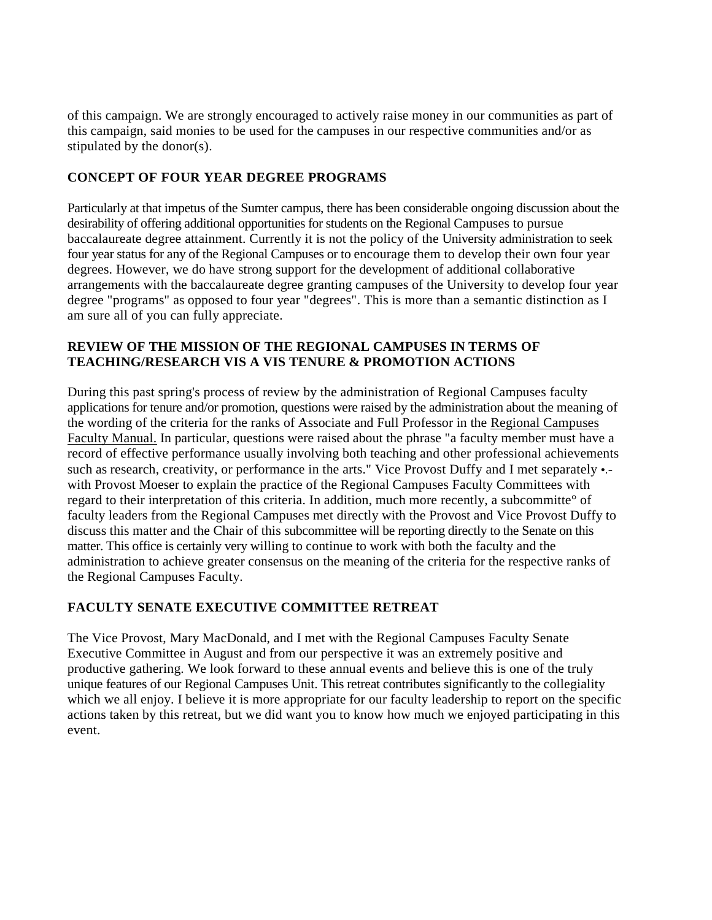of this campaign. We are strongly encouraged to actively raise money in our communities as part of this campaign, said monies to be used for the campuses in our respective communities and/or as stipulated by the donor(s).

# **CONCEPT OF FOUR YEAR DEGREE PROGRAMS**

Particularly at that impetus of the Sumter campus, there has been considerable ongoing discussion about the desirability of offering additional opportunities for students on the Regional Campuses to pursue baccalaureate degree attainment. Currently it is not the policy of the University administration to seek four year status for any of the Regional Campuses or to encourage them to develop their own four year degrees. However, we do have strong support for the development of additional collaborative arrangements with the baccalaureate degree granting campuses of the University to develop four year degree "programs" as opposed to four year "degrees". This is more than a semantic distinction as I am sure all of you can fully appreciate.

# **REVIEW OF THE MISSION OF THE REGIONAL CAMPUSES IN TERMS OF TEACHING/RESEARCH VIS A VIS TENURE & PROMOTION ACTIONS**

During this past spring's process of review by the administration of Regional Campuses faculty applications for tenure and/or promotion, questions were raised by the administration about the meaning of the wording of the criteria for the ranks of Associate and Full Professor in the Regional Campuses Faculty Manual. In particular, questions were raised about the phrase "a faculty member must have a record of effective performance usually involving both teaching and other professional achievements such as research, creativity, or performance in the arts." Vice Provost Duffy and I met separately •.with Provost Moeser to explain the practice of the Regional Campuses Faculty Committees with regard to their interpretation of this criteria. In addition, much more recently, a subcommitte° of faculty leaders from the Regional Campuses met directly with the Provost and Vice Provost Duffy to discuss this matter and the Chair of this subcommittee will be reporting directly to the Senate on this matter. This office is certainly very willing to continue to work with both the faculty and the administration to achieve greater consensus on the meaning of the criteria for the respective ranks of the Regional Campuses Faculty.

# **FACULTY SENATE EXECUTIVE COMMITTEE RETREAT**

The Vice Provost, Mary MacDonald, and I met with the Regional Campuses Faculty Senate Executive Committee in August and from our perspective it was an extremely positive and productive gathering. We look forward to these annual events and believe this is one of the truly unique features of our Regional Campuses Unit. This retreat contributes significantly to the collegiality which we all enjoy. I believe it is more appropriate for our faculty leadership to report on the specific actions taken by this retreat, but we did want you to know how much we enjoyed participating in this event.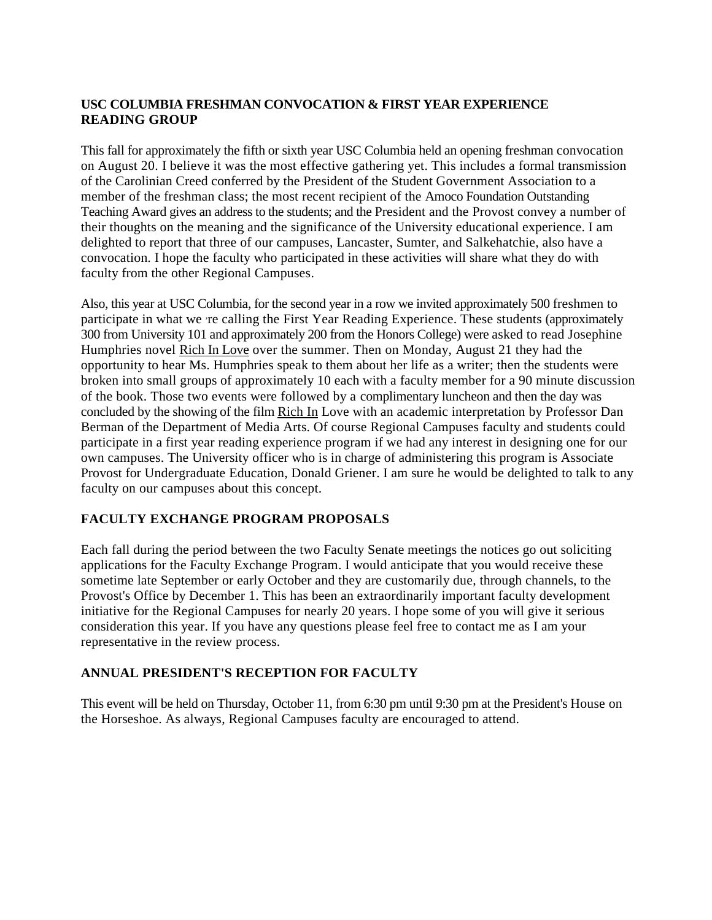# **USC COLUMBIA FRESHMAN CONVOCATION & FIRST YEAR EXPERIENCE READING GROUP**

This fall for approximately the fifth or sixth year USC Columbia held an opening freshman convocation on August 20. I believe it was the most effective gathering yet. This includes a formal transmission of the Carolinian Creed conferred by the President of the Student Government Association to a member of the freshman class; the most recent recipient of the Amoco Foundation Outstanding Teaching Award gives an address to the students; and the President and the Provost convey a number of their thoughts on the meaning and the significance of the University educational experience. I am delighted to report that three of our campuses, Lancaster, Sumter, and Salkehatchie, also have a convocation. I hope the faculty who participated in these activities will share what they do with faculty from the other Regional Campuses.

Also, this year at USC Columbia, for the second year in a row we invited approximately 500 freshmen to participate in what we re calling the First Year Reading Experience. These students (approximately 300 from University 101 and approximately 200 from the Honors College) were asked to read Josephine Humphries novel Rich In Love over the summer. Then on Monday, August 21 they had the opportunity to hear Ms. Humphries speak to them about her life as a writer; then the students were broken into small groups of approximately 10 each with a faculty member for a 90 minute discussion of the book. Those two events were followed by a complimentary luncheon and then the day was concluded by the showing of the film Rich In Love with an academic interpretation by Professor Dan Berman of the Department of Media Arts. Of course Regional Campuses faculty and students could participate in a first year reading experience program if we had any interest in designing one for our own campuses. The University officer who is in charge of administering this program is Associate Provost for Undergraduate Education, Donald Griener. I am sure he would be delighted to talk to any faculty on our campuses about this concept.

# **FACULTY EXCHANGE PROGRAM PROPOSALS**

Each fall during the period between the two Faculty Senate meetings the notices go out soliciting applications for the Faculty Exchange Program. I would anticipate that you would receive these sometime late September or early October and they are customarily due, through channels, to the Provost's Office by December 1. This has been an extraordinarily important faculty development initiative for the Regional Campuses for nearly 20 years. I hope some of you will give it serious consideration this year. If you have any questions please feel free to contact me as I am your representative in the review process.

# **ANNUAL PRESIDENT'S RECEPTION FOR FACULTY**

This event will be held on Thursday, October 11, from 6:30 pm until 9:30 pm at the President's House on the Horseshoe. As always, Regional Campuses faculty are encouraged to attend.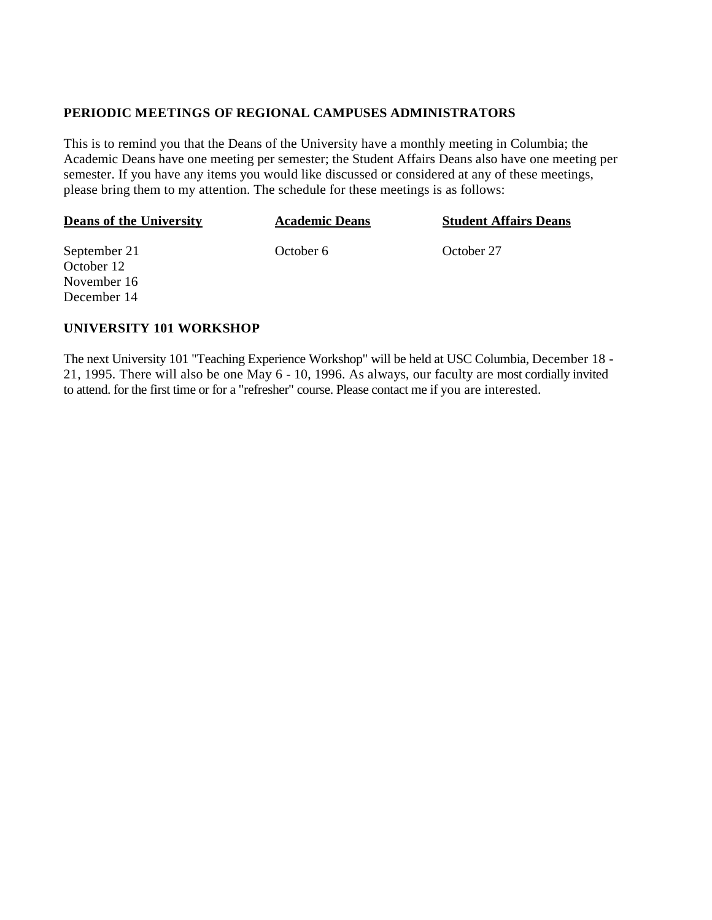#### **PERIODIC MEETINGS OF REGIONAL CAMPUSES ADMINISTRATORS**

This is to remind you that the Deans of the University have a monthly meeting in Columbia; the Academic Deans have one meeting per semester; the Student Affairs Deans also have one meeting per semester. If you have any items you would like discussed or considered at any of these meetings, please bring them to my attention. The schedule for these meetings is as follows:

| <b>Deans of the University</b> | <b>Academic Deans</b> | <b>Student Affairs Deans</b> |
|--------------------------------|-----------------------|------------------------------|
| September 21                   | October 6             | October 27                   |
| October 12                     |                       |                              |
| November 16                    |                       |                              |
| December 14                    |                       |                              |

### **UNIVERSITY 101 WORKSHOP**

The next University 101 "Teaching Experience Workshop" will be held at USC Columbia, December 18 - 21, 1995. There will also be one May 6 - 10, 1996. As always, our faculty are most cordially invited to attend. for the first time or for a "refresher" course. Please contact me if you are interested.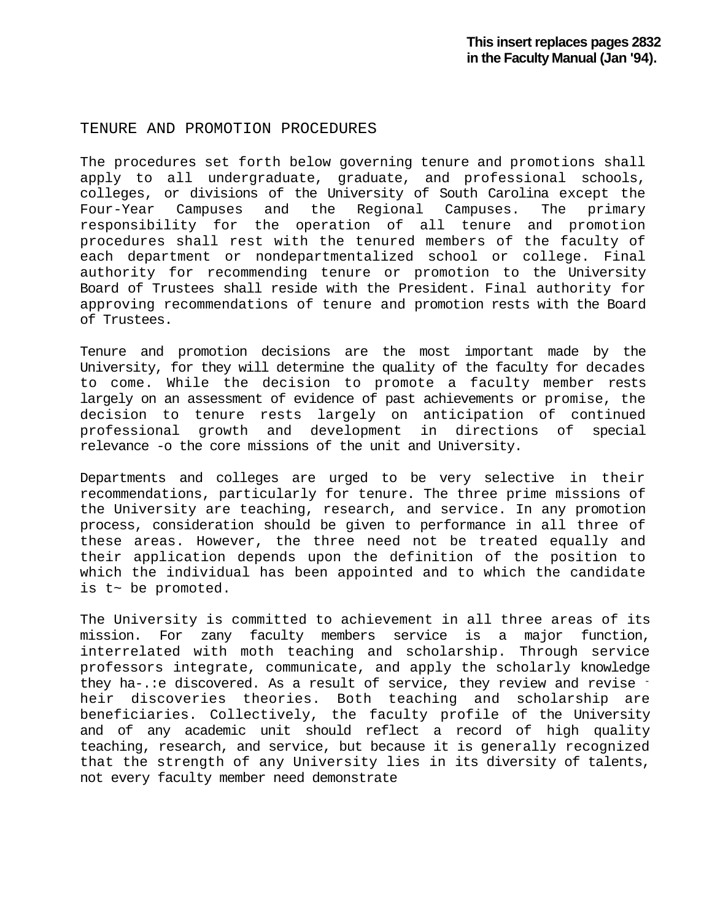#### TENURE AND PROMOTION PROCEDURES

The procedures set forth below governing tenure and promotions shall apply to all undergraduate, graduate, and professional schools, colleges, or divisions of the University of South Carolina except the<br>Four-Year Campuses and the Regional Campuses. The primary the Regional Campuses. The responsibility for the operation of all tenure and promotion procedures shall rest with the tenured members of the faculty of each department or nondepartmentalized school or college. Final authority for recommending tenure or promotion to the University Board of Trustees shall reside with the President. Final authority for approving recommendations of tenure and promotion rests with the Board of Trustees.

Tenure and promotion decisions are the most important made by the University, for they will determine the quality of the faculty for decades to come. While the decision to promote a faculty member rests largely on an assessment of evidence of past achievements or promise, the decision to tenure rests largely on anticipation of continued professional growth and development in directions of special relevance -o the core missions of the unit and University.

Departments and colleges are urged to be very selective in their recommendations, particularly for tenure. The three prime missions of the University are teaching, research, and service. In any promotion process, consideration should be given to performance in all three of these areas. However, the three need not be treated equally and their application depends upon the definition of the position to which the individual has been appointed and to which the candidate is t~ be promoted.

The University is committed to achievement in all three areas of its mission. For zany faculty members service is a major function, interrelated with moth teaching and scholarship. Through service professors integrate, communicate, and apply the scholarly knowledge they ha-.: e discovered. As a result of service, they review and revise heir discoveries theories. Both teaching and scholarship are beneficiaries. Collectively, the faculty profile of the University and of any academic unit should reflect a record of high quality teaching, research, and service, but because it is generally recognized that the strength of any University lies in its diversity of talents, not every faculty member need demonstrate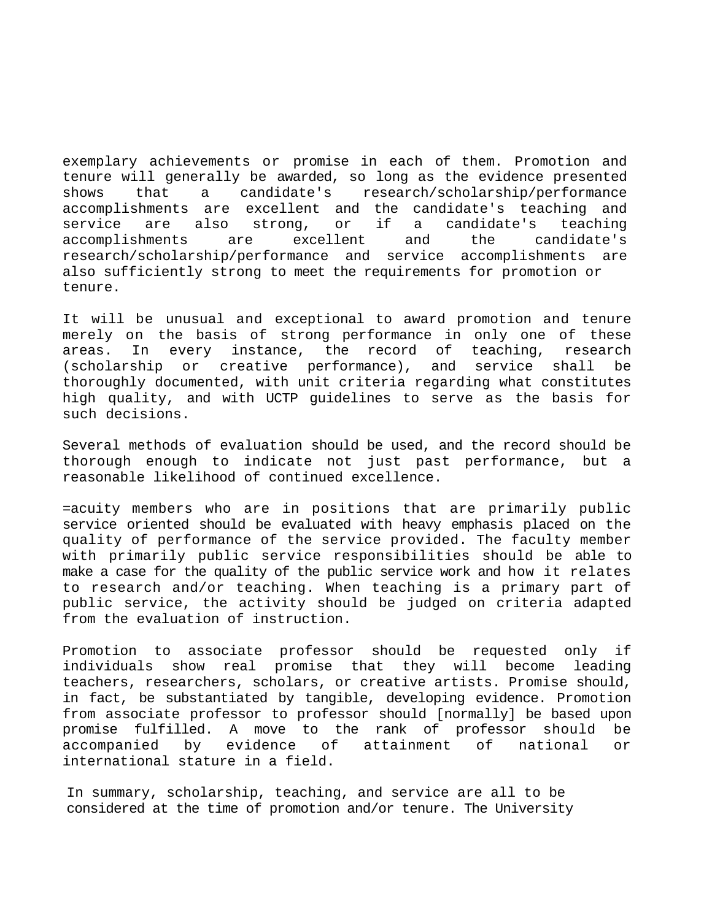exemplary achievements or promise in each of them. Promotion and tenure will generally be awarded, so long as the evidence presented<br>shows that a candidate's research/scholarship/performance shows that a candidate's research/scholarship/performance accomplishments are excellent and the candidate's teaching and<br>service are also strong, or if a candidate's teaching are also strong, or if a candidate's teaching accomplishments are excellent and the candidate's research/scholarship/performance and service accomplishments are also sufficiently strong to meet the requirements for promotion or tenure.

It will be unusual and exceptional to award promotion and tenure merely on the basis of strong performance in only one of these<br>areas. In every instance, the record of teaching, research areas. In every instance, the record of (scholarship or creative performance), and service shall be thoroughly documented, with unit criteria regarding what constitutes high quality, and with UCTP guidelines to serve as the basis for such decisions.

Several methods of evaluation should be used, and the record should be thorough enough to indicate not just past performance, but a reasonable likelihood of continued excellence.

=acuity members who are in positions that are primarily public service oriented should be evaluated with heavy emphasis placed on the quality of performance of the service provided. The faculty member with primarily public service responsibilities should be able to make a case for the quality of the public service work and how it relates to research and/or teaching. When teaching is a primary part of public service, the activity should be judged on criteria adapted from the evaluation of instruction.

Promotion to associate professor should be requested only if individuals show real promise that they will become leading teachers, researchers, scholars, or creative artists. Promise should, in fact, be substantiated by tangible, developing evidence. Promotion from associate professor to professor should [normally] be based upon promise fulfilled. A move to the rank of professor should be accompanied by evidence of attainment of national or international stature in a field.

In summary, scholarship, teaching, and service are all to be considered at the time of promotion and/or tenure. The University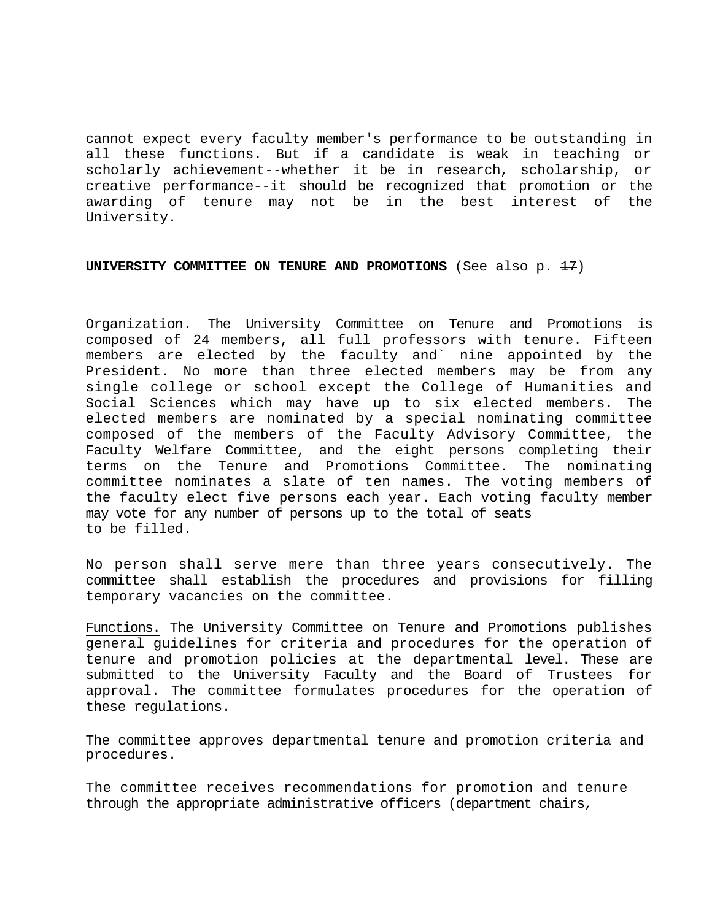cannot expect every faculty member's performance to be outstanding in all these functions. But if a candidate is weak in teaching or scholarly achievement--whether it be in research, scholarship, or creative performance--it should be recognized that promotion or the awarding of tenure may not be in the best interest of the University.

**UNIVERSITY COMMITTEE ON TENURE AND PROMOTIONS** (See also p. <del>17</del>)

Organization. The University Committee on Tenure and Promotions is composed of 24 members, all full professors with tenure. Fifteen members are elected by the faculty and` nine appointed by the President. No more than three elected members may be from any single college or school except the College of Humanities and Social Sciences which may have up to six elected members. The elected members are nominated by a special nominating committee composed of the members of the Faculty Advisory Committee, the Faculty Welfare Committee, and the eight persons completing their terms on the Tenure and Promotions Committee. The nominating committee nominates a slate of ten names. The voting members of the faculty elect five persons each year. Each voting faculty member may vote for any number of persons up to the total of seats to be filled.

No person shall serve mere than three years consecutively. The committee shall establish the procedures and provisions for filling temporary vacancies on the committee.

Functions. The University Committee on Tenure and Promotions publishes general guidelines for criteria and procedures for the operation of tenure and promotion policies at the departmental level. These are submitted to the University Faculty and the Board of Trustees for approval. The committee formulates procedures for the operation of these regulations.

The committee approves departmental tenure and promotion criteria and procedures.

The committee receives recommendations for promotion and tenure through the appropriate administrative officers (department chairs,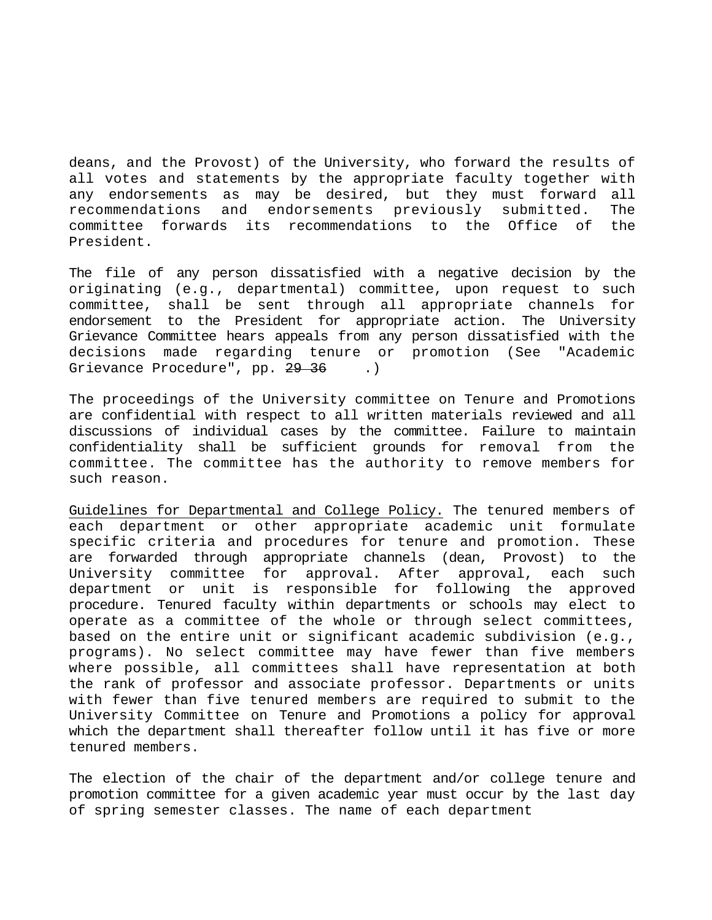deans, and the Provost) of the University, who forward the results of all votes and statements by the appropriate faculty together with any endorsements as may be desired, but they must forward all<br>recommendations and endorsements previously submitted. The and endorsements previously committee forwards its recommendations to the Office of the President.

The file of any person dissatisfied with a negative decision by the originating (e.g., departmental) committee, upon request to such<br>committee, shall be sent through all appropriate channels for committee, shall be sent through all appropriate channels endorsement to the President for appropriate action. The University Grievance Committee hears appeals from any person dissatisfied with the decisions made regarding tenure or promotion (See "Academic Grievance Procedure", pp. <del>29 36</del> .)

The proceedings of the University committee on Tenure and Promotions are confidential with respect to all written materials reviewed and all discussions of individual cases by the committee. Failure to maintain confidentiality shall be sufficient grounds for removal from the committee. The committee has the authority to remove members for such reason.

Guidelines for Departmental and College Policy. The tenured members of each department or other appropriate academic unit formulate specific criteria and procedures for tenure and promotion. These are forwarded through appropriate channels (dean, Provost) to the<br>University committee for approval. After approval, each such University committee for approval. After approval, each such department or unit is responsible for following the approved procedure. Tenured faculty within departments or schools may elect to operate as a committee of the whole or through select committees, based on the entire unit or significant academic subdivision (e.g., programs). No select committee may have fewer than five members where possible, all committees shall have representation at both the rank of professor and associate professor. Departments or units with fewer than five tenured members are required to submit to the University Committee on Tenure and Promotions a policy for approval which the department shall thereafter follow until it has five or more tenured members.

The election of the chair of the department and/or college tenure and promotion committee for a given academic year must occur by the last day of spring semester classes. The name of each department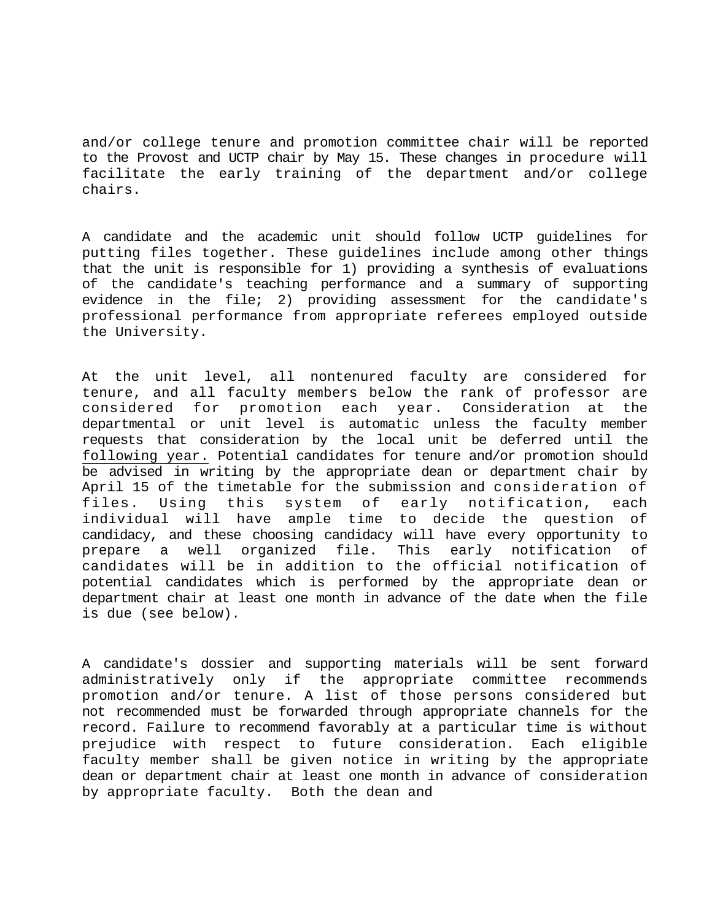and/or college tenure and promotion committee chair will be reported to the Provost and UCTP chair by May 15. These changes in procedure will facilitate the early training of the department and/or college chairs.

A candidate and the academic unit should follow UCTP guidelines for putting files together. These guidelines include among other things that the unit is responsible for 1) providing a synthesis of evaluations of the candidate's teaching performance and a summary of supporting evidence in the file; 2) providing assessment for the candidate's professional performance from appropriate referees employed outside the University.

At the unit level, all nontenured faculty are considered for tenure, and all faculty members below the rank of professor are<br>considered for promotion each year. Consideration at the considered for promotion each year. Consideration at departmental or unit level is automatic unless the faculty member requests that consideration by the local unit be deferred until the following year. Potential candidates for tenure and/or promotion should be advised in writing by the appropriate dean or department chair by April 15 of the timetable for the submission and consideration of files. Using this system of early notification, each individual will have ample time to decide the question of candidacy, and these choosing candidacy will have every opportunity to well organized file. This early notification of candidates will be in addition to the official notification of potential candidates which is performed by the appropriate dean or department chair at least one month in advance of the date when the file is due (see below).

A candidate's dossier and supporting materials will be sent forward administratively only if the appropriate committee recommends promotion and/or tenure. A list of those persons considered but not recommended must be forwarded through appropriate channels for the record. Failure to recommend favorably at a particular time is without prejudice with respect to future consideration. Each eligible faculty member shall be given notice in writing by the appropriate dean or department chair at least one month in advance of consideration by appropriate faculty. Both the dean and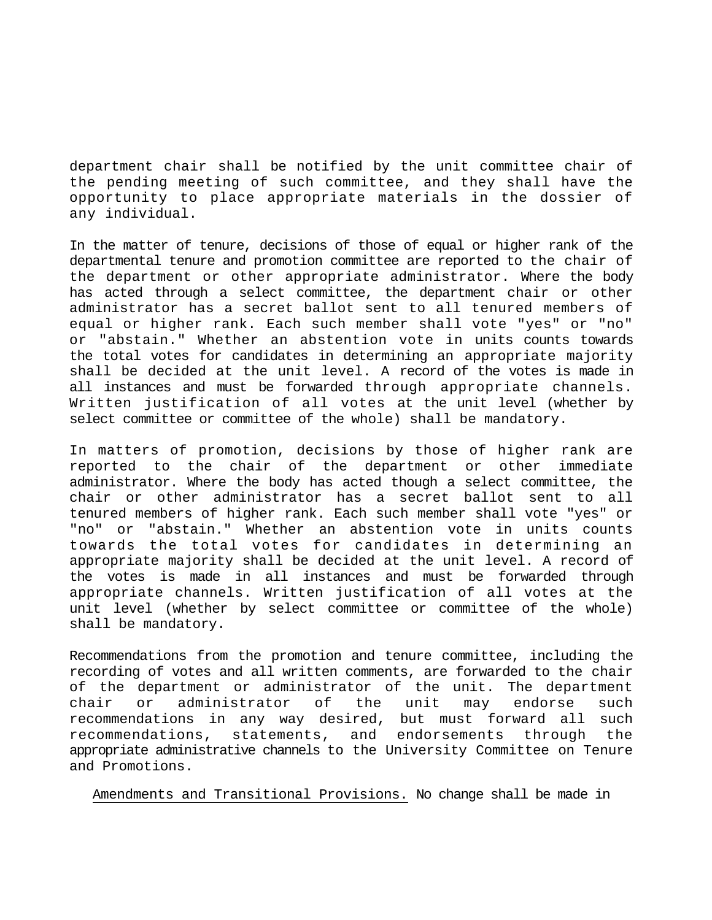department chair shall be notified by the unit committee chair of the pending meeting of such committee, and they shall have the opportunity to place appropriate materials in the dossier of any individual.

In the matter of tenure, decisions of those of equal or higher rank of the departmental tenure and promotion committee are reported to the chair of the department or other appropriate administrator. Where the body has acted through a select committee, the department chair or other administrator has a secret ballot sent to all tenured members of equal or higher rank. Each such member shall vote "yes" or "no" or "abstain." Whether an abstention vote in units counts towards the total votes for candidates in determining an appropriate majority shall be decided at the unit level. A record of the votes is made in all instances and must be forwarded through appropriate channels. Written justification of all votes at the unit level (whether by select committee or committee of the whole) shall be mandatory.

In matters of promotion, decisions by those of higher rank are<br>reported to the chair of the department or other immediate reported to the chair of the department or other administrator. Where the body has acted though a select committee, the chair or other administrator has a secret ballot sent to all tenured members of higher rank. Each such member shall vote "yes" or "no" or "abstain." Whether an abstention vote in units counts towards the total votes for candidates in determining an appropriate majority shall be decided at the unit level. A record of the votes is made in all instances and must be forwarded through appropriate channels. Written justification of all votes at the unit level (whether by select committee or committee of the whole) shall be mandatory.

Recommendations from the promotion and tenure committee, including the recording of votes and all written comments, are forwarded to the chair of the department or administrator of the unit. The department<br>chair or administrator of the unit may endorse such chair or administrator of the unit may endorse such recommendations in any way desired, but must forward all such<br>recommendations, statements, and endorsements through the recommendations, statements, and endorsements through the appropriate administrative channels to the University Committee on Tenure and Promotions.

Amendments and Transitional Provisions. No change shall be made in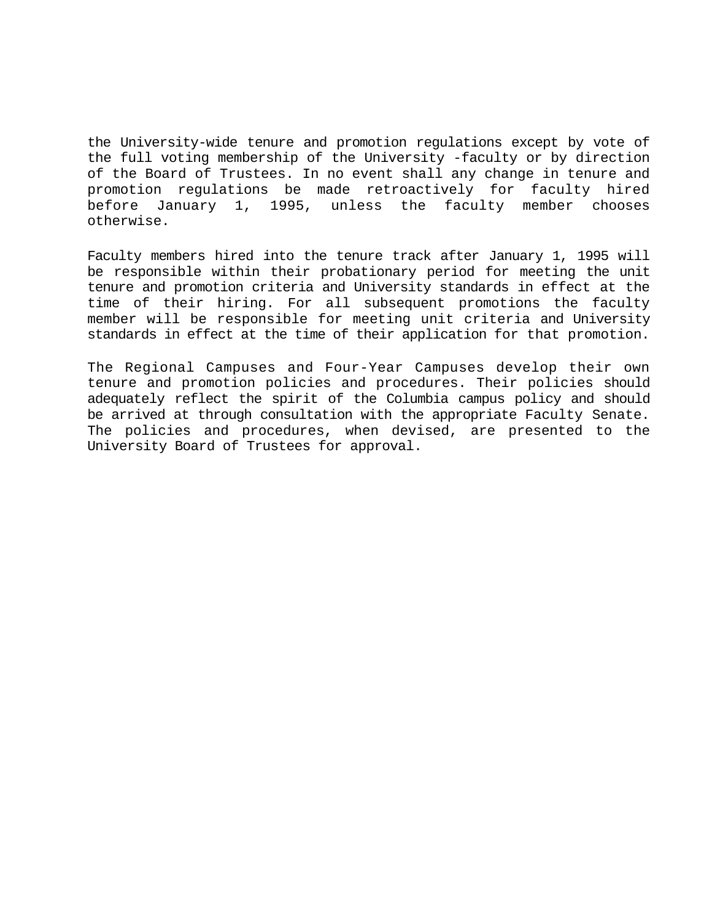the University-wide tenure and promotion regulations except by vote of the full voting membership of the University -faculty or by direction of the Board of Trustees. In no event shall any change in tenure and promotion regulations be made retroactively for faculty hired before January 1, 1995, unless the faculty member chooses otherwise.

Faculty members hired into the tenure track after January 1, 1995 will be responsible within their probationary period for meeting the unit tenure and promotion criteria and University standards in effect at the time of their hiring. For all subsequent promotions the faculty member will be responsible for meeting unit criteria and University standards in effect at the time of their application for that promotion.

The Regional Campuses and Four-Year Campuses develop their own tenure and promotion policies and procedures. Their policies should adequately reflect the spirit of the Columbia campus policy and should be arrived at through consultation with the appropriate Faculty Senate. The policies and procedures, when devised, are presented to the University Board of Trustees for approval.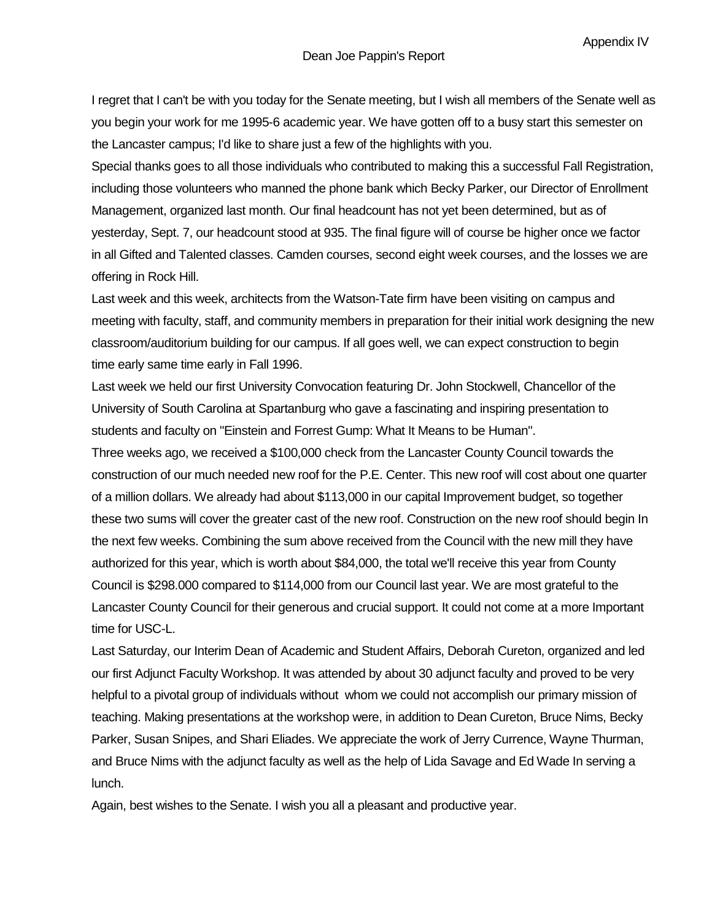I regret that I can't be with you today for the Senate meeting, but I wish all members of the Senate well as you begin your work for me 1995-6 academic year. We have gotten off to a busy start this semester on the Lancaster campus; I'd like to share just a few of the highlights with you.

Special thanks goes to all those individuals who contributed to making this a successful Fall Registration, including those volunteers who manned the phone bank which Becky Parker, our Director of Enrollment Management, organized last month. Our final headcount has not yet been determined, but as of yesterday, Sept. 7, our headcount stood at 935. The final figure will of course be higher once we factor in all Gifted and Talented classes. Camden courses, second eight week courses, and the losses we are offering in Rock Hill.

Last week and this week, architects from the Watson-Tate firm have been visiting on campus and meeting with faculty, staff, and community members in preparation for their initial work designing the new classroom/auditorium building for our campus. If all goes well, we can expect construction to begin time early same time early in Fall 1996.

Last week we held our first University Convocation featuring Dr. John Stockwell, Chancellor of the University of South Carolina at Spartanburg who gave a fascinating and inspiring presentation to students and faculty on "Einstein and Forrest Gump: What It Means to be Human".

Three weeks ago, we received a \$100,000 check from the Lancaster County Council towards the construction of our much needed new roof for the P.E. Center. This new roof will cost about one quarter of a million dollars. We already had about \$113,000 in our capital Improvement budget, so together these two sums will cover the greater cast of the new roof. Construction on the new roof should begin In the next few weeks. Combining the sum above received from the Council with the new mill they have authorized for this year, which is worth about \$84,000, the total we'll receive this year from County Council is \$298.000 compared to \$114,000 from our Council last year. We are most grateful to the Lancaster County Council for their generous and crucial support. It could not come at a more Important time for USC-L.

Last Saturday, our Interim Dean of Academic and Student Affairs, Deborah Cureton, organized and led our first Adjunct Faculty Workshop. It was attended by about 30 adjunct faculty and proved to be very helpful to a pivotal group of individuals without whom we could not accomplish our primary mission of teaching. Making presentations at the workshop were, in addition to Dean Cureton, Bruce Nims, Becky Parker, Susan Snipes, and Shari Eliades. We appreciate the work of Jerry Currence, Wayne Thurman, and Bruce Nims with the adjunct faculty as well as the help of Lida Savage and Ed Wade In serving a lunch.

Again, best wishes to the Senate. I wish you all a pleasant and productive year.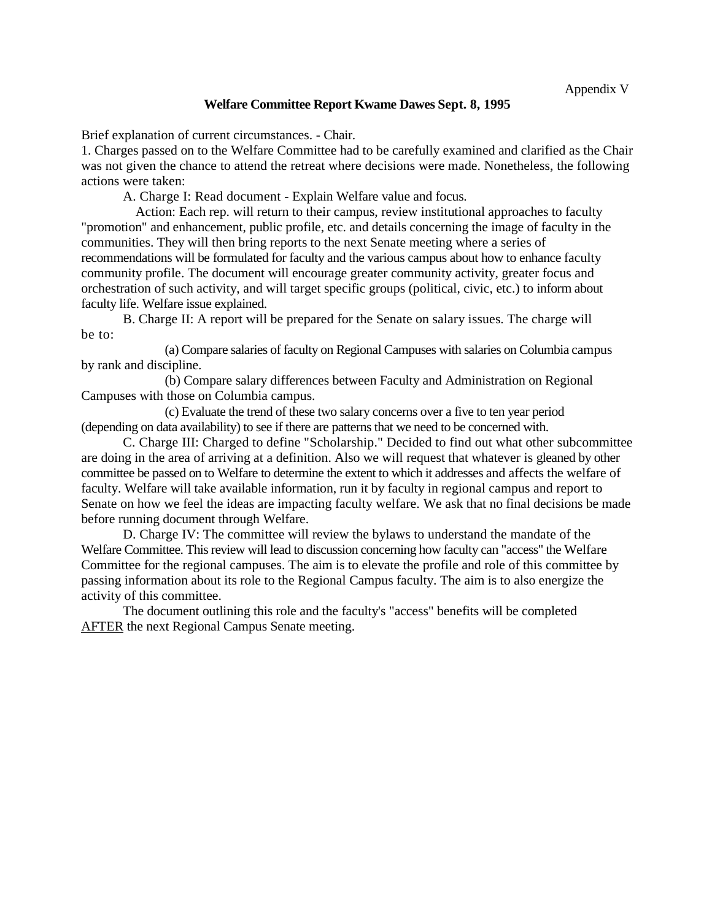#### **Welfare Committee Report Kwame Dawes Sept. 8, 1995**

Brief explanation of current circumstances. - Chair.

1. Charges passed on to the Welfare Committee had to be carefully examined and clarified as the Chair was not given the chance to attend the retreat where decisions were made. Nonetheless, the following actions were taken:

A. Charge I: Read document - Explain Welfare value and focus.

Action: Each rep. will return to their campus, review institutional approaches to faculty "promotion" and enhancement, public profile, etc. and details concerning the image of faculty in the communities. They will then bring reports to the next Senate meeting where a series of recommendations will be formulated for faculty and the various campus about how to enhance faculty community profile. The document will encourage greater community activity, greater focus and orchestration of such activity, and will target specific groups (political, civic, etc.) to inform about faculty life. Welfare issue explained.

B. Charge II: A report will be prepared for the Senate on salary issues. The charge will be to:

(a) Compare salaries of faculty on Regional Campuses with salaries on Columbia campus by rank and discipline.

(b) Compare salary differences between Faculty and Administration on Regional Campuses with those on Columbia campus.

(c) Evaluate the trend of these two salary concerns over a five to ten year period (depending on data availability) to see if there are patterns that we need to be concerned with.

C. Charge III: Charged to define "Scholarship." Decided to find out what other subcommittee are doing in the area of arriving at a definition. Also we will request that whatever is gleaned by other committee be passed on to Welfare to determine the extent to which it addresses and affects the welfare of faculty. Welfare will take available information, run it by faculty in regional campus and report to Senate on how we feel the ideas are impacting faculty welfare. We ask that no final decisions be made before running document through Welfare.

D. Charge IV: The committee will review the bylaws to understand the mandate of the Welfare Committee. This review will lead to discussion concerning how faculty can "access" the Welfare Committee for the regional campuses. The aim is to elevate the profile and role of this committee by passing information about its role to the Regional Campus faculty. The aim is to also energize the activity of this committee.

The document outlining this role and the faculty's "access" benefits will be completed AFTER the next Regional Campus Senate meeting.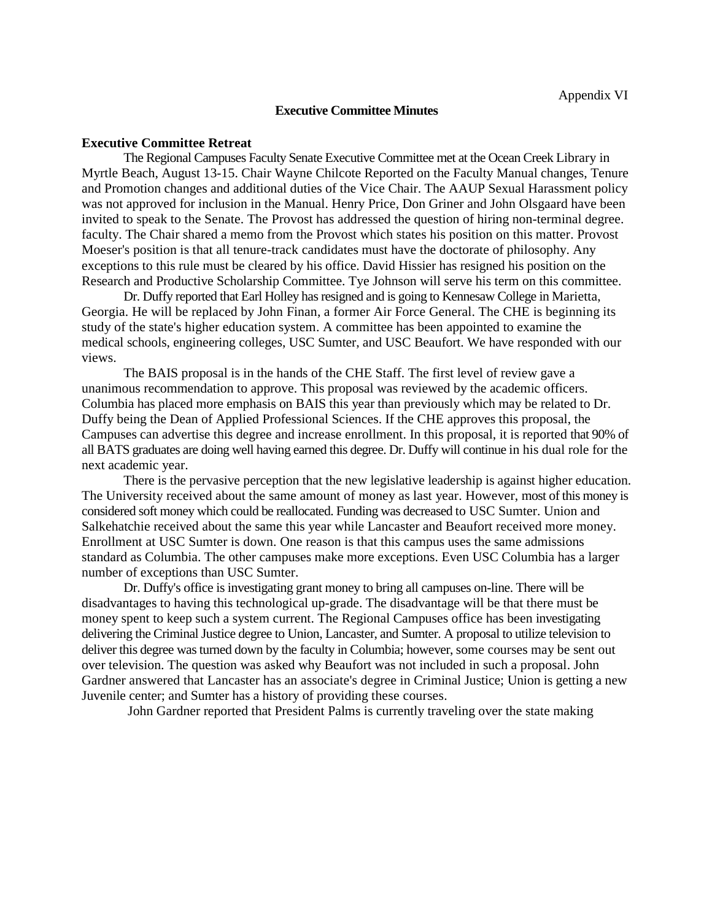**Executive Committee Minutes**

The Regional Campuses Faculty Senate Executive Committee met at the Ocean Creek Library in Myrtle Beach, August 13-15. Chair Wayne Chilcote Reported on the Faculty Manual changes, Tenure and Promotion changes and additional duties of the Vice Chair. The AAUP Sexual Harassment policy was not approved for inclusion in the Manual. Henry Price, Don Griner and John Olsgaard have been invited to speak to the Senate. The Provost has addressed the question of hiring non-terminal degree. faculty. The Chair shared a memo from the Provost which states his position on this matter. Provost Moeser's position is that all tenure-track candidates must have the doctorate of philosophy. Any exceptions to this rule must be cleared by his office. David Hissier has resigned his position on the Research and Productive Scholarship Committee. Tye Johnson will serve his term on this committee.

Dr. Duffy reported that Earl Holley has resigned and is going to Kennesaw College in Marietta, Georgia. He will be replaced by John Finan, a former Air Force General. The CHE is beginning its study of the state's higher education system. A committee has been appointed to examine the medical schools, engineering colleges, USC Sumter, and USC Beaufort. We have responded with our views.

The BAIS proposal is in the hands of the CHE Staff. The first level of review gave a unanimous recommendation to approve. This proposal was reviewed by the academic officers. Columbia has placed more emphasis on BAIS this year than previously which may be related to Dr. Duffy being the Dean of Applied Professional Sciences. If the CHE approves this proposal, the Campuses can advertise this degree and increase enrollment. In this proposal, it is reported that 90% of all BATS graduates are doing well having earned this degree. Dr. Duffy will continue in his dual role for the next academic year.

There is the pervasive perception that the new legislative leadership is against higher education. The University received about the same amount of money as last year. However, most of this money is considered soft money which could be reallocated. Funding was decreased to USC Sumter. Union and Salkehatchie received about the same this year while Lancaster and Beaufort received more money. Enrollment at USC Sumter is down. One reason is that this campus uses the same admissions standard as Columbia. The other campuses make more exceptions. Even USC Columbia has a larger number of exceptions than USC Sumter.

Dr. Duffy's office is investigating grant money to bring all campuses on-line. There will be disadvantages to having this technological up-grade. The disadvantage will be that there must be money spent to keep such a system current. The Regional Campuses office has been investigating delivering the Criminal Justice degree to Union, Lancaster, and Sumter. A proposal to utilize television to deliver this degree was turned down by the faculty in Columbia; however, some courses may be sent out over television. The question was asked why Beaufort was not included in such a proposal. John Gardner answered that Lancaster has an associate's degree in Criminal Justice; Union is getting a new Juvenile center; and Sumter has a history of providing these courses.

John Gardner reported that President Palms is currently traveling over the state making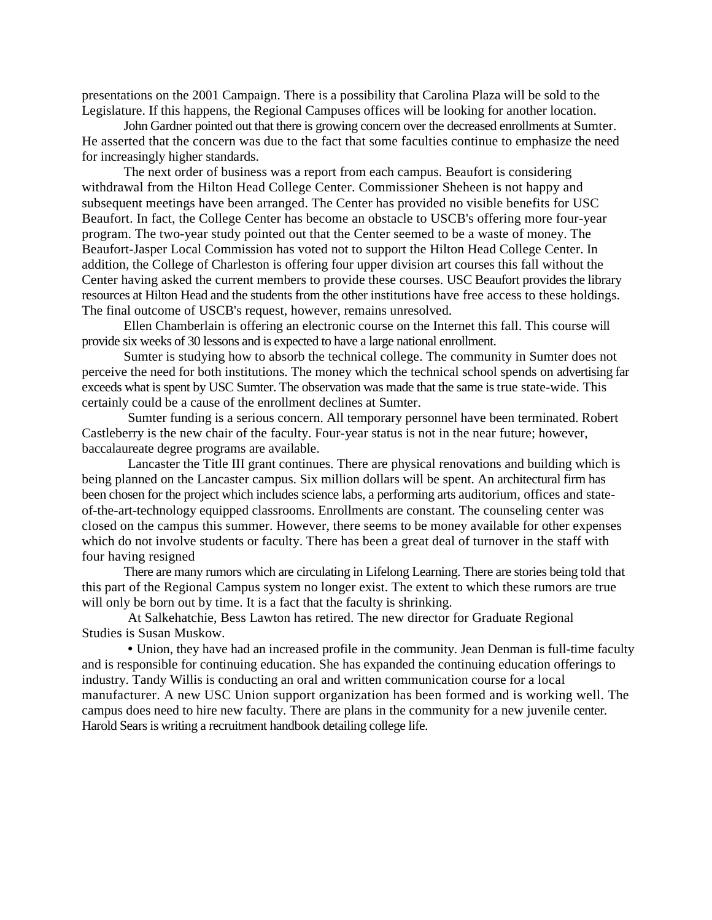presentations on the 2001 Campaign. There is a possibility that Carolina Plaza will be sold to the Legislature. If this happens, the Regional Campuses offices will be looking for another location.

John Gardner pointed out that there is growing concern over the decreased enrollments at Sumter. He asserted that the concern was due to the fact that some faculties continue to emphasize the need for increasingly higher standards.

The next order of business was a report from each campus. Beaufort is considering withdrawal from the Hilton Head College Center. Commissioner Sheheen is not happy and subsequent meetings have been arranged. The Center has provided no visible benefits for USC Beaufort. In fact, the College Center has become an obstacle to USCB's offering more four-year program. The two-year study pointed out that the Center seemed to be a waste of money. The Beaufort-Jasper Local Commission has voted not to support the Hilton Head College Center. In addition, the College of Charleston is offering four upper division art courses this fall without the Center having asked the current members to provide these courses. USC Beaufort provides the library resources at Hilton Head and the students from the other institutions have free access to these holdings. The final outcome of USCB's request, however, remains unresolved.

Ellen Chamberlain is offering an electronic course on the Internet this fall. This course will provide six weeks of 30 lessons and is expected to have a large national enrollment.

Sumter is studying how to absorb the technical college. The community in Sumter does not perceive the need for both institutions. The money which the technical school spends on advertising far exceeds what is spent by USC Sumter. The observation was made that the same is true state-wide. This certainly could be a cause of the enrollment declines at Sumter.

Sumter funding is a serious concern. All temporary personnel have been terminated. Robert Castleberry is the new chair of the faculty. Four-year status is not in the near future; however, baccalaureate degree programs are available.

Lancaster the Title III grant continues. There are physical renovations and building which is being planned on the Lancaster campus. Six million dollars will be spent. An architectural firm has been chosen for the project which includes science labs, a performing arts auditorium, offices and stateof-the-art-technology equipped classrooms. Enrollments are constant. The counseling center was closed on the campus this summer. However, there seems to be money available for other expenses which do not involve students or faculty. There has been a great deal of turnover in the staff with four having resigned

There are many rumors which are circulating in Lifelong Learning. There are stories being told that this part of the Regional Campus system no longer exist. The extent to which these rumors are true will only be born out by time. It is a fact that the faculty is shrinking.

At Salkehatchie, Bess Lawton has retired. The new director for Graduate Regional Studies is Susan Muskow.

• Union, they have had an increased profile in the community. Jean Denman is full-time faculty and is responsible for continuing education. She has expanded the continuing education offerings to industry. Tandy Willis is conducting an oral and written communication course for a local manufacturer. A new USC Union support organization has been formed and is working well. The campus does need to hire new faculty. There are plans in the community for a new juvenile center. Harold Sears is writing a recruitment handbook detailing college life.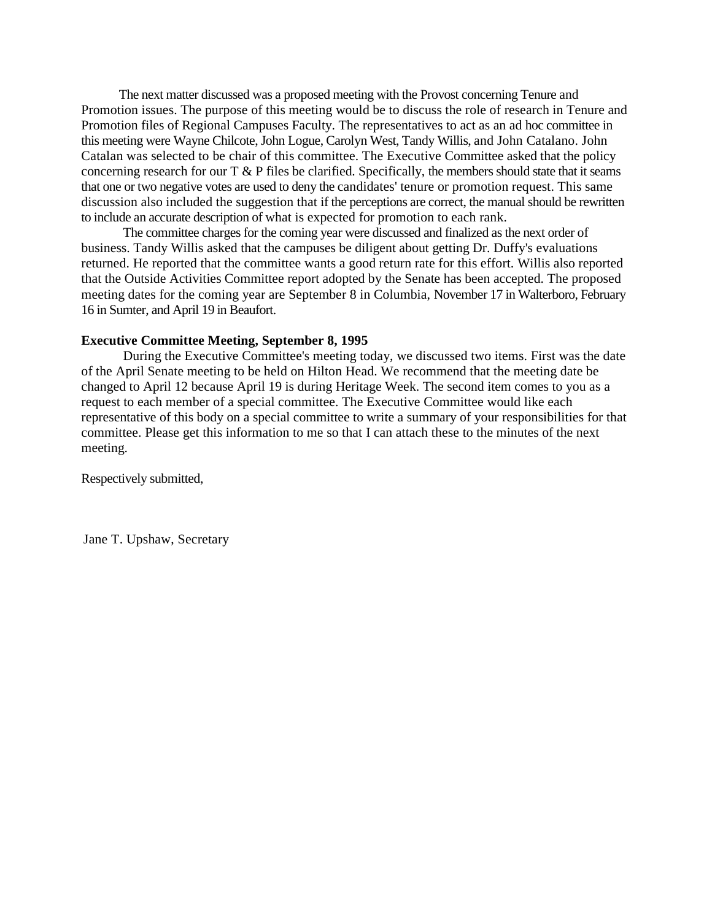The next matter discussed was a proposed meeting with the Provost concerning Tenure and Promotion issues. The purpose of this meeting would be to discuss the role of research in Tenure and Promotion files of Regional Campuses Faculty. The representatives to act as an ad hoc committee in this meeting were Wayne Chilcote, John Logue, Carolyn West, Tandy Willis, and John Catalano. John Catalan was selected to be chair of this committee. The Executive Committee asked that the policy concerning research for our  $T \& P$  files be clarified. Specifically, the members should state that it seams that one or two negative votes are used to deny the candidates' tenure or promotion request. This same discussion also included the suggestion that if the perceptions are correct, the manual should be rewritten to include an accurate description of what is expected for promotion to each rank.

The committee charges for the coming year were discussed and finalized as the next order of business. Tandy Willis asked that the campuses be diligent about getting Dr. Duffy's evaluations returned. He reported that the committee wants a good return rate for this effort. Willis also reported that the Outside Activities Committee report adopted by the Senate has been accepted. The proposed meeting dates for the coming year are September 8 in Columbia, November 17 in Walterboro, February 16 in Sumter, and April 19 in Beaufort.

#### **Executive Committee Meeting, September 8, 1995**

During the Executive Committee's meeting today, we discussed two items. First was the date of the April Senate meeting to be held on Hilton Head. We recommend that the meeting date be changed to April 12 because April 19 is during Heritage Week. The second item comes to you as a request to each member of a special committee. The Executive Committee would like each representative of this body on a special committee to write a summary of your responsibilities for that committee. Please get this information to me so that I can attach these to the minutes of the next meeting.

Respectively submitted,

Jane T. Upshaw, Secretary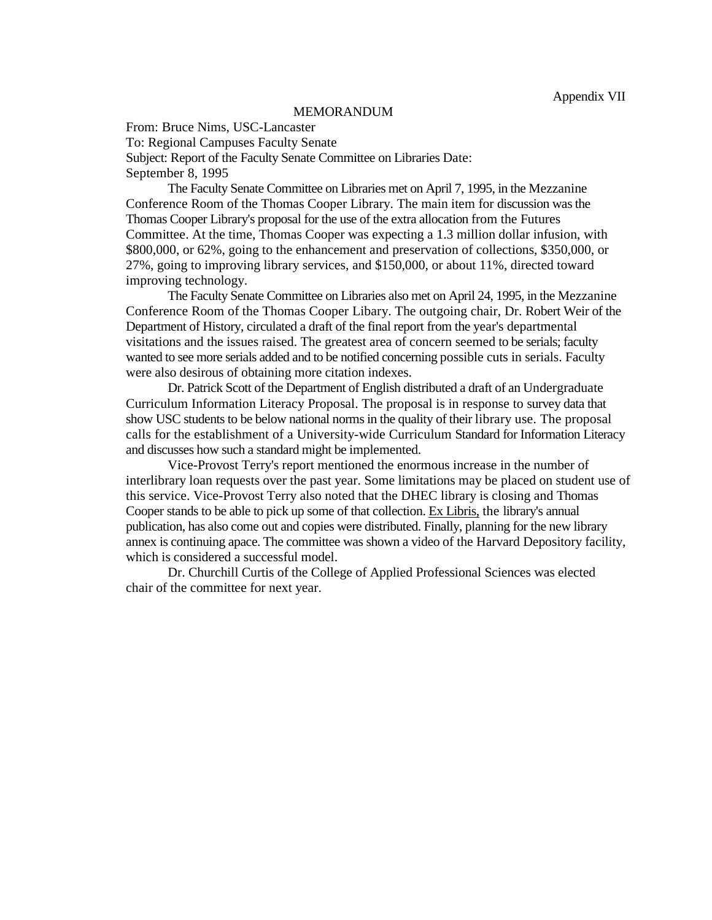#### MEMORANDUM

From: Bruce Nims, USC-Lancaster To: Regional Campuses Faculty Senate Subject: Report of the Faculty Senate Committee on Libraries Date: September 8, 1995

The Faculty Senate Committee on Libraries met on April 7, 1995, in the Mezzanine Conference Room of the Thomas Cooper Library. The main item for discussion was the Thomas Cooper Library's proposal for the use of the extra allocation from the Futures Committee. At the time, Thomas Cooper was expecting a 1.3 million dollar infusion, with \$800,000, or 62%, going to the enhancement and preservation of collections, \$350,000, or 27%, going to improving library services, and \$150,000, or about 11%, directed toward improving technology.

The Faculty Senate Committee on Libraries also met on April 24, 1995, in the Mezzanine Conference Room of the Thomas Cooper Libary. The outgoing chair, Dr. Robert Weir of the Department of History, circulated a draft of the final report from the year's departmental visitations and the issues raised. The greatest area of concern seemed to be serials; faculty wanted to see more serials added and to be notified concerning possible cuts in serials. Faculty were also desirous of obtaining more citation indexes.

Dr. Patrick Scott of the Department of English distributed a draft of an Undergraduate Curriculum Information Literacy Proposal. The proposal is in response to survey data that show USC students to be below national norms in the quality of their library use. The proposal calls for the establishment of a University-wide Curriculum Standard for Information Literacy and discusses how such a standard might be implemented.

Vice-Provost Terry's report mentioned the enormous increase in the number of interlibrary loan requests over the past year. Some limitations may be placed on student use of this service. Vice-Provost Terry also noted that the DHEC library is closing and Thomas Cooper stands to be able to pick up some of that collection. Ex Libris, the library's annual publication, has also come out and copies were distributed. Finally, planning for the new library annex is continuing apace. The committee was shown a video of the Harvard Depository facility, which is considered a successful model.

Dr. Churchill Curtis of the College of Applied Professional Sciences was elected chair of the committee for next year.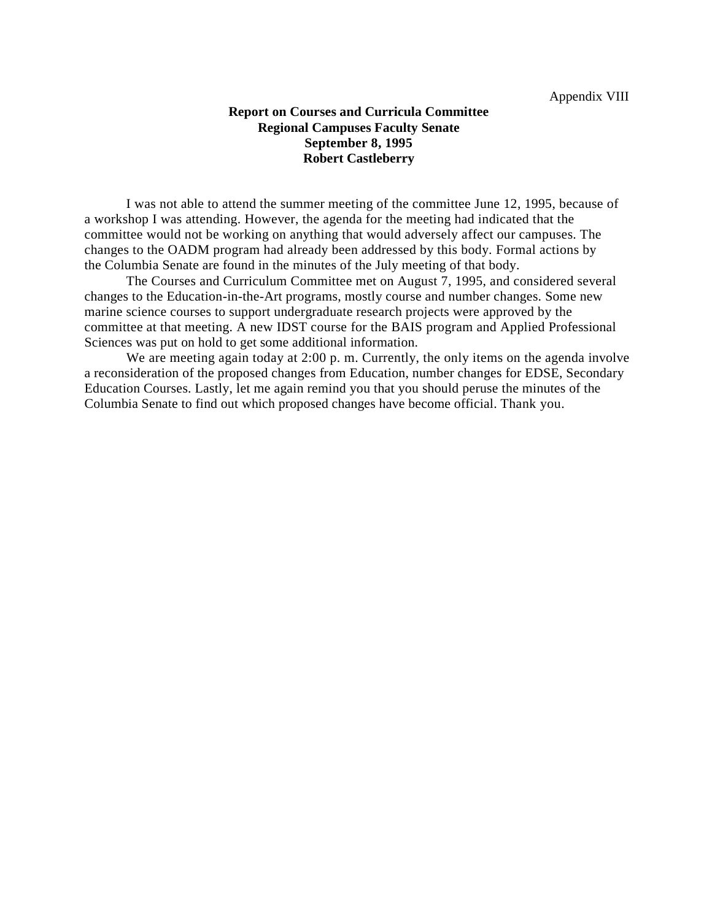#### **Report on Courses and Curricula Committee Regional Campuses Faculty Senate September 8, 1995 Robert Castleberry**

I was not able to attend the summer meeting of the committee June 12, 1995, because of a workshop I was attending. However, the agenda for the meeting had indicated that the committee would not be working on anything that would adversely affect our campuses. The changes to the OADM program had already been addressed by this body. Formal actions by the Columbia Senate are found in the minutes of the July meeting of that body.

The Courses and Curriculum Committee met on August 7, 1995, and considered several changes to the Education-in-the-Art programs, mostly course and number changes. Some new marine science courses to support undergraduate research projects were approved by the committee at that meeting. A new IDST course for the BAIS program and Applied Professional Sciences was put on hold to get some additional information.

We are meeting again today at 2:00 p.m. Currently, the only items on the agenda involve a reconsideration of the proposed changes from Education, number changes for EDSE, Secondary Education Courses. Lastly, let me again remind you that you should peruse the minutes of the Columbia Senate to find out which proposed changes have become official. Thank you.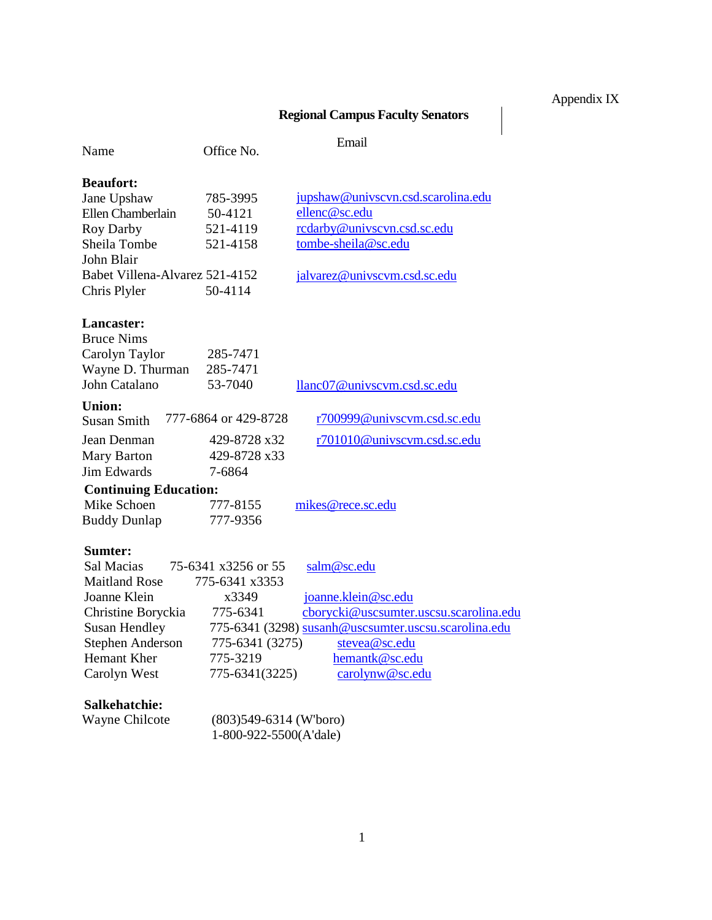# Appendix IX

 $\begin{array}{c} \hline \end{array}$ 

# **Regional Campus Faculty Senators**

| Name                           | Office No.               | Email                                                |
|--------------------------------|--------------------------|------------------------------------------------------|
| <b>Beaufort:</b>               |                          |                                                      |
| Jane Upshaw                    | 785-3995                 | jupshaw@univscvn.csd.scarolina.edu                   |
| <b>Ellen Chamberlain</b>       | 50-4121                  | ellenc@sc.edu                                        |
| Roy Darby                      | 521-4119                 | rcdarby@univscvn.csd.sc.edu                          |
| Sheila Tombe                   | 521-4158                 | tombe-sheila@sc.edu                                  |
| John Blair                     |                          |                                                      |
| Babet Villena-Alvarez 521-4152 |                          | jalvarez@univscvm.csd.sc.edu                         |
| Chris Plyler                   | 50-4114                  |                                                      |
| Lancaster:                     |                          |                                                      |
| <b>Bruce Nims</b>              |                          |                                                      |
| Carolyn Taylor                 | 285-7471                 |                                                      |
| Wayne D. Thurman               | 285-7471                 |                                                      |
| John Catalano                  | 53-7040                  | llanc07@univscvm.csd.sc.edu                          |
| <b>Union:</b>                  |                          |                                                      |
| <b>Susan Smith</b>             | 777-6864 or 429-8728     | r700999@univscvm.csd.sc.edu                          |
| Jean Denman                    | 429-8728 x32             | r701010@univscvm.csd.sc.edu                          |
| Mary Barton                    | 429-8728 x33             |                                                      |
| <b>Jim Edwards</b>             | 7-6864                   |                                                      |
| <b>Continuing Education:</b>   |                          |                                                      |
| Mike Schoen                    | 777-8155                 | mikes@rece.sc.edu                                    |
| <b>Buddy Dunlap</b>            | 777-9356                 |                                                      |
| Sumter:                        |                          |                                                      |
| Sal Macias                     | 75-6341 x3256 or 55      | salm@sc.edu                                          |
| <b>Maitland Rose</b>           | 775-6341 x3353           |                                                      |
| Joanne Klein                   | x3349                    | joanne.klein@sc.edu                                  |
| Christine Boryckia             | 775-6341                 | cborycki@uscsumter.uscsu.scarolina.edu               |
| <b>Susan Hendley</b>           |                          | 775-6341 (3298) susanh@uscsumter.uscsu.scarolina.edu |
| <b>Stephen Anderson</b>        | 775-6341 (3275)          | stevea@sc.edu                                        |
| Hemant Kher                    | 775-3219                 | hemantk@sc.edu                                       |
| Carolyn West                   | 775-6341(3225)           | carolynw@sc.edu                                      |
| Salkehatchie:                  |                          |                                                      |
| Wayne Chilcote                 | $(803)549-6314$ (W'boro) |                                                      |
|                                | 1-800-922-5500(A'dale)   |                                                      |
|                                |                          |                                                      |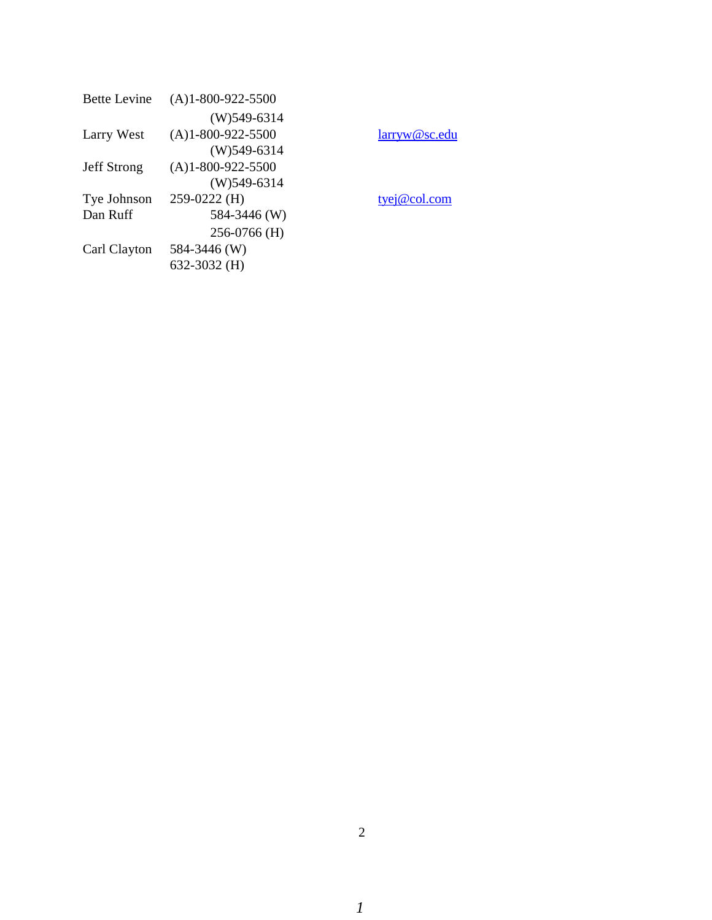| <b>Bette Levine</b> | $(A)1 - 800 - 922 - 5500$ |
|---------------------|---------------------------|
|                     | $(W)$ 549-6314            |
| Larry West          | $(A)1 - 800 - 922 - 5500$ |
|                     | $(W)$ 549-6314            |
| <b>Jeff Strong</b>  | $(A)1 - 800 - 922 - 5500$ |
|                     | $(W)$ 549-6314            |
| Tye Johnson         | 259-0222 (H)              |
| Dan Ruff            | 584-3446 (W)              |
|                     | 256-0766 (H)              |
| Carl Clayton        | 584-3446 (W)              |
|                     | 632-3032 (H)              |
|                     |                           |

[larryw@sc.edu](mailto:larryw@sc.edu)

[tyej@col.com](mailto:tyej@col.com)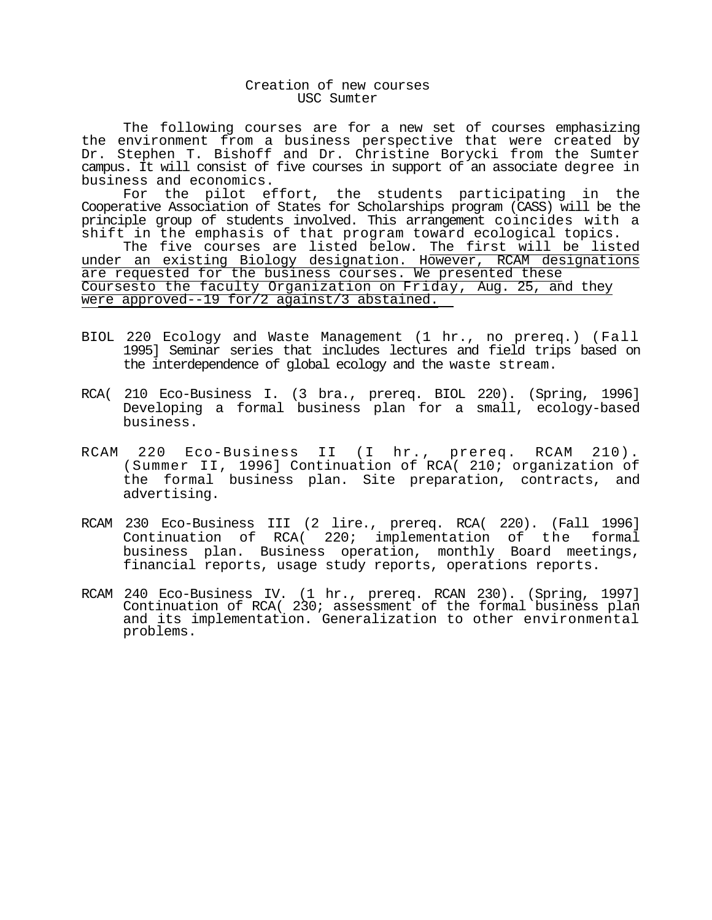#### Creation of new courses USC Sumter

The following courses are for a new set of courses emphasizing the environment from a business perspective that were created by Dr. Stephen T. Bishoff and Dr. Christine Borycki from the Sumter campus. It will consist of five courses in support of an associate degree in business and economics.

For the pilot effort, the students participating in the Cooperative Association of States for Scholarships program (CASS) will be the principle group of students involved. This arrangement coincides with a shift in the emphasis of that program toward ecological topics. The five courses are listed below. The first will be listed under an existing Biology designation. However, RCAM designations are requested for the business courses. We presented these Coursesto the faculty Organization on Friday, Aug. 25, and they were approved--19 for/2 against/3 abstained.

- BIOL 220 Ecology and Waste Management (1 hr., no prereq.) (Fall 1995] Seminar series that includes lectures and field trips based on the interdependence of global ecology and the waste stream.
- RCA( 210 Eco-Business I. (3 bra., prereq. BIOL 220). (Spring, 1996] Developing a formal business plan for a small, ecology-based business.
- RCAM 220 Eco-Business II (I hr., prereq. RCAM 210). (Summer II, 1996] Continuation of RCA( 210; organization of the formal business plan. Site preparation, contracts, and advertising.
- RCAM 230 Eco-Business III (2 lire., prereq. RCA( 220). (Fall 1996] Continuation of RCA( 220; implementation of the formal business plan. Business operation, monthly Board meetings, financial reports, usage study reports, operations reports.
- RCAM 240 Eco-Business IV. (1 hr., prereq. RCAN 230). (Spring, 1997] Continuation of RCA( 230; assessment of the formal business plan and its implementation. Generalization to other environmental problems.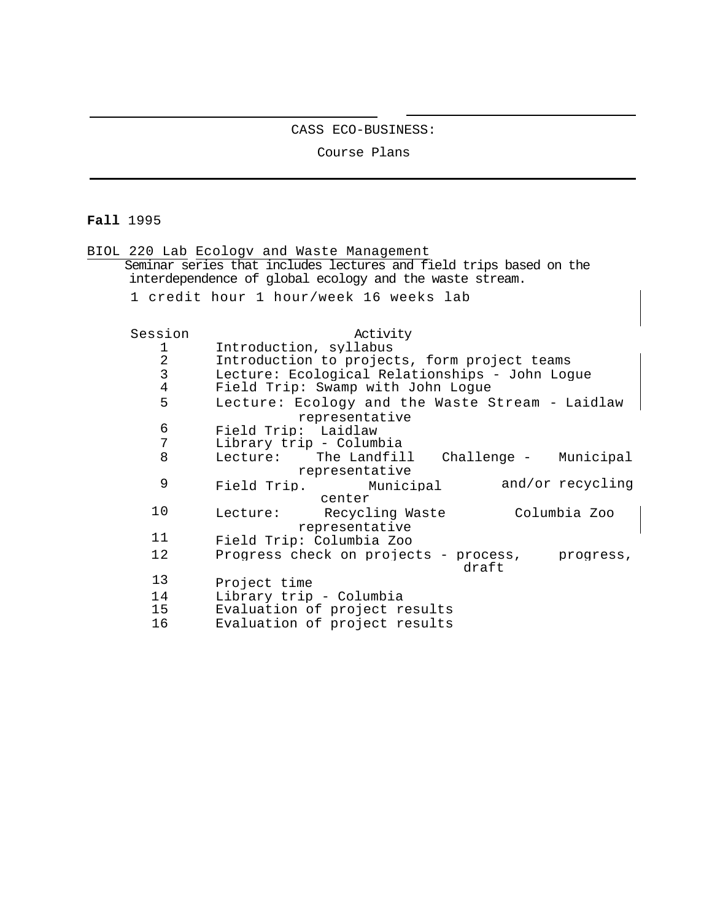#### CASS ECO-BUSINESS:

Course Plans

# **Fall** 1995

|                | BIOL 220 Lab Ecologv and Waste Management                          |
|----------------|--------------------------------------------------------------------|
|                | Seminar series that includes lectures and field trips based on the |
|                | interdependence of global ecology and the waste stream.            |
|                | 1 credit hour 1 hour/week 16 weeks lab                             |
|                |                                                                    |
| Session        | Activity                                                           |
| 1              | Introduction, syllabus                                             |
| $\overline{a}$ | Introduction to projects, form project teams                       |
| $\overline{3}$ | Lecture: Ecological Relationships - John Logue                     |
| $\overline{4}$ | Field Trip: Swamp with John Logue                                  |
| 5              | Lecture: Ecology and the Waste Stream - Laidlaw                    |
|                | representative                                                     |
| 6              | Field Trip: Laidlaw                                                |
| 7              | Library trip - Columbia                                            |
| 8              | Lecture: The Landfill<br>Challenge - Municipal                     |
|                | representative                                                     |
| 9              | and/or recycling<br>Field Trip. Municipal                          |
|                | center                                                             |
| 10             | Columbia Zoo<br>Lecture: Recycling Waste                           |
|                | representative                                                     |
| 11             | Field Trip: Columbia Zoo                                           |
| 12             | Progress check on projects - process,<br>progress,                 |
|                | draft                                                              |
| 13             | Project time                                                       |
| 14             | Library trip - Columbia                                            |
| 15             | Evaluation of project results                                      |
| 16             | Evaluation of project results                                      |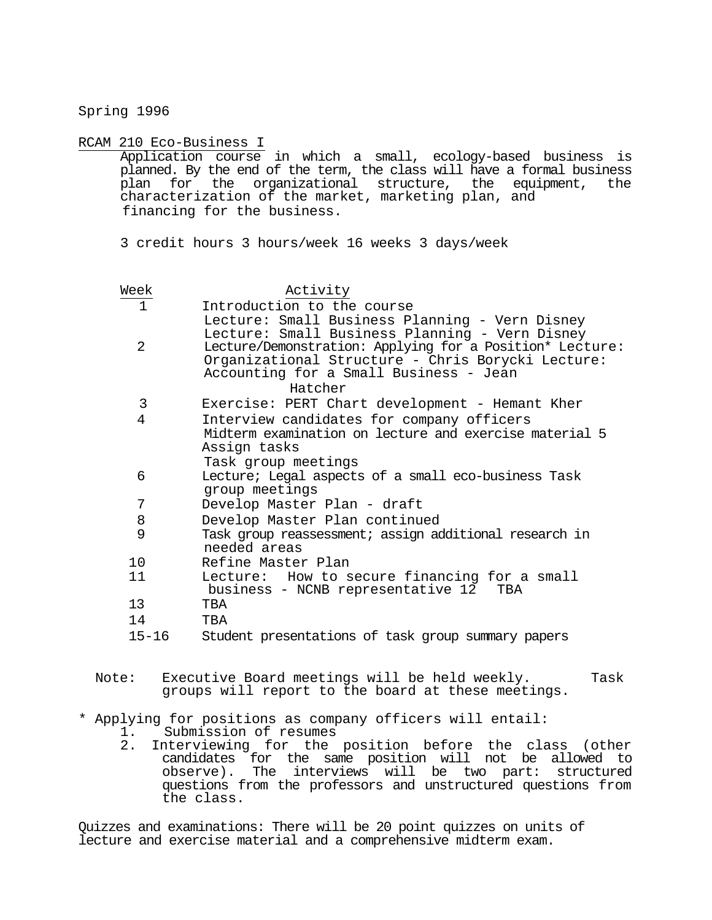Spring 1996

RCAM 210 Eco-Business I

Application course in which a small, ecology-based business is planned. By the end of the term, the class will have a formal business plan for the organizational structure, the equipment, the characterization of the market, marketing plan, and financing for the business.

3 credit hours 3 hours/week 16 weeks 3 days/week

| Week           | Activity                                                                                                                                                                                                                                                               |
|----------------|------------------------------------------------------------------------------------------------------------------------------------------------------------------------------------------------------------------------------------------------------------------------|
| $\mathbf{1}$   | Introduction to the course                                                                                                                                                                                                                                             |
| $\overline{2}$ | Lecture: Small Business Planning - Vern Disney<br>Lecture: Small Business Planning - Vern Disney<br>Lecture/Demonstration: Applying for a Position* Lecture:<br>Organizational Structure - Chris Borycki Lecture:<br>Accounting for a Small Business - Jean<br>Hatcher |
| 3              | Exercise: PERT Chart development - Hemant Kher                                                                                                                                                                                                                         |
| 4              | Interview candidates for company officers                                                                                                                                                                                                                              |
|                | Midterm examination on lecture and exercise material 5<br>Assign tasks<br>Task group meetings                                                                                                                                                                          |
| 6              | Lecture; Legal aspects of a small eco-business Task                                                                                                                                                                                                                    |
|                | group meetings                                                                                                                                                                                                                                                         |
| 7              | Develop Master Plan - draft                                                                                                                                                                                                                                            |
| 8              | Develop Master Plan continued                                                                                                                                                                                                                                          |
| 9              | Task group reassessment; assign additional research in<br>needed areas                                                                                                                                                                                                 |
| 10             | Refine Master Plan                                                                                                                                                                                                                                                     |
| 11             | Lecture: How to secure financing for a small<br>business - NCNB representative 12<br>TBA                                                                                                                                                                               |
| 13             | TBA                                                                                                                                                                                                                                                                    |
| 14             | TRA                                                                                                                                                                                                                                                                    |
| $15 - 16$      | Student presentations of task group summary papers                                                                                                                                                                                                                     |
| Note:          | Executive Board meetings will be held weekly.<br>Task<br>groups will report to the board at these meetings.                                                                                                                                                            |
|                | * Applying for positions as company officers will entail:                                                                                                                                                                                                              |

- 1. Submission of resumes
- 2. Interviewing for the position before the class (other candidates for the same position will not be allowed to observe). The interviews will be two part: structured questions from the professors and unstructured questions from the class.

Quizzes and examinations: There will be 20 point quizzes on units of lecture and exercise material and a comprehensive midterm exam.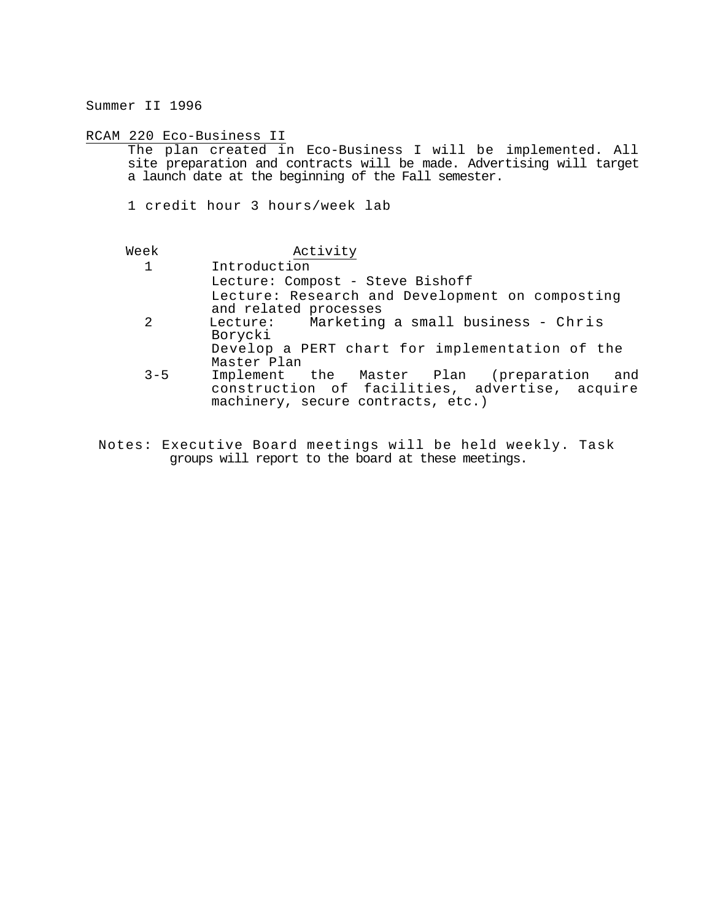Summer II 1996

RCAM 220 Eco-Business II

The plan created in Eco-Business I will be implemented. All site preparation and contracts will be made. Advertising will target a launch date at the beginning of the Fall semester.

1 credit hour 3 hours/week lab

| Week         | Activity                                                                                                                           |
|--------------|------------------------------------------------------------------------------------------------------------------------------------|
| $\mathbf{1}$ | Introduction                                                                                                                       |
|              | Lecture: Compost - Steve Bishoff                                                                                                   |
|              | Lecture: Research and Development on composting<br>and related processes                                                           |
| -2           | Lecture: Marketing a small business - Chris                                                                                        |
|              | Borycki                                                                                                                            |
|              | Develop a PERT chart for implementation of the                                                                                     |
|              | Master Plan                                                                                                                        |
| $3 - 5$      | Implement the Master Plan (preparation and<br>construction of facilities, advertise, acquire<br>machinery, secure contracts, etc.) |

Notes: Executive Board meetings will be held weekly. Task groups will report to the board at these meetings.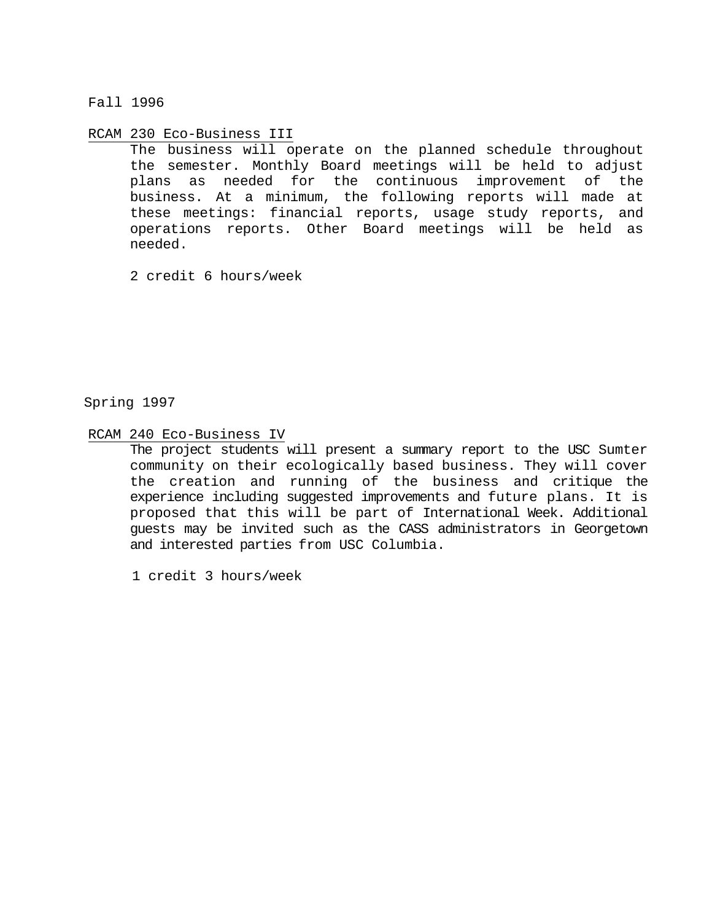Fall 1996

RCAM 230 Eco-Business III

The business will operate on the planned schedule throughout the semester. Monthly Board meetings will be held to adjust plans as needed for the continuous improvement of the business. At a minimum, the following reports will made at these meetings: financial reports, usage study reports, and operations reports. Other Board meetings will be held as needed.

2 credit 6 hours/week

Spring 1997

RCAM 240 Eco-Business IV

The project students will present a summary report to the USC Sumter community on their ecologically based business. They will cover the creation and running of the business and critique the experience including suggested improvements and future plans. It is proposed that this will be part of International Week. Additional guests may be invited such as the CASS administrators in Georgetown and interested parties from USC Columbia.

1 credit 3 hours/week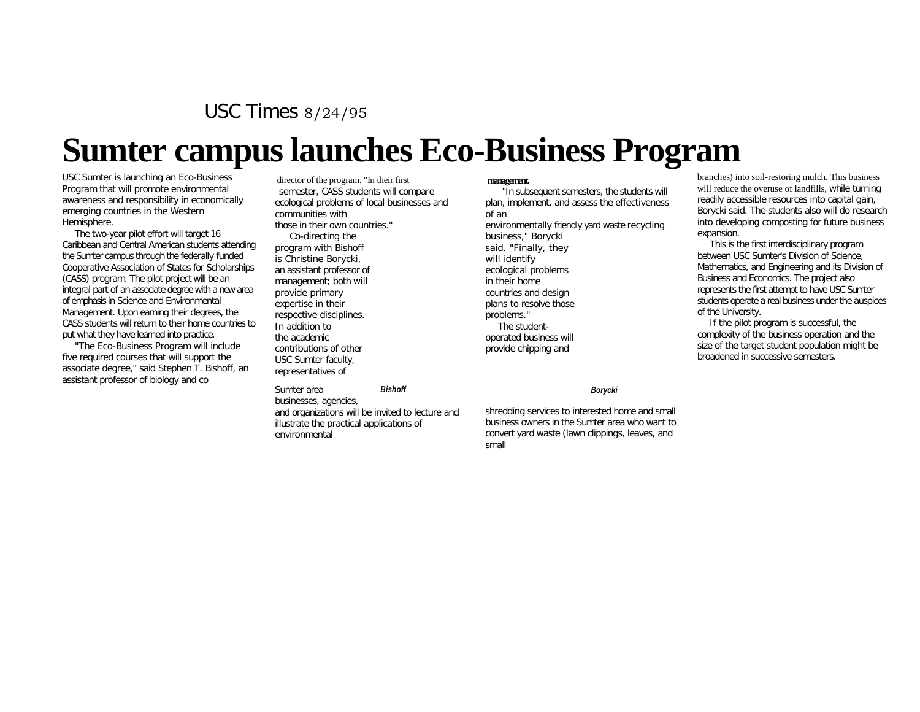USC Times 8/24/95

# **Sumter campus launches Eco-Business Program**

USC Sumter is launching an Eco-Business Program that will promote environmental awareness and responsibility in economically emerging countries in the Western Hemisphere.

The two-year pilot effort will target 16 Caribbean and Central American students attending the Sumter campus through the federally funded Cooperative Association of States for Scholarships (CASS) program. The pilot project will be an integral part of an associate degree with a new area of emphasis in Science and Environmental Management. Upon earning their degrees, the CASS students will return to their home countries to put what they have learned into practice.

"The Eco-Business Program will include five required courses that will support the associate degree," said Stephen T. Bishoff, an assistant professor of biology and co

director of the program. "In their first semester, CASS students will compare ecological problems of local businesses and communities with those in their own countries." Co-directing the program with Bishoff is Christine Borycki, an assistant professor of management; both will provide primary expertise in their respective disciplines. In addition to the academic contributions of other USC Sumter faculty, representatives of

Sumter area businesses, agencies, and organizations will be invited to lecture and illustrate the practical applications of environmental *Bishoff Borycki*

#### **management.**

"In subsequent semesters, the students will plan, implement, and assess the effectiveness of an environmentally friendly yard waste recycling business," Borycki said. "Finally, they will identify ecological problems in their home countries and design plans to resolve those problems." The studentoperated business will provide chipping and

shredding services to interested home and small business owners in the Sumter area who want to convert yard waste (lawn clippings, leaves, and small

branches) into soil-restoring mulch. This business will reduce the overuse of landfills, while turning readily accessible resources into capital gain, Borycki said. The students also will do research into developing composting for future business expansion.

This is the first interdisciplinary program between USC Sumter's Division of Science, Mathematics, and Engineering and its Division of Business and Economics. The project also represents the first attempt to have USC Sumter students operate a real business under the auspices of the University.

If the pilot program is successful, the complexity of the business operation and the size of the target student population might be broadened in successive semesters.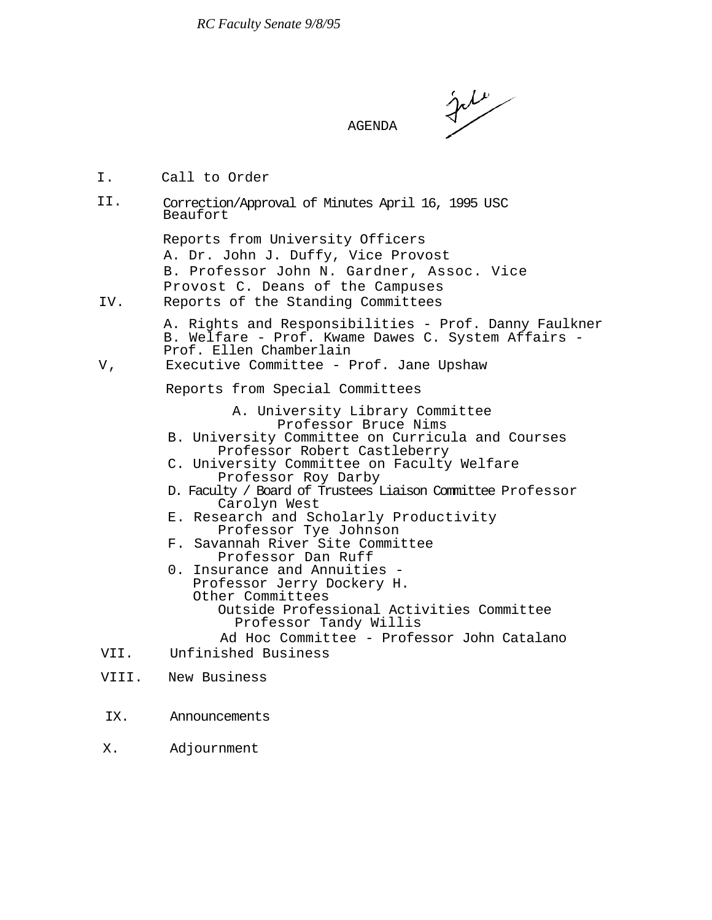ستسلمونهم

#### AGENDA

- I. Call to Order
- Correction/Approval of Minutes April 16, 1995 USC Beaufort II.

Reports from University Officers A. Dr. John J. Duffy, Vice Provost B. Professor John N. Gardner, Assoc. Vice Provost C. Deans of the Campuses IV. Reports of the Standing Committees

> A. Rights and Responsibilities - Prof. Danny Faulkner B. Welfare - Prof. Kwame Dawes C. System Affairs - Prof. Ellen Chamberlain

V, Executive Committee - Prof. Jane Upshaw

Reports from Special Committees

A. University Library Committee Professor Bruce Nims

- B. University Committee on Curricula and Courses Professor Robert Castleberry
- C. University Committee on Faculty Welfare Professor Roy Darby
- D. Faculty / Board of Trustees Liaison Committee Professor Carolyn West
- E. Research and Scholarly Productivity Professor Tye Johnson
- F. Savannah River Site Committee Professor Dan Ruff<br>0. Insurance and Annuities -
- Professor Jerry Dockery H. Other Committees Outside Professional Activities Committee Professor Tandy Willis Ad Hoc Committee - Professor John Catalano
- VII. Unfinished Business
- VIII. New Business
- IX. Announcements
- X. Adjournment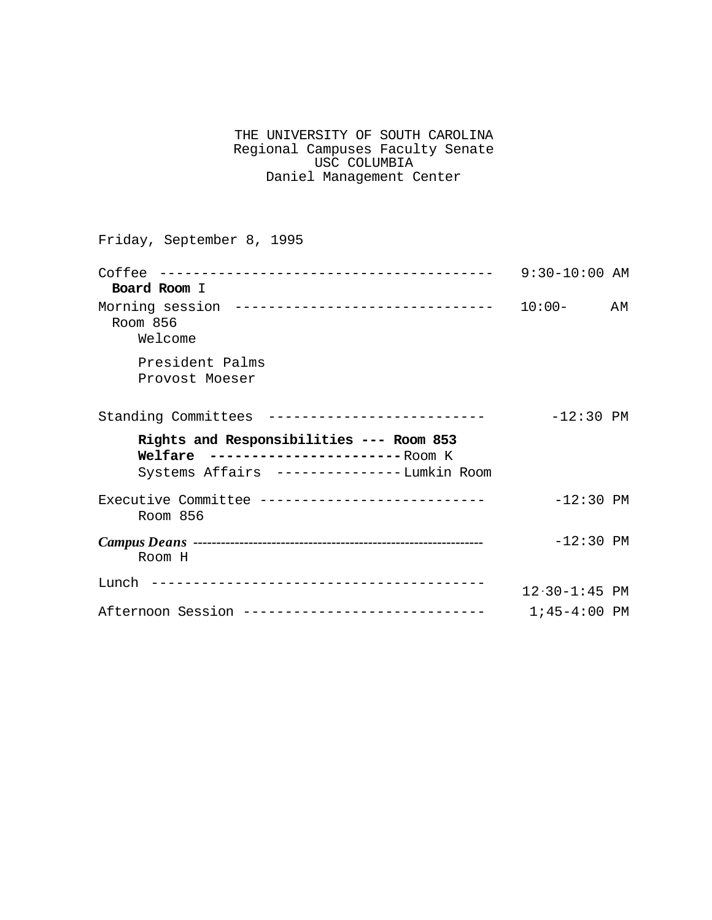| THE UNIVERSITY OF SOUTH CAROLINA |  |
|----------------------------------|--|
| Regional Campuses Faculty Senate |  |
| USC COLUMBIA                     |  |
| Daniel Management Center         |  |

Friday, September 8, 1995

|                                                                                                                                   | $9:30-10:00$ AM   |    |
|-----------------------------------------------------------------------------------------------------------------------------------|-------------------|----|
| Board Room I                                                                                                                      |                   |    |
| Room 856<br>Welcome                                                                                                               |                   | ΑM |
| President Palms<br>Provost Moeser                                                                                                 |                   |    |
| Standing Committees --------------------------                                                                                    | $-12:30$ PM       |    |
| Rights and Responsibilities --- Room 853<br>Welfare ------------------------ Room K<br>Systems Affairs ---------------Lumkin Room |                   |    |
| Executive Committee ---------------------------<br>Room 856                                                                       | $-12:30$ PM       |    |
| Room H                                                                                                                            | $-12:30$ PM       |    |
|                                                                                                                                   | $12.30 - 1:45$ PM |    |
| Afternoon Session -----------------------------                                                                                   | $1;45-4:00$ PM    |    |